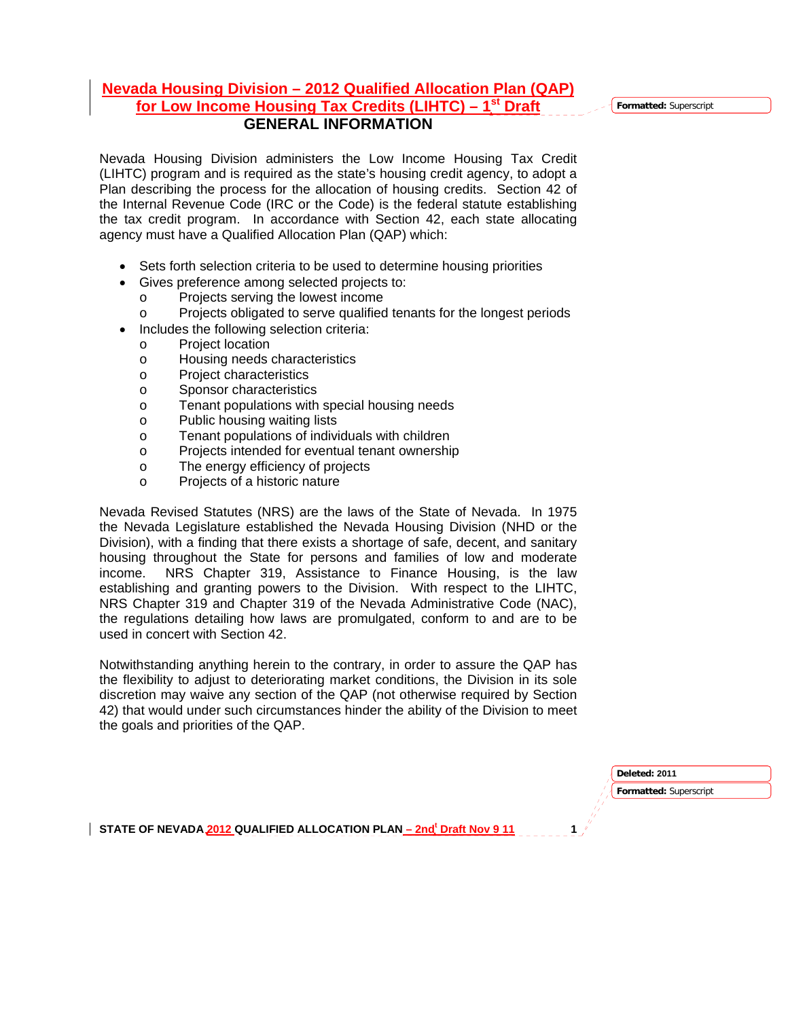## **Nevada Housing Division – 2012 Qualified Allocation Plan (QAP)**  for Low Income Housing Tax Credits (LIHTC) – 1<sup>st</sup> Draft **GENERAL INFORMATION**

Nevada Housing Division administers the Low Income Housing Tax Credit (LIHTC) program and is required as the state's housing credit agency, to adopt a Plan describing the process for the allocation of housing credits. Section 42 of the Internal Revenue Code (IRC or the Code) is the federal statute establishing the tax credit program. In accordance with Section 42, each state allocating agency must have a Qualified Allocation Plan (QAP) which:

- Sets forth selection criteria to be used to determine housing priorities
- Gives preference among selected projects to:
	- o Projects serving the lowest income
	- o Projects obligated to serve qualified tenants for the longest periods
- Includes the following selection criteria:
	- o Project location
	- o Housing needs characteristics
	- o Project characteristics
	- o Sponsor characteristics
	- o Tenant populations with special housing needs
	- o Public housing waiting lists
	- o Tenant populations of individuals with children
	- o Projects intended for eventual tenant ownership
	- o The energy efficiency of projects
	- o Projects of a historic nature

Nevada Revised Statutes (NRS) are the laws of the State of Nevada. In 1975 the Nevada Legislature established the Nevada Housing Division (NHD or the Division), with a finding that there exists a shortage of safe, decent, and sanitary housing throughout the State for persons and families of low and moderate income. NRS Chapter 319, Assistance to Finance Housing, is the law establishing and granting powers to the Division. With respect to the LIHTC, NRS Chapter 319 and Chapter 319 of the Nevada Administrative Code (NAC), the regulations detailing how laws are promulgated, conform to and are to be used in concert with Section 42.

Notwithstanding anything herein to the contrary, in order to assure the QAP has the flexibility to adjust to deteriorating market conditions, the Division in its sole discretion may waive any section of the QAP (not otherwise required by Section 42) that would under such circumstances hinder the ability of the Division to meet the goals and priorities of the QAP.

> **Formatted:** Superscript **Deleted: 2011**

STATE OF NEVADA 2012 QUALIFIED ALLOCATION PLAN <u>– 2nd<sup>t</sup> Draft Nov 9 11</u> 1

**Formatted:** Superscript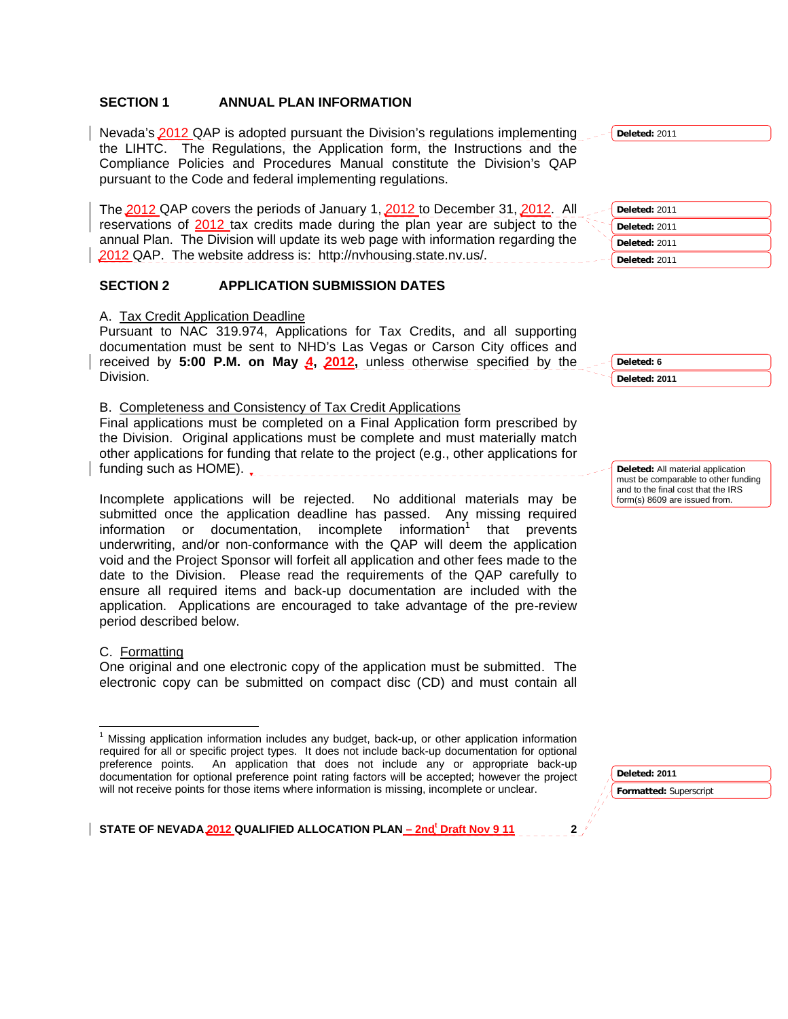### **SECTION 1 ANNUAL PLAN INFORMATION**

Nevada's 2012 QAP is adopted pursuant the Division's regulations implementing the LIHTC. The Regulations, the Application form, the Instructions and the Compliance Policies and Procedures Manual constitute the Division's QAP pursuant to the Code and federal implementing regulations.

The 2012 QAP covers the periods of January 1, 2012 to December 31, 2012. All reservations of 2012 tax credits made during the plan year are subject to the annual Plan. The Division will update its web page with information regarding the 2012 QAP. The website address is: http://nvhousing.state.nv.us/.

#### **SECTION 2 APPLICATION SUBMISSION DATES**

A. Tax Credit Application Deadline

Pursuant to NAC 319.974, Applications for Tax Credits, and all supporting documentation must be sent to NHD's Las Vegas or Carson City offices and received by **5:00 P.M. on May 4, 2012,** unless otherwise specified by the Division.

B. Completeness and Consistency of Tax Credit Applications

Final applications must be completed on a Final Application form prescribed by the Division. Original applications must be complete and must materially match other applications for funding that relate to the project (e.g., other applications for funding such as HOME).

Incomplete applications will be rejected. No additional materials may be submitted once the application deadline has passed. Any missing required information or documentation, incomplete information<sup>1</sup> that prevents underwriting, and/or non-conformance with the QAP will deem the application void and the Project Sponsor will forfeit all application and other fees made to the date to the Division. Please read the requirements of the QAP carefully to ensure all required items and back-up documentation are included with the application. Applications are encouraged to take advantage of the pre-review period described below.

#### C. Formatting

One original and one electronic copy of the application must be submitted. The electronic copy can be submitted on compact disc (CD) and must contain all

**Deleted:** 2011 **Deleted:** 2011

**Deleted:** 2011

**Deleted:** 2011 **Deleted:** 2011

**Deleted: 6 Deleted: 2011**

**Deleted:** All material application must be comparable to other funding and to the final cost that the IRS form(s) 8609 are issued from.

**Deleted: 2011** 

**Formatted:** Superscript

<sup>&</sup>lt;sup>1</sup> Missing application information includes any budget, back-up, or other application information required for all or specific project types. It does not include back-up documentation for optional preference points. An application that does not include any or appropriate back-up documentation for optional preference point rating factors will be accepted; however the project will not receive points for those items where information is missing, incomplete or unclear.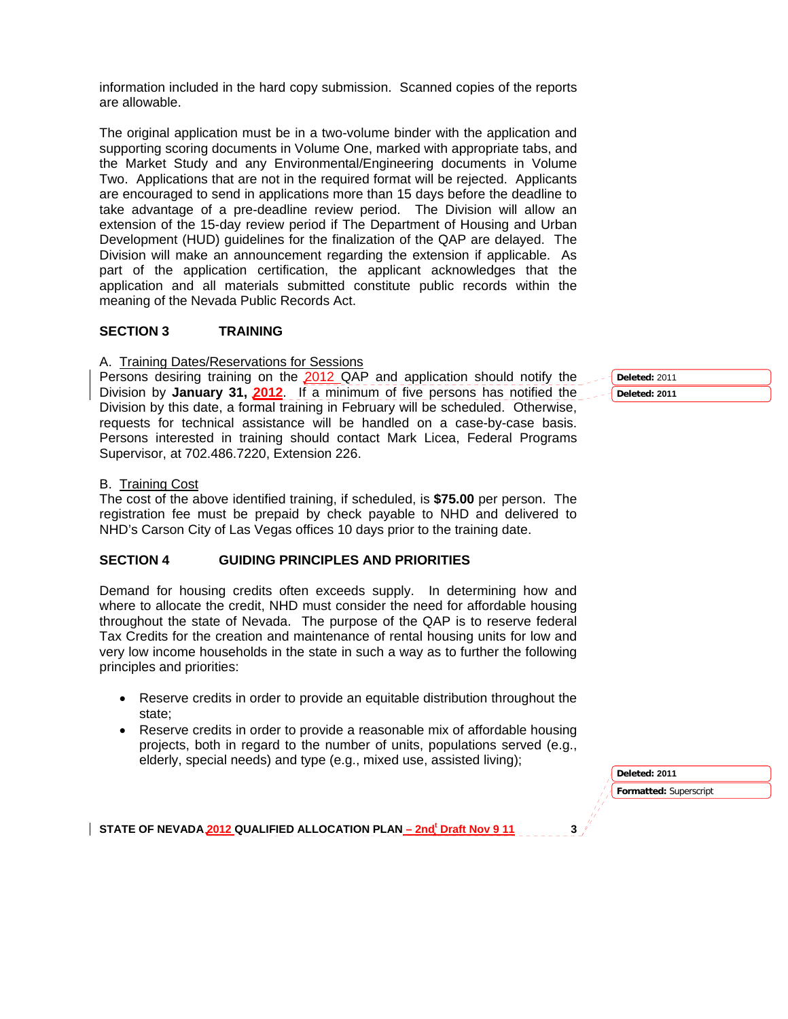information included in the hard copy submission. Scanned copies of the reports are allowable.

The original application must be in a two-volume binder with the application and supporting scoring documents in Volume One, marked with appropriate tabs, and the Market Study and any Environmental/Engineering documents in Volume Two. Applications that are not in the required format will be rejected. Applicants are encouraged to send in applications more than 15 days before the deadline to take advantage of a pre-deadline review period. The Division will allow an extension of the 15-day review period if The Department of Housing and Urban Development (HUD) guidelines for the finalization of the QAP are delayed. The Division will make an announcement regarding the extension if applicable. As part of the application certification, the applicant acknowledges that the application and all materials submitted constitute public records within the meaning of the Nevada Public Records Act.

### **SECTION 3 TRAINING**

A. Training Dates/Reservations for Sessions

Persons desiring training on the 2012 QAP and application should notify the Division by **January 31, 2012**. If a minimum of five persons has notified the Division by this date, a formal training in February will be scheduled. Otherwise, requests for technical assistance will be handled on a case-by-case basis. Persons interested in training should contact Mark Licea, Federal Programs Supervisor, at 702.486.7220, Extension 226.

### B. Training Cost

The cost of the above identified training, if scheduled, is **\$75.00** per person. The registration fee must be prepaid by check payable to NHD and delivered to NHD's Carson City of Las Vegas offices 10 days prior to the training date.

### **SECTION 4 GUIDING PRINCIPLES AND PRIORITIES**

Demand for housing credits often exceeds supply. In determining how and where to allocate the credit, NHD must consider the need for affordable housing throughout the state of Nevada. The purpose of the QAP is to reserve federal Tax Credits for the creation and maintenance of rental housing units for low and very low income households in the state in such a way as to further the following principles and priorities:

- Reserve credits in order to provide an equitable distribution throughout the state;
- Reserve credits in order to provide a reasonable mix of affordable housing projects, both in regard to the number of units, populations served (e.g., elderly, special needs) and type (e.g., mixed use, assisted living);

**Formatted:** Superscript **Deleted: 2011** 

STATE OF NEVADA 2012 QUALIFIED ALLOCATION PLAN <u>– 2nd<sup>t</sup> Draft Nov 9 11</u> 3

**Deleted:** 2011

#### **Deleted: 2011**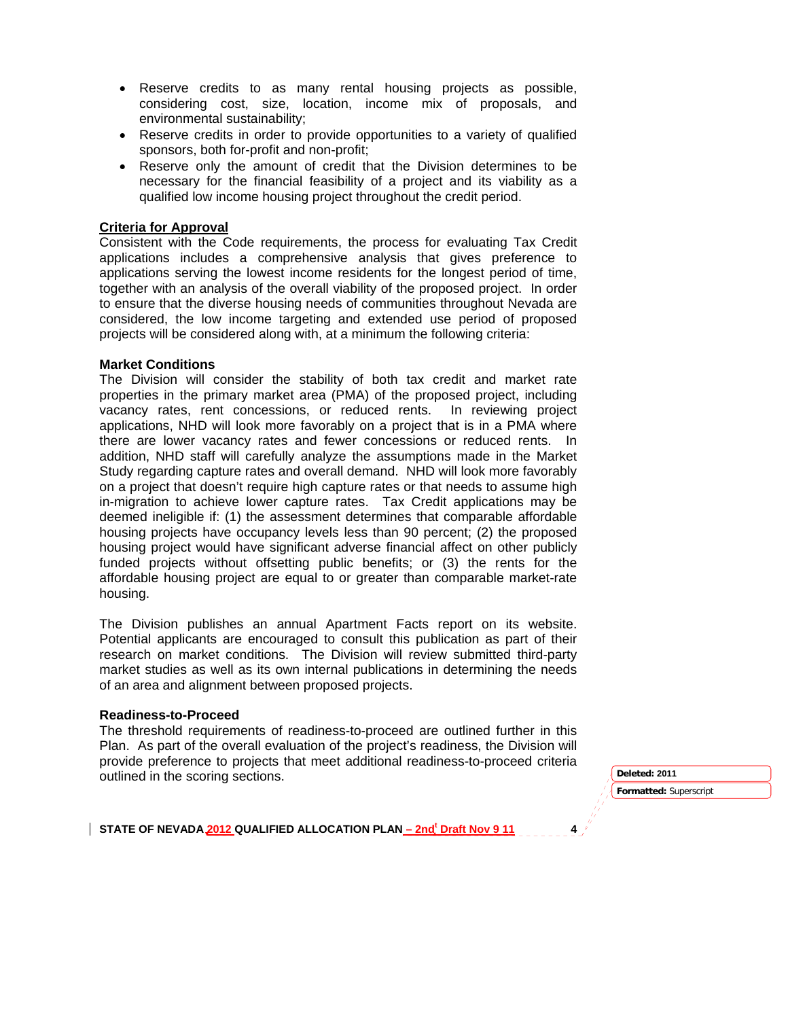- Reserve credits to as many rental housing projects as possible, considering cost, size, location, income mix of proposals, and environmental sustainability;
- Reserve credits in order to provide opportunities to a variety of qualified sponsors, both for-profit and non-profit;
- Reserve only the amount of credit that the Division determines to be necessary for the financial feasibility of a project and its viability as a qualified low income housing project throughout the credit period.

### **Criteria for Approval**

Consistent with the Code requirements, the process for evaluating Tax Credit applications includes a comprehensive analysis that gives preference to applications serving the lowest income residents for the longest period of time, together with an analysis of the overall viability of the proposed project. In order to ensure that the diverse housing needs of communities throughout Nevada are considered, the low income targeting and extended use period of proposed projects will be considered along with, at a minimum the following criteria:

#### **Market Conditions**

The Division will consider the stability of both tax credit and market rate properties in the primary market area (PMA) of the proposed project, including vacancy rates, rent concessions, or reduced rents. In reviewing project applications, NHD will look more favorably on a project that is in a PMA where there are lower vacancy rates and fewer concessions or reduced rents. In addition, NHD staff will carefully analyze the assumptions made in the Market Study regarding capture rates and overall demand. NHD will look more favorably on a project that doesn't require high capture rates or that needs to assume high in-migration to achieve lower capture rates. Tax Credit applications may be deemed ineligible if: (1) the assessment determines that comparable affordable housing projects have occupancy levels less than 90 percent; (2) the proposed housing project would have significant adverse financial affect on other publicly funded projects without offsetting public benefits; or (3) the rents for the affordable housing project are equal to or greater than comparable market-rate housing.

The Division publishes an annual Apartment Facts report on its website. Potential applicants are encouraged to consult this publication as part of their research on market conditions. The Division will review submitted third-party market studies as well as its own internal publications in determining the needs of an area and alignment between proposed projects.

#### **Readiness-to-Proceed**

The threshold requirements of readiness-to-proceed are outlined further in this Plan. As part of the overall evaluation of the project's readiness, the Division will provide preference to projects that meet additional readiness-to-proceed criteria outlined in the scoring sections. **Deleted:** 2011

**Formatted:** Superscript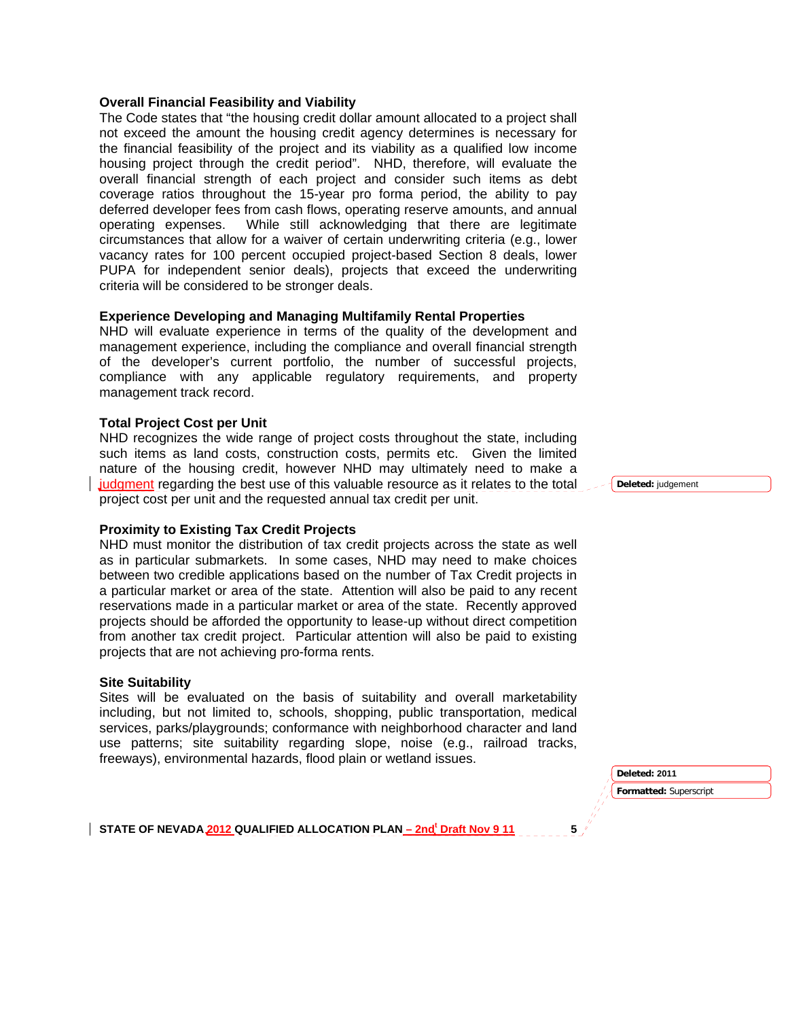#### **Overall Financial Feasibility and Viability**

The Code states that "the housing credit dollar amount allocated to a project shall not exceed the amount the housing credit agency determines is necessary for the financial feasibility of the project and its viability as a qualified low income housing project through the credit period". NHD, therefore, will evaluate the overall financial strength of each project and consider such items as debt coverage ratios throughout the 15-year pro forma period, the ability to pay deferred developer fees from cash flows, operating reserve amounts, and annual operating expenses. While still acknowledging that there are legitimate circumstances that allow for a waiver of certain underwriting criteria (e.g., lower vacancy rates for 100 percent occupied project-based Section 8 deals, lower PUPA for independent senior deals), projects that exceed the underwriting criteria will be considered to be stronger deals.

#### **Experience Developing and Managing Multifamily Rental Properties**

NHD will evaluate experience in terms of the quality of the development and management experience, including the compliance and overall financial strength of the developer's current portfolio, the number of successful projects, compliance with any applicable regulatory requirements, and property management track record.

#### **Total Project Cost per Unit**

NHD recognizes the wide range of project costs throughout the state, including such items as land costs, construction costs, permits etc. Given the limited nature of the housing credit, however NHD may ultimately need to make a judgment regarding the best use of this valuable resource as it relates to the total project cost per unit and the requested annual tax credit per unit.

#### **Proximity to Existing Tax Credit Projects**

NHD must monitor the distribution of tax credit projects across the state as well as in particular submarkets. In some cases, NHD may need to make choices between two credible applications based on the number of Tax Credit projects in a particular market or area of the state. Attention will also be paid to any recent reservations made in a particular market or area of the state. Recently approved projects should be afforded the opportunity to lease-up without direct competition from another tax credit project. Particular attention will also be paid to existing projects that are not achieving pro-forma rents.

#### **Site Suitability**

Sites will be evaluated on the basis of suitability and overall marketability including, but not limited to, schools, shopping, public transportation, medical services, parks/playgrounds; conformance with neighborhood character and land use patterns; site suitability regarding slope, noise (e.g., railroad tracks, freeways), environmental hazards, flood plain or wetland issues.

> **Formatted:** Superscript **Deleted: 2011**

STATE OF NEVADA 2012 QUALIFIED ALLOCATION PLAN <u>– 2nd<sup>t</sup> Draft Nov 9 11</u> 5

**Deleted:** judgement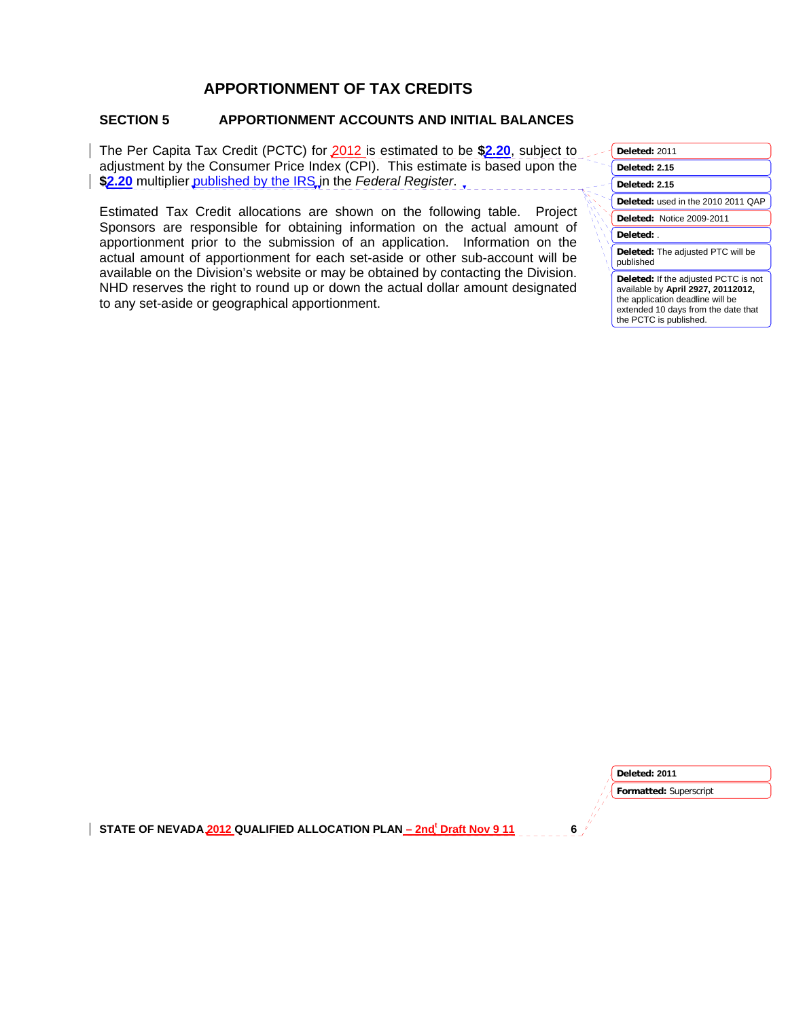# **APPORTIONMENT OF TAX CREDITS**

# **SECTION 5 APPORTIONMENT ACCOUNTS AND INITIAL BALANCES**

The Per Capita Tax Credit (PCTC) for 2012 is estimated to be **\$2.20**, subject to adjustment by the Consumer Price Index (CPI). This estimate is based upon the \$2.20 multiplier published by the IRS in the *Federal Register*.

Estimated Tax Credit allocations are shown on the following table. Project Sponsors are responsible for obtaining information on the actual amount of apportionment prior to the submission of an application. Information on the actual amount of apportionment for each set-aside or other sub-account will be available on the Division's website or may be obtained by contacting the Division. NHD reserves the right to round up or down the actual dollar amount designated to any set-aside or geographical apportionment.

| Deleted: 2011                                                                                                                                                                          |
|----------------------------------------------------------------------------------------------------------------------------------------------------------------------------------------|
| Deleted: 2.15                                                                                                                                                                          |
| Deleted: 2.15                                                                                                                                                                          |
| Deleted: used in the 2010 2011 QAP                                                                                                                                                     |
| Deleted: Notice 2009-2011                                                                                                                                                              |
| Deleted:                                                                                                                                                                               |
| <b>Deleted:</b> The adjusted PTC will be<br>published                                                                                                                                  |
| <b>Deleted:</b> If the adjusted PCTC is not<br>available by April 2927, 20112012,<br>the application deadline will be<br>extended 10 days from the date that<br>the PCTC is published. |

**Formatted:** Superscript **Deleted: 2011**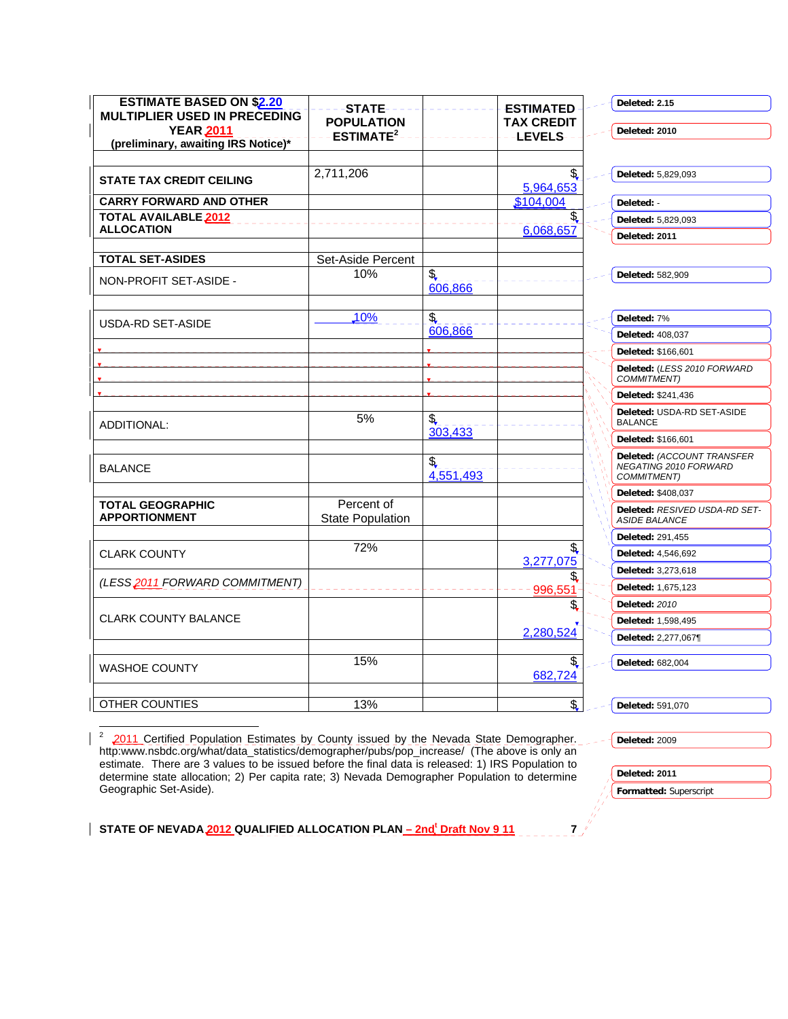| <b>ESTIMATE BASED ON \$2.20</b>                         | -STATE-                               |                  | <b>ESTIMATED</b> | Deleted: 2.15                                                      |
|---------------------------------------------------------|---------------------------------------|------------------|------------------|--------------------------------------------------------------------|
| <b>MULTIPLIER USED IN PRECEDING</b><br><b>YEAR 2011</b> | <b>POPULATION</b>                     |                  | TAX CREDIT       | Deleted: 2010                                                      |
| (preliminary, awaiting IRS Notice)*                     | ESTIMATE <sup>2</sup>                 |                  | <b>LEVELS-</b>   |                                                                    |
|                                                         |                                       |                  |                  |                                                                    |
| <b>STATE TAX CREDIT CEILING</b>                         | 2,711,206                             |                  | \$<br>5,964,653  | Deleted: 5,829,093                                                 |
| <b>CARRY FORWARD AND OTHER</b>                          |                                       |                  | \$104,004        | Deleted: -                                                         |
| TOTAL AVAILABLE 2012                                    |                                       |                  |                  | Deleted: 5,829,093                                                 |
| <b>ALLOCATION</b>                                       |                                       |                  | 6,068,657        | Deleted: 2011                                                      |
| <b>TOTAL SET-ASIDES</b>                                 | Set-Aside Percent                     |                  |                  |                                                                    |
| NON-PROFIT SET-ASIDE -                                  | 10%                                   | \$<br>606,866    |                  | Deleted: 582,909                                                   |
|                                                         |                                       |                  |                  |                                                                    |
| USDA-RD SET-ASIDE                                       | 10%                                   | \$               |                  | Deleted: 7%                                                        |
|                                                         |                                       | 606,866          |                  | <b>Deleted: 408.037</b>                                            |
|                                                         |                                       |                  |                  | Deleted: \$166,601                                                 |
|                                                         |                                       |                  |                  | Deleted: (LESS 2010 FORWARD<br>COMMITMENT)                         |
|                                                         |                                       |                  |                  | Deleted: \$241,436                                                 |
| ADDITIONAL:                                             | 5%                                    | \$,              |                  | Deleted: USDA-RD SET-ASIDE<br><b>BALANCE</b>                       |
|                                                         |                                       | 303,433          |                  | Deleted: \$166,601                                                 |
| <b>BALANCE</b>                                          |                                       | \$,<br>4,551,493 |                  | Deleted: (ACCOUNT TRANSFER<br>NEGATING 2010 FORWARD<br>COMMITMENT) |
|                                                         |                                       |                  |                  | <b>Deleted: \$408.037</b>                                          |
| <b>TOTAL GEOGRAPHIC</b><br><b>APPORTIONMENT</b>         | Percent of<br><b>State Population</b> |                  |                  | Deleted: RESIVED USDA-RD SET-<br><b>ASIDE BALANCE</b>              |
|                                                         |                                       |                  |                  | Deleted: 291,455                                                   |
| <b>CLARK COUNTY</b>                                     | 72%                                   |                  | \$<br>3,277,075  | Deleted: 4,546,692                                                 |
|                                                         |                                       |                  | \$               | Deleted: 3,273,618                                                 |
| (LESS2011 FORWARD COMMITMENT)                           |                                       |                  | 996.551          | Deleted: 1,675,123                                                 |
|                                                         |                                       |                  | \$               | <b>Deleted: 2010</b>                                               |
| <b>CLARK COUNTY BALANCE</b>                             |                                       |                  | 2,280,524        | Deleted: 1,598,495                                                 |
|                                                         |                                       |                  |                  | Deleted: 2,277,067¶                                                |
| <b>WASHOE COUNTY</b>                                    | 15%                                   |                  | \$<br>682,724    | Deleted: 682,004                                                   |
|                                                         |                                       |                  |                  |                                                                    |
| OTHER COUNTIES                                          | 13%                                   |                  | \$,              | Deleted: 591,070                                                   |

<sup>2</sup> 2011 Certified Population Estimates by County issued by the Nevada State Demographer. http:www.nsbdc.org/what/data\_statistics/demographer/pubs/pop\_increase/ (The above is only an estimate. There are 3 values to be issued before the final data is released: 1) IRS Population to determine state allocation; 2) Per capita rate; 3) Nevada Demographer Population to determine Geographic Set-Aside).

STATE OF NEVADA 2012 QUALIFIED ALLOCATION PLAN <u>– 2nd<sup>t</sup> Draft Nov 9 11</u> 7

**Deleted:** 2009

**Deleted: 2011** 

**Formatted:** Superscript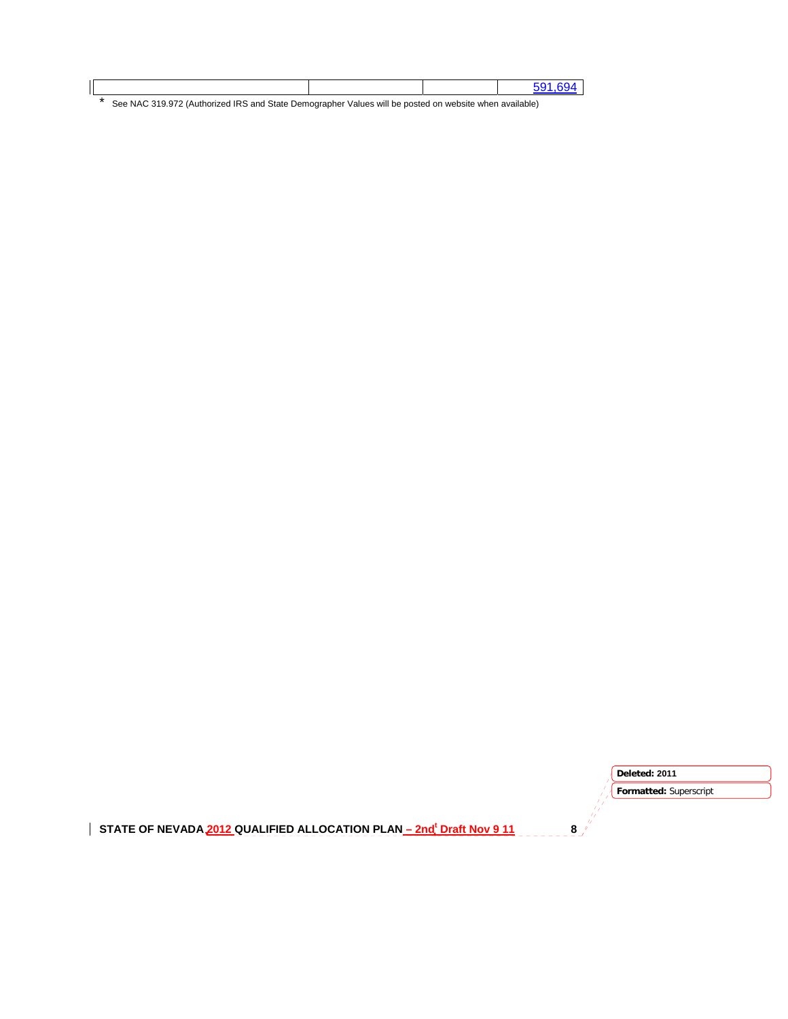|                                                                                                        |  | 591694 |
|--------------------------------------------------------------------------------------------------------|--|--------|
| See NAC 319.972 (Authorized IRS and State Demographer Values will be posted on website when available) |  |        |

STATE OF NEVADA 2012 QUALIFIED ALLOCATION PLAN <u>– 2nd<sup>t</sup> Draft Nov 9 11</u> 8 **Formatted:** Superscript **Deleted: 2011**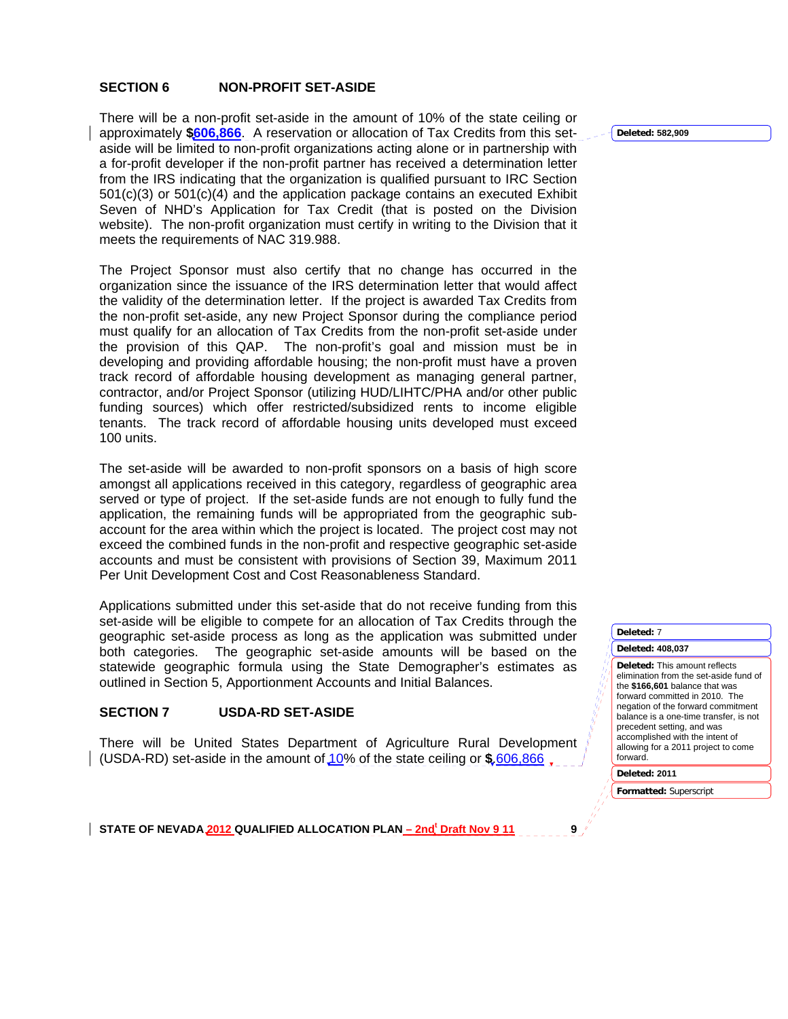### **SECTION 6 NON-PROFIT SET-ASIDE**

There will be a non-profit set-aside in the amount of 10% of the state ceiling or approximately **\$606,866**. A reservation or allocation of Tax Credits from this setaside will be limited to non-profit organizations acting alone or in partnership with a for-profit developer if the non-profit partner has received a determination letter from the IRS indicating that the organization is qualified pursuant to IRC Section 501(c)(3) or 501(c)(4) and the application package contains an executed Exhibit Seven of NHD's Application for Tax Credit (that is posted on the Division website). The non-profit organization must certify in writing to the Division that it meets the requirements of NAC 319.988.

The Project Sponsor must also certify that no change has occurred in the organization since the issuance of the IRS determination letter that would affect the validity of the determination letter. If the project is awarded Tax Credits from the non-profit set-aside, any new Project Sponsor during the compliance period must qualify for an allocation of Tax Credits from the non-profit set-aside under the provision of this QAP. The non-profit's goal and mission must be in developing and providing affordable housing; the non-profit must have a proven track record of affordable housing development as managing general partner, contractor, and/or Project Sponsor (utilizing HUD/LIHTC/PHA and/or other public funding sources) which offer restricted/subsidized rents to income eligible tenants. The track record of affordable housing units developed must exceed 100 units.

The set-aside will be awarded to non-profit sponsors on a basis of high score amongst all applications received in this category, regardless of geographic area served or type of project. If the set-aside funds are not enough to fully fund the application, the remaining funds will be appropriated from the geographic subaccount for the area within which the project is located. The project cost may not exceed the combined funds in the non-profit and respective geographic set-aside accounts and must be consistent with provisions of Section 39, Maximum 2011 Per Unit Development Cost and Cost Reasonableness Standard.

Applications submitted under this set-aside that do not receive funding from this set-aside will be eligible to compete for an allocation of Tax Credits through the geographic set-aside process as long as the application was submitted under both categories. The geographic set-aside amounts will be based on the statewide geographic formula using the State Demographer's estimates as outlined in Section 5, Apportionment Accounts and Initial Balances.

#### **SECTION 7 USDA-RD SET-ASIDE**

There will be United States Department of Agriculture Rural Development (USDA-RD) set-aside in the amount of 10% of the state ceiling or **\$**.606,866

**Deleted: 582,909**

**Deleted:** 7

#### **Deleted: 408,037**

**Deleted:** This amount reflects elimination from the set-aside fund of the **\$166,601** balance that was forward committed in 2010. The negation of the forward commitment balance is a one-time transfer, is not precedent setting, and was accomplished with the intent of allowing for a 2011 project to come forward.

**Deleted: 2011** 

**Formatted:** Superscript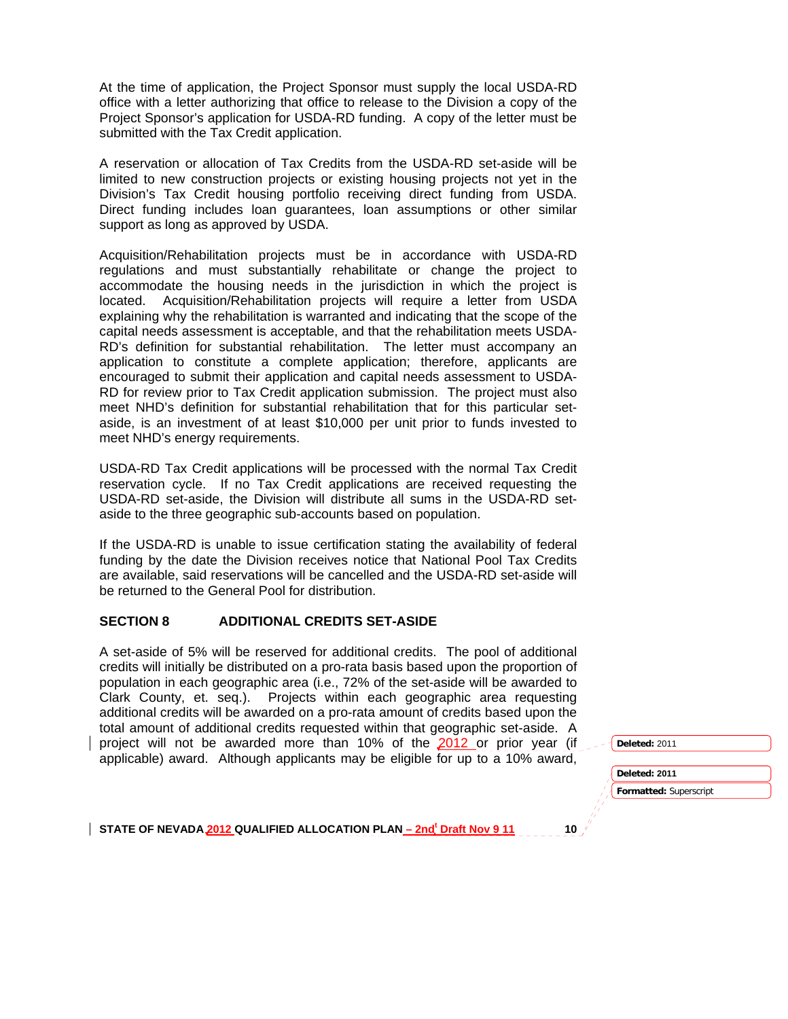At the time of application, the Project Sponsor must supply the local USDA-RD office with a letter authorizing that office to release to the Division a copy of the Project Sponsor's application for USDA-RD funding. A copy of the letter must be submitted with the Tax Credit application.

A reservation or allocation of Tax Credits from the USDA-RD set-aside will be limited to new construction projects or existing housing projects not yet in the Division's Tax Credit housing portfolio receiving direct funding from USDA. Direct funding includes loan guarantees, loan assumptions or other similar support as long as approved by USDA.

Acquisition/Rehabilitation projects must be in accordance with USDA-RD regulations and must substantially rehabilitate or change the project to accommodate the housing needs in the jurisdiction in which the project is located. Acquisition/Rehabilitation projects will require a letter from USDA explaining why the rehabilitation is warranted and indicating that the scope of the capital needs assessment is acceptable, and that the rehabilitation meets USDA-RD's definition for substantial rehabilitation. The letter must accompany an application to constitute a complete application; therefore, applicants are encouraged to submit their application and capital needs assessment to USDA-RD for review prior to Tax Credit application submission. The project must also meet NHD's definition for substantial rehabilitation that for this particular setaside, is an investment of at least \$10,000 per unit prior to funds invested to meet NHD's energy requirements.

USDA-RD Tax Credit applications will be processed with the normal Tax Credit reservation cycle. If no Tax Credit applications are received requesting the USDA-RD set-aside, the Division will distribute all sums in the USDA-RD setaside to the three geographic sub-accounts based on population.

If the USDA-RD is unable to issue certification stating the availability of federal funding by the date the Division receives notice that National Pool Tax Credits are available, said reservations will be cancelled and the USDA-RD set-aside will be returned to the General Pool for distribution.

### **SECTION 8 ADDITIONAL CREDITS SET-ASIDE**

A set-aside of 5% will be reserved for additional credits. The pool of additional credits will initially be distributed on a pro-rata basis based upon the proportion of population in each geographic area (i.e., 72% of the set-aside will be awarded to Clark County, et. seq.). Projects within each geographic area requesting additional credits will be awarded on a pro-rata amount of credits based upon the total amount of additional credits requested within that geographic set-aside. A project will not be awarded more than 10% of the 2012 or prior year (if applicable) award. Although applicants may be eligible for up to a 10% award,



**Deleted:** 2011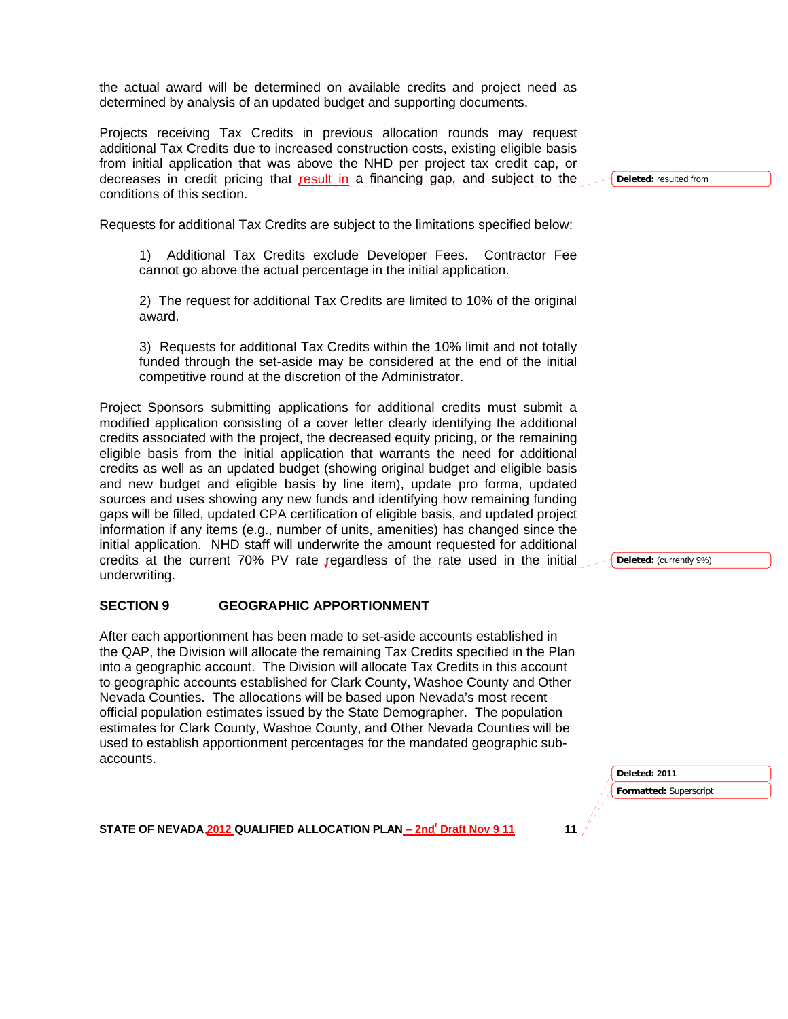the actual award will be determined on available credits and project need as determined by analysis of an updated budget and supporting documents.

Projects receiving Tax Credits in previous allocation rounds may request additional Tax Credits due to increased construction costs, existing eligible basis from initial application that was above the NHD per project tax credit cap, or decreases in credit pricing that result in a financing gap, and subject to the conditions of this section.

**Deleted:** resulted from

Requests for additional Tax Credits are subject to the limitations specified below:

 1) Additional Tax Credits exclude Developer Fees. Contractor Fee cannot go above the actual percentage in the initial application.

 2) The request for additional Tax Credits are limited to 10% of the original award.

 3) Requests for additional Tax Credits within the 10% limit and not totally funded through the set-aside may be considered at the end of the initial competitive round at the discretion of the Administrator.

Project Sponsors submitting applications for additional credits must submit a modified application consisting of a cover letter clearly identifying the additional credits associated with the project, the decreased equity pricing, or the remaining eligible basis from the initial application that warrants the need for additional credits as well as an updated budget (showing original budget and eligible basis and new budget and eligible basis by line item), update pro forma, updated sources and uses showing any new funds and identifying how remaining funding gaps will be filled, updated CPA certification of eligible basis, and updated project information if any items (e.g., number of units, amenities) has changed since the initial application. NHD staff will underwrite the amount requested for additional credits at the current 70% PV rate regardless of the rate used in the initial underwriting.

#### **SECTION 9 GEOGRAPHIC APPORTIONMENT**

After each apportionment has been made to set-aside accounts established in the QAP, the Division will allocate the remaining Tax Credits specified in the Plan into a geographic account. The Division will allocate Tax Credits in this account to geographic accounts established for Clark County, Washoe County and Other Nevada Counties. The allocations will be based upon Nevada's most recent official population estimates issued by the State Demographer. The population estimates for Clark County, Washoe County, and Other Nevada Counties will be used to establish apportionment percentages for the mandated geographic subaccounts.

> **Formatted:** Superscript **Deleted: 2011**

STATE OF NEVADA 2012 QUALIFIED ALLOCATION PLAN <u>– 2nd<sup>t</sup> Draft Nov 9 11</u> 11

**Deleted:** (currently 9%)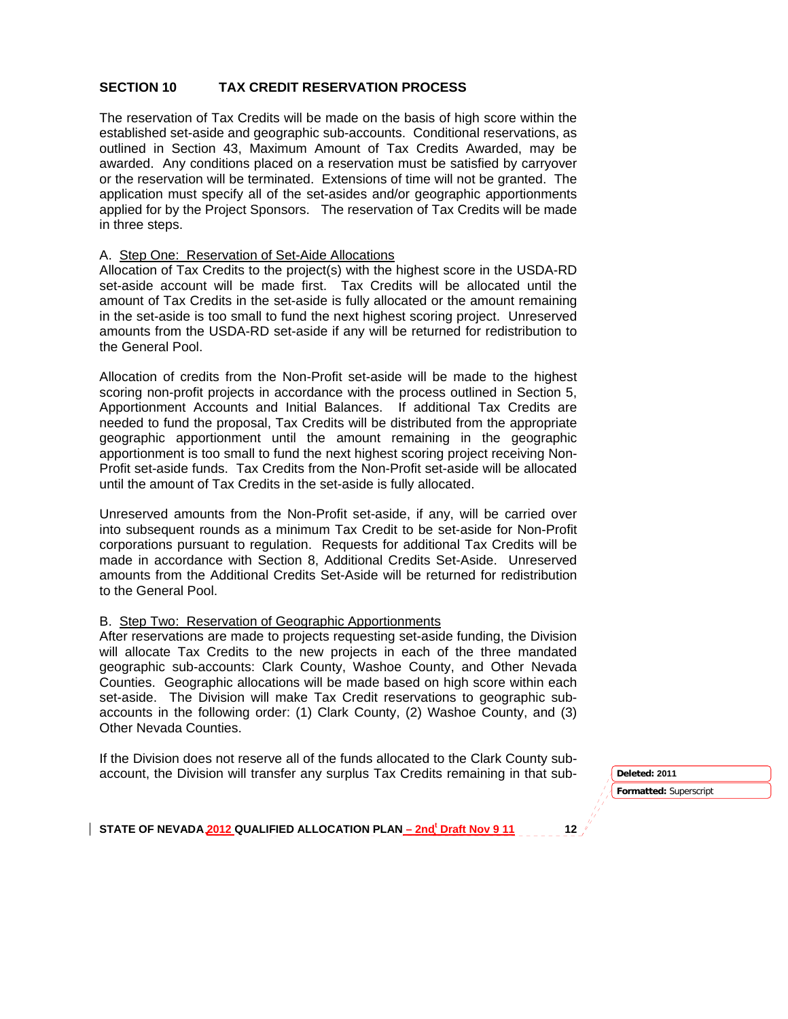### **SECTION 10 TAX CREDIT RESERVATION PROCESS**

The reservation of Tax Credits will be made on the basis of high score within the established set-aside and geographic sub-accounts. Conditional reservations, as outlined in Section 43, Maximum Amount of Tax Credits Awarded, may be awarded. Any conditions placed on a reservation must be satisfied by carryover or the reservation will be terminated. Extensions of time will not be granted. The application must specify all of the set-asides and/or geographic apportionments applied for by the Project Sponsors. The reservation of Tax Credits will be made in three steps.

#### A. Step One: Reservation of Set-Aide Allocations

Allocation of Tax Credits to the project(s) with the highest score in the USDA-RD set-aside account will be made first. Tax Credits will be allocated until the amount of Tax Credits in the set-aside is fully allocated or the amount remaining in the set-aside is too small to fund the next highest scoring project. Unreserved amounts from the USDA-RD set-aside if any will be returned for redistribution to the General Pool.

Allocation of credits from the Non-Profit set-aside will be made to the highest scoring non-profit projects in accordance with the process outlined in Section 5, Apportionment Accounts and Initial Balances. If additional Tax Credits are needed to fund the proposal, Tax Credits will be distributed from the appropriate geographic apportionment until the amount remaining in the geographic apportionment is too small to fund the next highest scoring project receiving Non-Profit set-aside funds. Tax Credits from the Non-Profit set-aside will be allocated until the amount of Tax Credits in the set-aside is fully allocated.

Unreserved amounts from the Non-Profit set-aside, if any, will be carried over into subsequent rounds as a minimum Tax Credit to be set-aside for Non-Profit corporations pursuant to regulation. Requests for additional Tax Credits will be made in accordance with Section 8, Additional Credits Set-Aside. Unreserved amounts from the Additional Credits Set-Aside will be returned for redistribution to the General Pool.

#### B. Step Two: Reservation of Geographic Apportionments

After reservations are made to projects requesting set-aside funding, the Division will allocate Tax Credits to the new projects in each of the three mandated geographic sub-accounts: Clark County, Washoe County, and Other Nevada Counties. Geographic allocations will be made based on high score within each set-aside. The Division will make Tax Credit reservations to geographic subaccounts in the following order: (1) Clark County, (2) Washoe County, and (3) Other Nevada Counties.

If the Division does not reserve all of the funds allocated to the Clark County subaccount, the Division will transfer any surplus Tax Credits remaining in that sub- **Deleted: <sup>2011</sup>**

**Formatted:** Superscript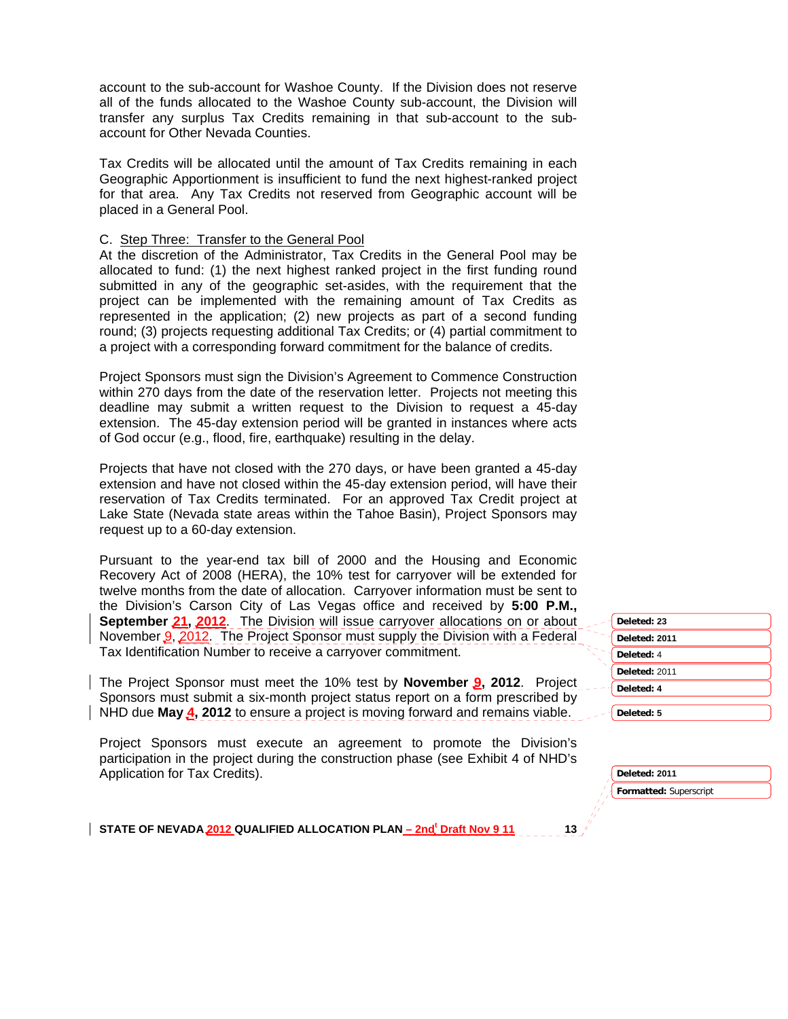account to the sub-account for Washoe County. If the Division does not reserve all of the funds allocated to the Washoe County sub-account, the Division will transfer any surplus Tax Credits remaining in that sub-account to the subaccount for Other Nevada Counties.

Tax Credits will be allocated until the amount of Tax Credits remaining in each Geographic Apportionment is insufficient to fund the next highest-ranked project for that area. Any Tax Credits not reserved from Geographic account will be placed in a General Pool.

#### C. Step Three: Transfer to the General Pool

At the discretion of the Administrator, Tax Credits in the General Pool may be allocated to fund: (1) the next highest ranked project in the first funding round submitted in any of the geographic set-asides, with the requirement that the project can be implemented with the remaining amount of Tax Credits as represented in the application; (2) new projects as part of a second funding round; (3) projects requesting additional Tax Credits; or (4) partial commitment to a project with a corresponding forward commitment for the balance of credits.

Project Sponsors must sign the Division's Agreement to Commence Construction within 270 days from the date of the reservation letter. Projects not meeting this deadline may submit a written request to the Division to request a 45-day extension. The 45-day extension period will be granted in instances where acts of God occur (e.g., flood, fire, earthquake) resulting in the delay.

Projects that have not closed with the 270 days, or have been granted a 45-day extension and have not closed within the 45-day extension period, will have their reservation of Tax Credits terminated. For an approved Tax Credit project at Lake State (Nevada state areas within the Tahoe Basin), Project Sponsors may request up to a 60-day extension.

Pursuant to the year-end tax bill of 2000 and the Housing and Economic Recovery Act of 2008 (HERA), the 10% test for carryover will be extended for twelve months from the date of allocation. Carryover information must be sent to the Division's Carson City of Las Vegas office and received by **5:00 P.M., September 21, 2012.** The Division will issue carryover allocations on or about November 9, 2012. The Project Sponsor must supply the Division with a Federal Tax Identification Number to receive a carryover commitment.

The Project Sponsor must meet the 10% test by **November 9, 2012**. Project Sponsors must submit a six-month project status report on a form prescribed by NHD due **May 4, 2012** to ensure a project is moving forward and remains viable.

Project Sponsors must execute an agreement to promote the Division's participation in the project during the construction phase (see Exhibit 4 of NHD's Application for Tax Credits).

| Deleted: 23   |
|---------------|
| Deleted: 2011 |
| Deleted: 4    |
| Deleted: 2011 |
| Deleted: 4    |
| Deleted: 5    |

| Deleted: 2011          |
|------------------------|
| Formatted: Superscript |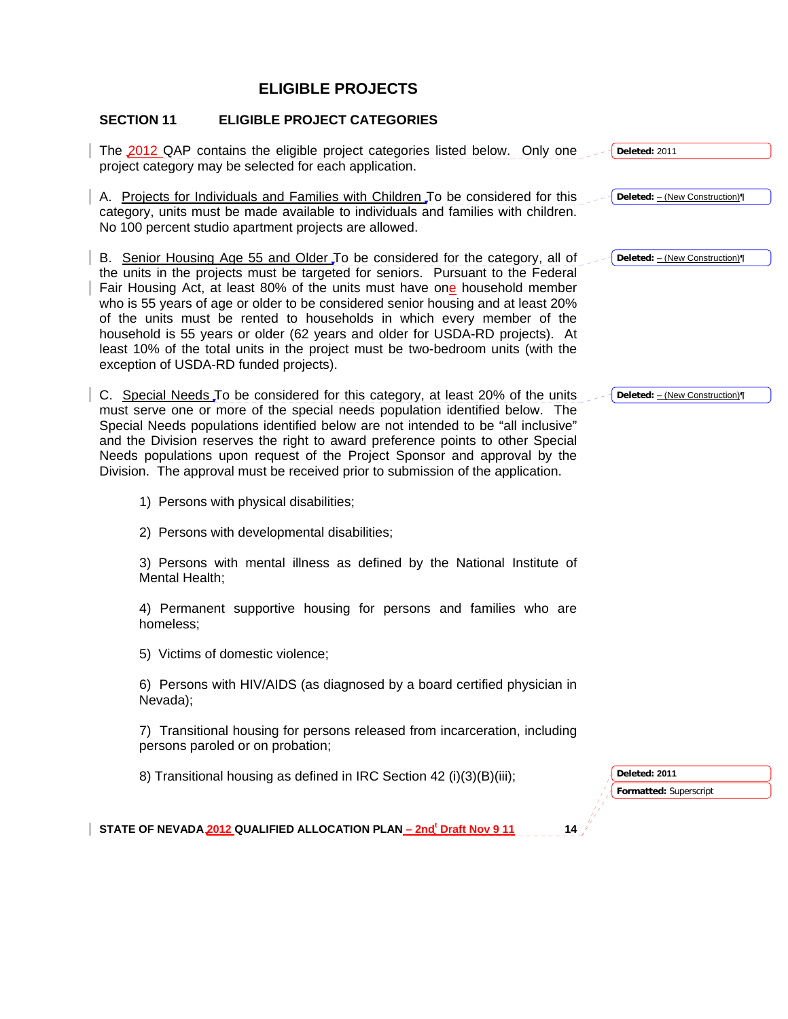# **ELIGIBLE PROJECTS**

# **SECTION 11 ELIGIBLE PROJECT CATEGORIES**

| The 2012 QAP contains the eligible project categories listed below. Only one<br>project category may be selected for each application.                                                                                                                                                                                                                                                                                                                                                                                                                                                                                   | Deleted: 2011                           |
|--------------------------------------------------------------------------------------------------------------------------------------------------------------------------------------------------------------------------------------------------------------------------------------------------------------------------------------------------------------------------------------------------------------------------------------------------------------------------------------------------------------------------------------------------------------------------------------------------------------------------|-----------------------------------------|
| A. Projects for Individuals and Families with Children To be considered for this<br>category, units must be made available to individuals and families with children.<br>No 100 percent studio apartment projects are allowed.                                                                                                                                                                                                                                                                                                                                                                                           | Deleted: - (New Construction)           |
| B. Senior Housing Age 55 and Older To be considered for the category, all of<br>the units in the projects must be targeted for seniors. Pursuant to the Federal<br>Fair Housing Act, at least 80% of the units must have one household member<br>who is 55 years of age or older to be considered senior housing and at least 20%<br>of the units must be rented to households in which every member of the<br>household is 55 years or older (62 years and older for USDA-RD projects). At<br>least 10% of the total units in the project must be two-bedroom units (with the<br>exception of USDA-RD funded projects). | Deleted: - (New Construction)           |
| C. Special Needs To be considered for this category, at least 20% of the units<br>must serve one or more of the special needs population identified below. The<br>Special Needs populations identified below are not intended to be "all inclusive"<br>and the Division reserves the right to award preference points to other Special<br>Needs populations upon request of the Project Sponsor and approval by the<br>Division. The approval must be received prior to submission of the application.                                                                                                                   | Deleted: - (New Construction)           |
| 1) Persons with physical disabilities;                                                                                                                                                                                                                                                                                                                                                                                                                                                                                                                                                                                   |                                         |
| 2) Persons with developmental disabilities;                                                                                                                                                                                                                                                                                                                                                                                                                                                                                                                                                                              |                                         |
| 3) Persons with mental illness as defined by the National Institute of<br>Mental Health;                                                                                                                                                                                                                                                                                                                                                                                                                                                                                                                                 |                                         |
| 4) Permanent supportive housing for persons and families who are<br>homeless;                                                                                                                                                                                                                                                                                                                                                                                                                                                                                                                                            |                                         |
| 5) Victims of domestic violence;                                                                                                                                                                                                                                                                                                                                                                                                                                                                                                                                                                                         |                                         |
| 6) Persons with HIV/AIDS (as diagnosed by a board certified physician in<br>Nevada);                                                                                                                                                                                                                                                                                                                                                                                                                                                                                                                                     |                                         |
| 7) Transitional housing for persons released from incarceration, including<br>persons paroled or on probation;                                                                                                                                                                                                                                                                                                                                                                                                                                                                                                           |                                         |
| 8) Transitional housing as defined in IRC Section 42 (i)(3)(B)(iii);                                                                                                                                                                                                                                                                                                                                                                                                                                                                                                                                                     | Deleted: 2011<br>Formatted: Superscript |
| STATE OF NEVADA 2012 QUALIFIED ALLOCATION PLAN - 2nd <sup>t</sup> Draft Nov 9 11<br>14                                                                                                                                                                                                                                                                                                                                                                                                                                                                                                                                   |                                         |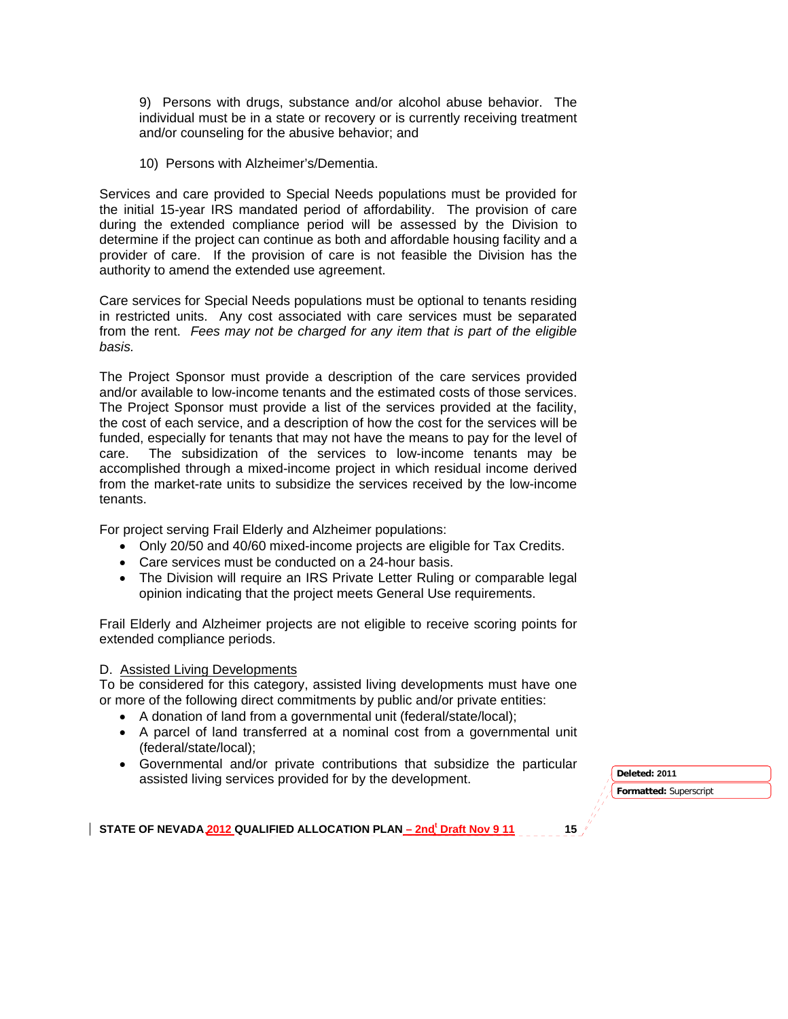9) Persons with drugs, substance and/or alcohol abuse behavior. The individual must be in a state or recovery or is currently receiving treatment and/or counseling for the abusive behavior; and

10) Persons with Alzheimer's/Dementia.

Services and care provided to Special Needs populations must be provided for the initial 15-year IRS mandated period of affordability. The provision of care during the extended compliance period will be assessed by the Division to determine if the project can continue as both and affordable housing facility and a provider of care. If the provision of care is not feasible the Division has the authority to amend the extended use agreement.

Care services for Special Needs populations must be optional to tenants residing in restricted units. Any cost associated with care services must be separated from the rent. *Fees may not be charged for any item that is part of the eligible basis.*

The Project Sponsor must provide a description of the care services provided and/or available to low-income tenants and the estimated costs of those services. The Project Sponsor must provide a list of the services provided at the facility, the cost of each service, and a description of how the cost for the services will be funded, especially for tenants that may not have the means to pay for the level of care. The subsidization of the services to low-income tenants may be accomplished through a mixed-income project in which residual income derived from the market-rate units to subsidize the services received by the low-income tenants.

For project serving Frail Elderly and Alzheimer populations:

- Only 20/50 and 40/60 mixed-income projects are eligible for Tax Credits.
- Care services must be conducted on a 24-hour basis.
- The Division will require an IRS Private Letter Ruling or comparable legal opinion indicating that the project meets General Use requirements.

Frail Elderly and Alzheimer projects are not eligible to receive scoring points for extended compliance periods.

#### D. Assisted Living Developments

To be considered for this category, assisted living developments must have one or more of the following direct commitments by public and/or private entities:

- A donation of land from a governmental unit (federal/state/local);
- A parcel of land transferred at a nominal cost from a governmental unit (federal/state/local);
- Governmental and/or private contributions that subsidize the particular assisted living services provided for by the development. **Deleted: <sup>2011</sup>**

**Formatted:** Superscript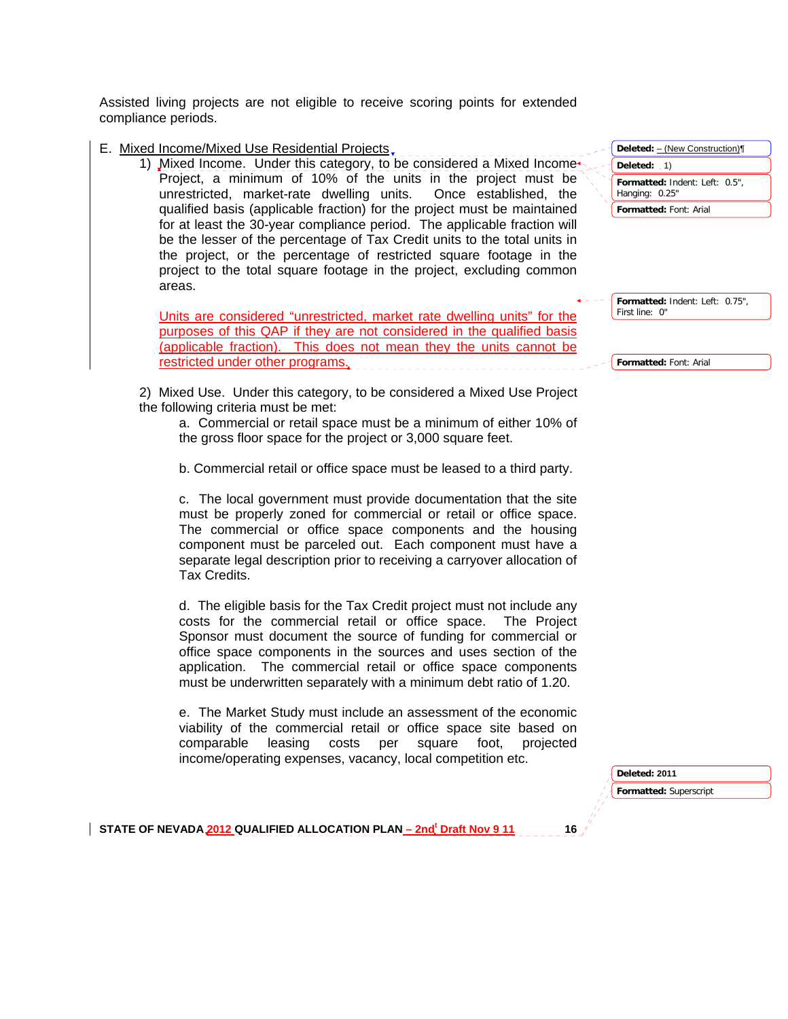Assisted living projects are not eligible to receive scoring points for extended compliance periods.

E. Mixed Income/Mixed Use Residential Projects

1) Mixed Income. Under this category, to be considered a Mixed Income Project, a minimum of 10% of the units in the project must be unrestricted, market-rate dwelling units. Once established, the qualified basis (applicable fraction) for the project must be maintained for at least the 30-year compliance period. The applicable fraction will be the lesser of the percentage of Tax Credit units to the total units in the project, or the percentage of restricted square footage in the project to the total square footage in the project, excluding common areas.

Units are considered "unrestricted, market rate dwelling units" for the purposes of this QAP if they are not considered in the qualified basis (applicable fraction). This does not mean they the units cannot be restricted under other programs.

 2) Mixed Use. Under this category, to be considered a Mixed Use Project the following criteria must be met:

a. Commercial or retail space must be a minimum of either 10% of the gross floor space for the project or 3,000 square feet.

b. Commercial retail or office space must be leased to a third party.

c. The local government must provide documentation that the site must be properly zoned for commercial or retail or office space. The commercial or office space components and the housing component must be parceled out. Each component must have a separate legal description prior to receiving a carryover allocation of Tax Credits.

d. The eligible basis for the Tax Credit project must not include any costs for the commercial retail or office space. The Project Sponsor must document the source of funding for commercial or office space components in the sources and uses section of the application. The commercial retail or office space components must be underwritten separately with a minimum debt ratio of 1.20.

e. The Market Study must include an assessment of the economic viability of the commercial retail or office space site based on comparable leasing costs per square foot, projected income/operating expenses, vacancy, local competition etc.

| Deleted: - (New Construction)                    |  |
|--------------------------------------------------|--|
| Deleted: $.1)$                                   |  |
| Formatted: Indent: Left: 0.5",<br>Hanging: 0.25" |  |
| <b>Formatted: Font: Arial</b>                    |  |

**Formatted:** Indent: Left: 0.75", First line: 0"

**Formatted:** Font: Arial

**Deleted: 2011** 

**Formatted:** Superscript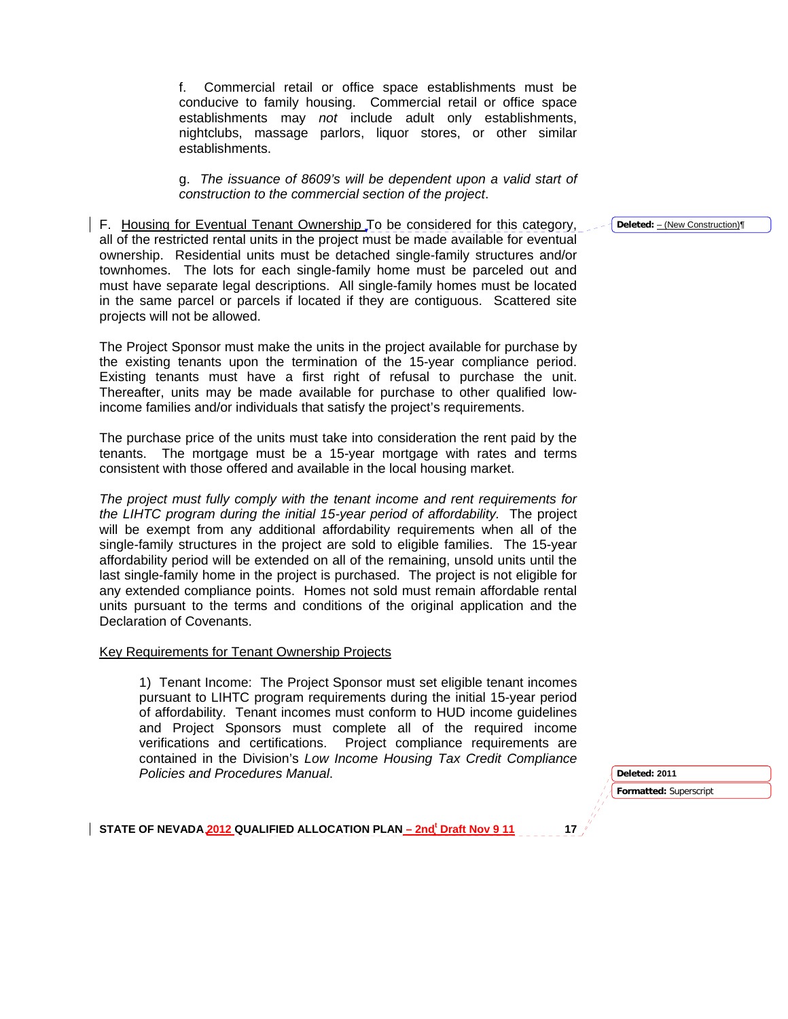f. Commercial retail or office space establishments must be conducive to family housing. Commercial retail or office space establishments may *not* include adult only establishments, nightclubs, massage parlors, liquor stores, or other similar establishments.

g. *The issuance of 8609's will be dependent upon a valid start of construction to the commercial section of the project*.

F. Housing for Eventual Tenant Ownership To be considered for this category, all of the restricted rental units in the project must be made available for eventual ownership. Residential units must be detached single-family structures and/or townhomes. The lots for each single-family home must be parceled out and must have separate legal descriptions. All single-family homes must be located in the same parcel or parcels if located if they are contiguous. Scattered site projects will not be allowed.

The Project Sponsor must make the units in the project available for purchase by the existing tenants upon the termination of the 15-year compliance period. Existing tenants must have a first right of refusal to purchase the unit. Thereafter, units may be made available for purchase to other qualified lowincome families and/or individuals that satisfy the project's requirements.

The purchase price of the units must take into consideration the rent paid by the tenants. The mortgage must be a 15-year mortgage with rates and terms consistent with those offered and available in the local housing market.

*The project must fully comply with the tenant income and rent requirements for the LIHTC program during the initial 15-year period of affordability.* The project will be exempt from any additional affordability requirements when all of the single-family structures in the project are sold to eligible families. The 15-year affordability period will be extended on all of the remaining, unsold units until the last single-family home in the project is purchased. The project is not eligible for any extended compliance points. Homes not sold must remain affordable rental units pursuant to the terms and conditions of the original application and the Declaration of Covenants.

#### Key Requirements for Tenant Ownership Projects

1) Tenant Income: The Project Sponsor must set eligible tenant incomes pursuant to LIHTC program requirements during the initial 15-year period of affordability. Tenant incomes must conform to HUD income guidelines and Project Sponsors must complete all of the required income verifications and certifications. Project compliance requirements are contained in the Division's *Low Income Housing Tax Credit Compliance Policies and Procedures Manual*.

**Formatted:** Superscript **Deleted: 2011** 

STATE OF NEVADA 2012 QUALIFIED ALLOCATION PLAN <u>– 2nd<sup>t</sup> Draft Nov 9 11</u> 17

**Deleted:** – (New Construction)¶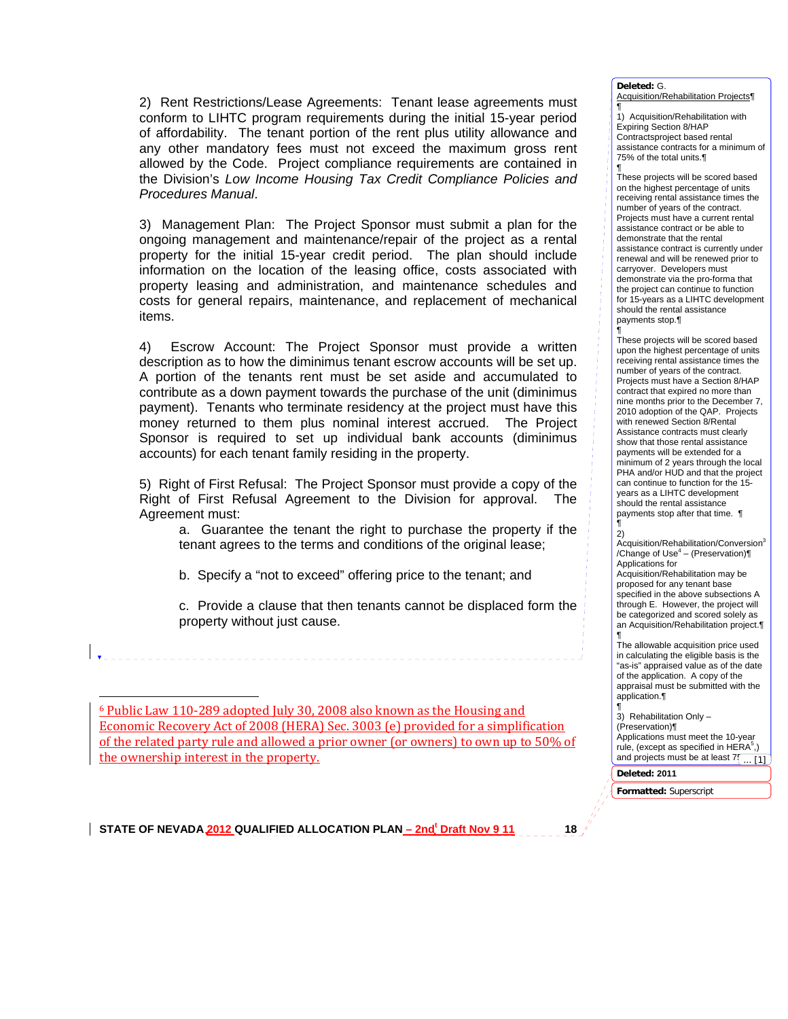2) Rent Restrictions/Lease Agreements: Tenant lease agreements must conform to LIHTC program requirements during the initial 15-year period of affordability. The tenant portion of the rent plus utility allowance and any other mandatory fees must not exceed the maximum gross rent allowed by the Code. Project compliance requirements are contained in the Division's *Low Income Housing Tax Credit Compliance Policies and Procedures Manual*.

3) Management Plan: The Project Sponsor must submit a plan for the ongoing management and maintenance/repair of the project as a rental property for the initial 15-year credit period. The plan should include information on the location of the leasing office, costs associated with property leasing and administration, and maintenance schedules and costs for general repairs, maintenance, and replacement of mechanical items.

4) Escrow Account: The Project Sponsor must provide a written description as to how the diminimus tenant escrow accounts will be set up. A portion of the tenants rent must be set aside and accumulated to contribute as a down payment towards the purchase of the unit (diminimus payment). Tenants who terminate residency at the project must have this money returned to them plus nominal interest accrued. The Project Sponsor is required to set up individual bank accounts (diminimus accounts) for each tenant family residing in the property.

5) Right of First Refusal: The Project Sponsor must provide a copy of the Right of First Refusal Agreement to the Division for approval. The Agreement must:

a. Guarantee the tenant the right to purchase the property if the tenant agrees to the terms and conditions of the original lease;

b. Specify a "not to exceed" offering price to the tenant; and

c. Provide a clause that then tenants cannot be displaced form the property without just cause.

6 Public Law 110‐289 adopted July 30, 2008 also known as the Housing and Economic Recovery Act of 2008 (HERA) Sec. 3003 (e) provided for a simplification of the related party rule and allowed a prior owner (or owners) to own up to 50% of the ownership interest in the property.

STATE OF NEVADA 2012 QUALIFIED ALLOCATION PLAN <u>– 2nd<sup>t</sup> Draft Nov 9 11</u> 18

**Deleted:** G. Acquisition/Rehabilitation Projects¶

¶ 1) Acquisition/Rehabilitation with Expiring Section 8/HAP Contractsproject based rental assistance contracts for a minimum of 75% of the total units.¶

¶ These projects will be scored based on the highest percentage of units receiving rental assistance times the number of years of the contract. Projects must have a current rental assistance contract or be able to demonstrate that the rental assistance contract is currently under renewal and will be renewed prior to carryover. Developers must demonstrate via the pro-forma that the project can continue to function for 15-years as a LIHTC development should the rental assistance payments stop.¶

¶ These projects will be scored based upon the highest percentage of units receiving rental assistance times the number of years of the contract. Projects must have a Section 8/HAP contract that expired no more than nine months prior to the December 7, 2010 adoption of the QAP. Projects with renewed Section 8/Rental Assistance contracts must clearly show that those rental assistance payments will be extended for a minimum of 2 years through the local PHA and/or HUD and that the project can continue to function for the 15 years as a LIHTC development should the rental assistance payments stop after that time. ¶

¶ 2)

Acquisition/Rehabilitation/Conversion3 /Change of Use<sup>4</sup> – (Preservation) $\P$ Applications for Acquisition/Rehabilitation may be proposed for any tenant base specified in the above subsections A through E. However, the project will be categorized and scored solely as an Acquisition/Rehabilitation project.¶ ¶

The allowable acquisition price used in calculating the eligible basis is the "as-is" appraised value as of the date of the application. A copy of the appraisal must be submitted with the application.¶

¶ 3) Rehabilitation Only – (Preservation)¶ Applications must meet the 10-year rule, (except as specified in  $HERA<sup>5</sup>$ .) and projects must be at least  $7\left(\frac{1}{\cdots\left[1\right]}\right)$ 

**Deleted: 2011** 

**Formatted:** Superscript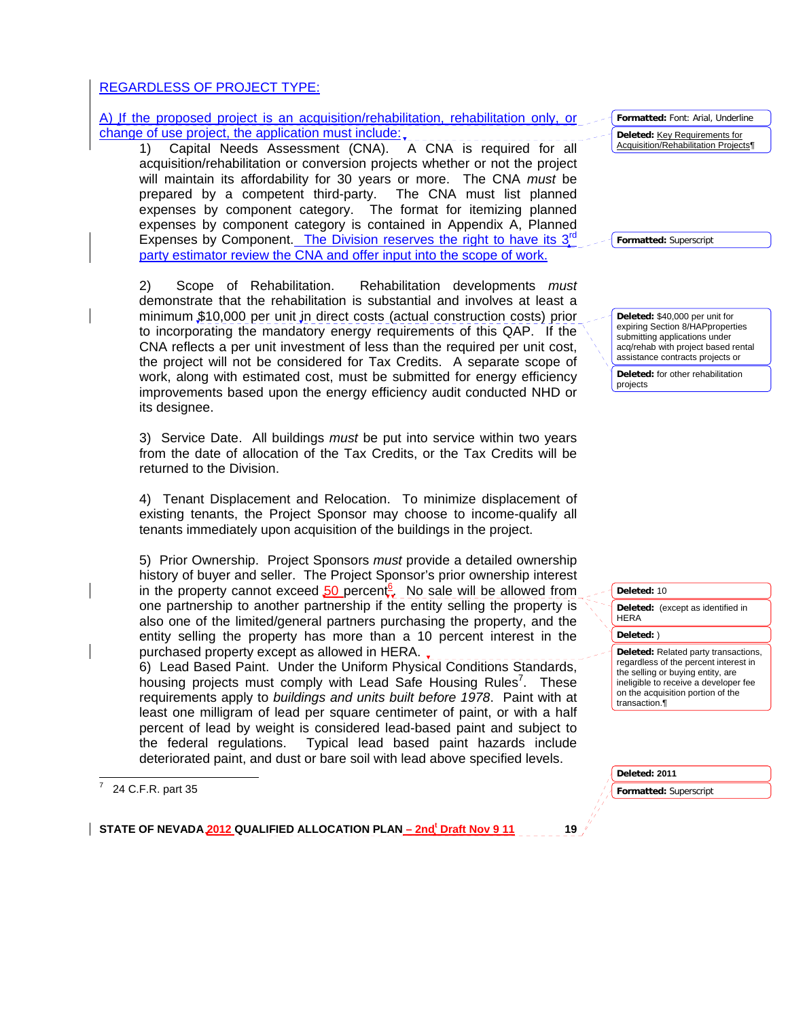## REGARDLESS OF PROJECT TYPE:

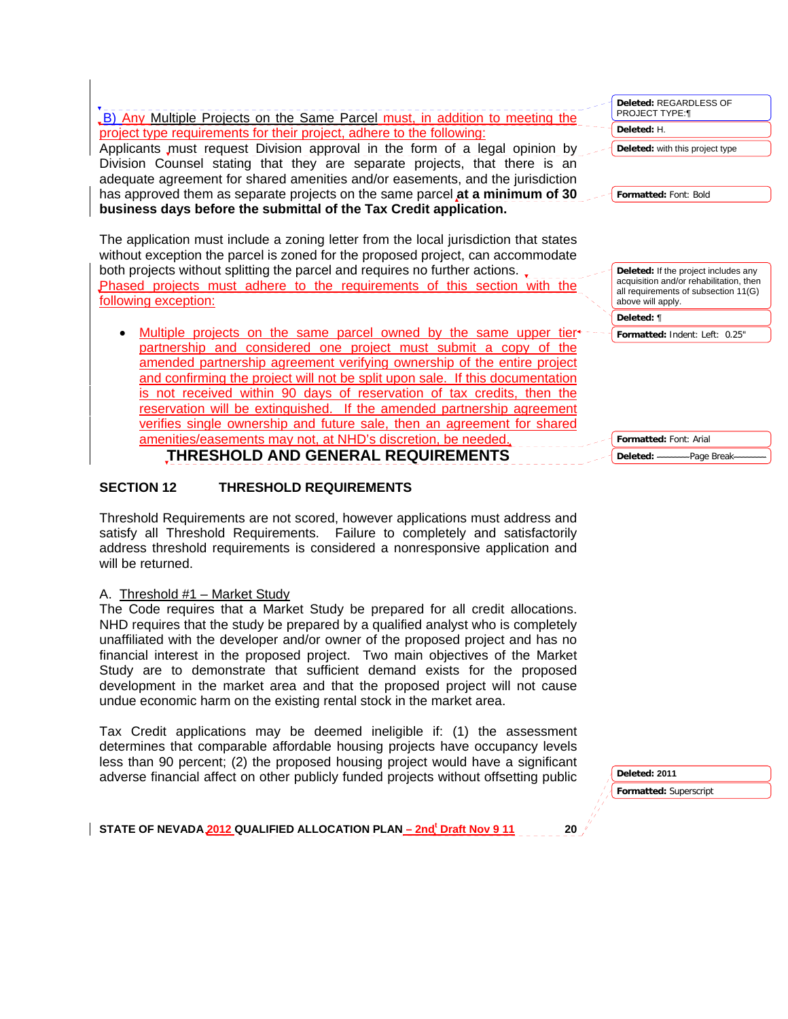| B) Any Multiple Projects on the Same Parcel must, in addition to meeting the                                                                                            | Deleted: REGARDLESS OF<br>PROJECT TYPE:¶                                        |
|-------------------------------------------------------------------------------------------------------------------------------------------------------------------------|---------------------------------------------------------------------------------|
| project type requirements for their project, adhere to the following:                                                                                                   | Deleted: H.                                                                     |
| Applicants must request Division approval in the form of a legal opinion by                                                                                             | Deleted: with this project type                                                 |
| Division Counsel stating that they are separate projects, that there is an                                                                                              |                                                                                 |
| adequate agreement for shared amenities and/or easements, and the jurisdiction                                                                                          |                                                                                 |
| has approved them as separate projects on the same parcel at a minimum of 30                                                                                            | Formatted: Font: Bold                                                           |
| business days before the submittal of the Tax Credit application.                                                                                                       |                                                                                 |
|                                                                                                                                                                         |                                                                                 |
| The application must include a zoning letter from the local jurisdiction that states<br>without exception the parcel is zoned for the proposed project, can accommodate |                                                                                 |
| both projects without splitting the parcel and requires no further actions                                                                                              | Deleted: If the project includes any<br>acquisition and/or rehabilitation, then |
| Phased projects must adhere to the requirements of this section with the<br>following exception:                                                                        | all requirements of subsection 11(G)<br>above will apply.                       |
|                                                                                                                                                                         | Deleted: ¶                                                                      |
| Multiple projects on the same parcel owned by the same upper tier-                                                                                                      | Formatted: Indent: Left: 0.25"                                                  |
| partnership and considered one project must submit a copy of the                                                                                                        |                                                                                 |
| amended partnership agreement verifying ownership of the entire project                                                                                                 |                                                                                 |
| and confirming the project will not be split upon sale. If this documentation                                                                                           |                                                                                 |
| is not received within 90 days of reservation of tax credits, then the                                                                                                  |                                                                                 |
| reservation will be extinguished. If the amended partnership agreement                                                                                                  |                                                                                 |
| verifies single ownership and future sale, then an agreement for shared                                                                                                 |                                                                                 |
| amenities/easements may not, at NHD's discretion, be needed.                                                                                                            | Formatted: Font: Arial                                                          |
| THRESHOLD AND GENERAL REQUIREMENTS                                                                                                                                      |                                                                                 |

## **SECTION 12 THRESHOLD REQUIREMENTS**

Threshold Requirements are not scored, however applications must address and satisfy all Threshold Requirements. Failure to completely and satisfactorily address threshold requirements is considered a nonresponsive application and will be returned.

### A. Threshold #1 – Market Study

The Code requires that a Market Study be prepared for all credit allocations. NHD requires that the study be prepared by a qualified analyst who is completely unaffiliated with the developer and/or owner of the proposed project and has no financial interest in the proposed project. Two main objectives of the Market Study are to demonstrate that sufficient demand exists for the proposed development in the market area and that the proposed project will not cause undue economic harm on the existing rental stock in the market area.

Tax Credit applications may be deemed ineligible if: (1) the assessment determines that comparable affordable housing projects have occupancy levels less than 90 percent; (2) the proposed housing project would have a significant adverse financial affect on other publicly funded projects without offsetting public

**Formatted:** Superscript **Deleted: 2011**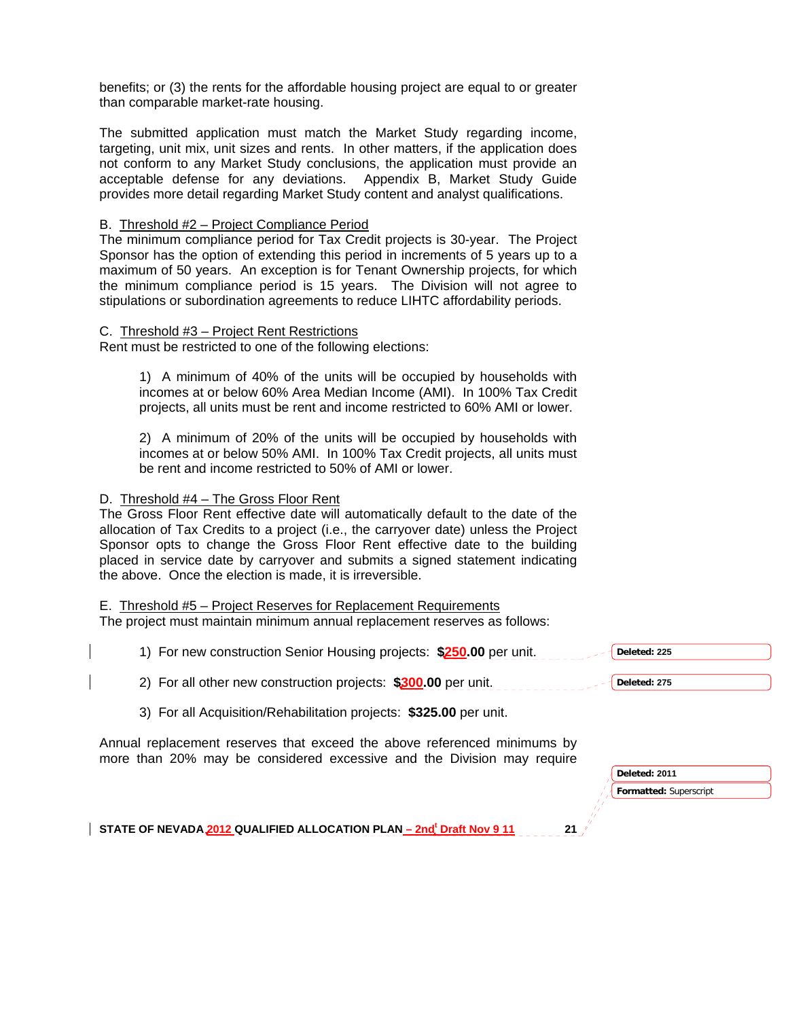benefits; or (3) the rents for the affordable housing project are equal to or greater than comparable market-rate housing.

The submitted application must match the Market Study regarding income, targeting, unit mix, unit sizes and rents. In other matters, if the application does not conform to any Market Study conclusions, the application must provide an acceptable defense for any deviations. Appendix B, Market Study Guide provides more detail regarding Market Study content and analyst qualifications.

#### B. Threshold #2 – Project Compliance Period

The minimum compliance period for Tax Credit projects is 30-year. The Project Sponsor has the option of extending this period in increments of 5 years up to a maximum of 50 years. An exception is for Tenant Ownership projects, for which the minimum compliance period is 15 years. The Division will not agree to stipulations or subordination agreements to reduce LIHTC affordability periods.

#### C. Threshold #3 – Project Rent Restrictions

Rent must be restricted to one of the following elections:

1) A minimum of 40% of the units will be occupied by households with incomes at or below 60% Area Median Income (AMI). In 100% Tax Credit projects, all units must be rent and income restricted to 60% AMI or lower.

2) A minimum of 20% of the units will be occupied by households with incomes at or below 50% AMI. In 100% Tax Credit projects, all units must be rent and income restricted to 50% of AMI or lower.

#### D. Threshold #4 – The Gross Floor Rent

The Gross Floor Rent effective date will automatically default to the date of the allocation of Tax Credits to a project (i.e., the carryover date) unless the Project Sponsor opts to change the Gross Floor Rent effective date to the building placed in service date by carryover and submits a signed statement indicating the above. Once the election is made, it is irreversible.

#### E. Threshold #5 – Project Reserves for Replacement Requirements

The project must maintain minimum annual replacement reserves as follows:

1) For new construction Senior Housing projects: **\$250.00** per unit.

2) For all other new construction projects: **\$300.00** per unit.

3) For all Acquisition/Rehabilitation projects: **\$325.00** per unit.

Annual replacement reserves that exceed the above referenced minimums by more than 20% may be considered excessive and the Division may require

| Deleted: 2011          |  |
|------------------------|--|
| Formatted: Superscript |  |

**Deleted: 225**

**Deleted: 275**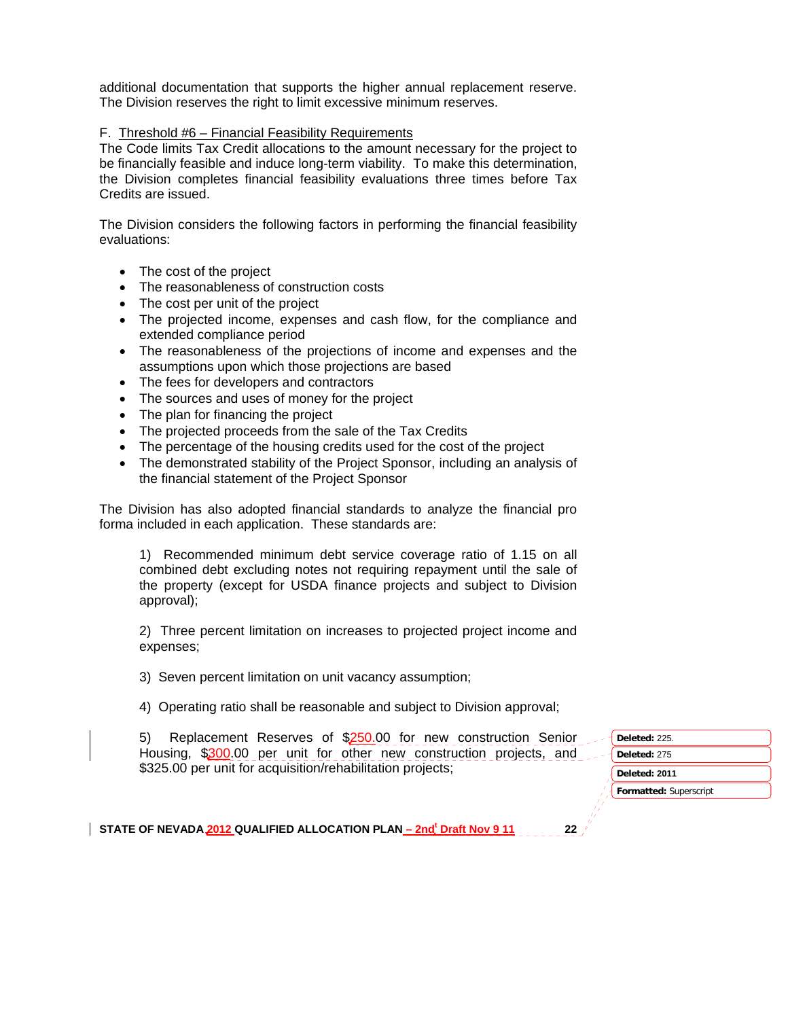additional documentation that supports the higher annual replacement reserve. The Division reserves the right to limit excessive minimum reserves.

### F. Threshold #6 – Financial Feasibility Requirements

The Code limits Tax Credit allocations to the amount necessary for the project to be financially feasible and induce long-term viability. To make this determination, the Division completes financial feasibility evaluations three times before Tax Credits are issued.

The Division considers the following factors in performing the financial feasibility evaluations:

- The cost of the project
- The reasonableness of construction costs
- The cost per unit of the project
- The projected income, expenses and cash flow, for the compliance and extended compliance period
- The reasonableness of the projections of income and expenses and the assumptions upon which those projections are based
- The fees for developers and contractors
- The sources and uses of money for the project
- The plan for financing the project
- The projected proceeds from the sale of the Tax Credits
- The percentage of the housing credits used for the cost of the project
- The demonstrated stability of the Project Sponsor, including an analysis of the financial statement of the Project Sponsor

The Division has also adopted financial standards to analyze the financial pro forma included in each application. These standards are:

1) Recommended minimum debt service coverage ratio of 1.15 on all combined debt excluding notes not requiring repayment until the sale of the property (except for USDA finance projects and subject to Division approval);

2) Three percent limitation on increases to projected project income and expenses;

3) Seven percent limitation on unit vacancy assumption;

4) Operating ratio shall be reasonable and subject to Division approval;

5) Replacement Reserves of \$250.00 for new construction Senior Housing, \$300.00 per unit for other new construction projects, and \$325.00 per unit for acquisition/rehabilitation projects;

| Deleted: 225. |
|---------------|
| Deleted: 275  |
|               |
| Deleted: 2011 |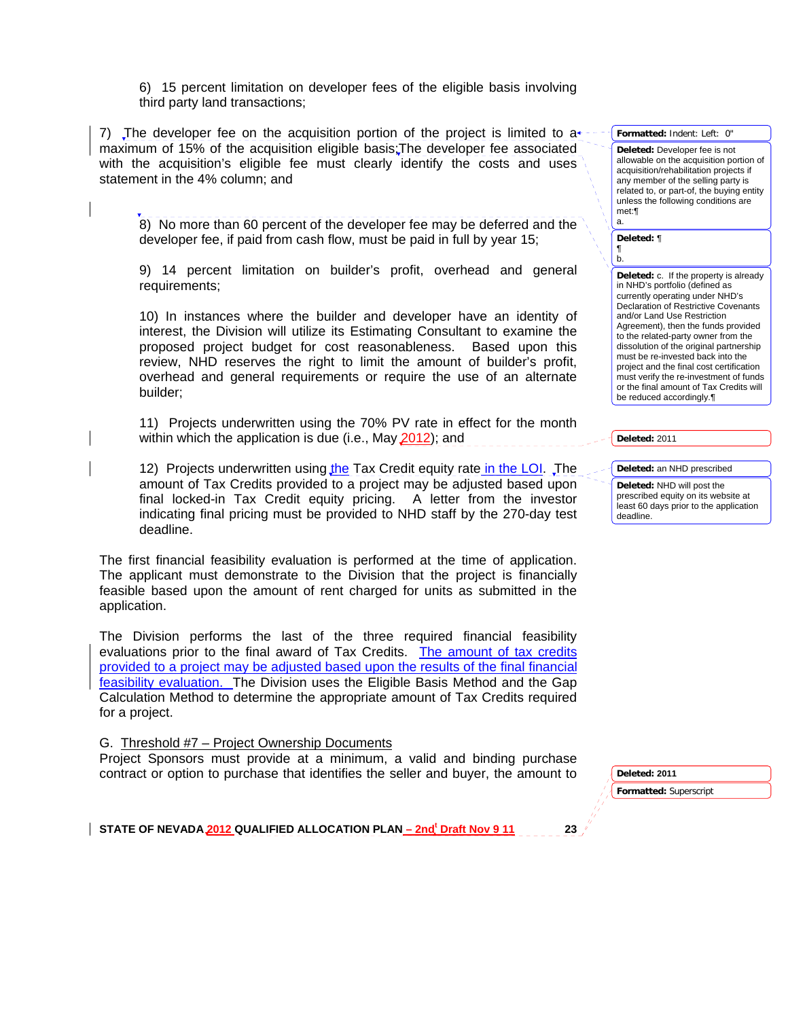6) 15 percent limitation on developer fees of the eligible basis involving third party land transactions;

7) The developer fee on the acquisition portion of the project is limited to  $a<sup>*</sup>$ maximum of 15% of the acquisition eligible basis;The developer fee associated with the acquisition's eligible fee must clearly identify the costs and uses statement in the 4% column; and

8) No more than 60 percent of the developer fee may be deferred and the developer fee, if paid from cash flow, must be paid in full by year 15;

9) 14 percent limitation on builder's profit, overhead and general requirements;

10) In instances where the builder and developer have an identity of interest, the Division will utilize its Estimating Consultant to examine the proposed project budget for cost reasonableness. Based upon this review, NHD reserves the right to limit the amount of builder's profit, overhead and general requirements or require the use of an alternate builder;

11) Projects underwritten using the 70% PV rate in effect for the month within which the application is due (i.e., May 2012); and

12) Projects underwritten using the Tax Credit equity rate in the LOI. The amount of Tax Credits provided to a project may be adjusted based upon final locked-in Tax Credit equity pricing. A letter from the investor indicating final pricing must be provided to NHD staff by the 270-day test deadline.

The first financial feasibility evaluation is performed at the time of application. The applicant must demonstrate to the Division that the project is financially feasible based upon the amount of rent charged for units as submitted in the application.

The Division performs the last of the three required financial feasibility evaluations prior to the final award of Tax Credits. The amount of tax credits provided to a project may be adjusted based upon the results of the final financial feasibility evaluation. The Division uses the Eligible Basis Method and the Gap Calculation Method to determine the appropriate amount of Tax Credits required for a project.

G. Threshold #7 – Project Ownership Documents

Project Sponsors must provide at a minimum, a valid and binding purchase contract or option to purchase that identifies the seller and buyer, the amount to

allowable on the acquisition portion of acquisition/rehabilitation projects if any member of the selling party is related to, or part-of, the buying entity unless the following conditions are met:¶ a. **Deleted:** ¶ ¶ b. **Deleted:** c. If the property is already in NHD's portfolio (defined as currently operating under NHD's Declaration of Restrictive Covenants and/or Land Use Restriction Agreement), then the funds provided to the related-party owner from the dissolution of the original partnership must be re-invested back into the

project and the final cost certification must verify the re-investment of funds or the final amount of Tax Credits will

**Formatted:** Indent: Left: 0" **Deleted:** Developer fee is not

**Deleted:** 2011

**Deleted:** an NHD prescribed

be reduced accordingly.¶

**Deleted:** NHD will post the prescribed equity on its website at least 60 days prior to the application deadline.

**Deleted: 2011** 

**Formatted:** Superscript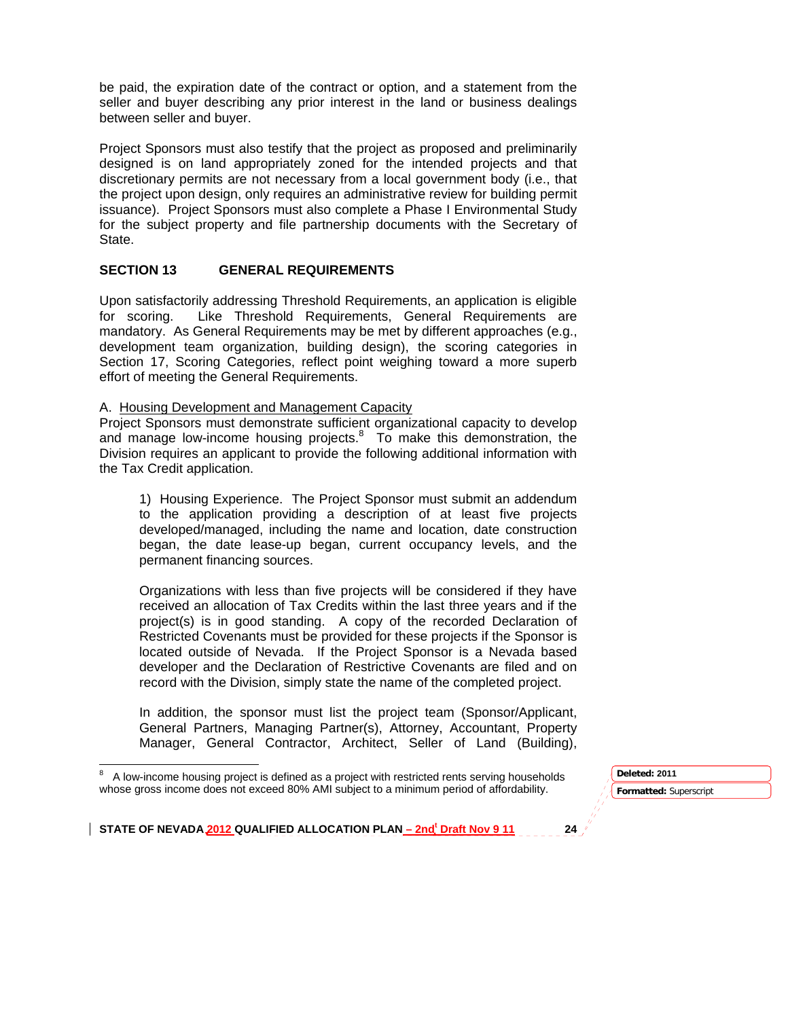be paid, the expiration date of the contract or option, and a statement from the seller and buyer describing any prior interest in the land or business dealings between seller and buyer.

Project Sponsors must also testify that the project as proposed and preliminarily designed is on land appropriately zoned for the intended projects and that discretionary permits are not necessary from a local government body (i.e., that the project upon design, only requires an administrative review for building permit issuance). Project Sponsors must also complete a Phase I Environmental Study for the subject property and file partnership documents with the Secretary of State.

### **SECTION 13 GENERAL REQUIREMENTS**

Upon satisfactorily addressing Threshold Requirements, an application is eligible for scoring. Like Threshold Requirements, General Requirements are mandatory. As General Requirements may be met by different approaches (e.g., development team organization, building design), the scoring categories in Section 17, Scoring Categories, reflect point weighing toward a more superb effort of meeting the General Requirements.

#### A. Housing Development and Management Capacity

Project Sponsors must demonstrate sufficient organizational capacity to develop and manage low-income housing projects. $8$  To make this demonstration, the Division requires an applicant to provide the following additional information with the Tax Credit application.

1) Housing Experience. The Project Sponsor must submit an addendum to the application providing a description of at least five projects developed/managed, including the name and location, date construction began, the date lease-up began, current occupancy levels, and the permanent financing sources.

Organizations with less than five projects will be considered if they have received an allocation of Tax Credits within the last three years and if the project(s) is in good standing. A copy of the recorded Declaration of Restricted Covenants must be provided for these projects if the Sponsor is located outside of Nevada. If the Project Sponsor is a Nevada based developer and the Declaration of Restrictive Covenants are filed and on record with the Division, simply state the name of the completed project.

In addition, the sponsor must list the project team (Sponsor/Applicant, General Partners, Managing Partner(s), Attorney, Accountant, Property Manager, General Contractor, Architect, Seller of Land (Building),

**Formatted:** Superscript **Deleted: 2011** 

<sup>8</sup> A low-income housing project is defined as a project with restricted rents serving households whose gross income does not exceed 80% AMI subject to a minimum period of affordability.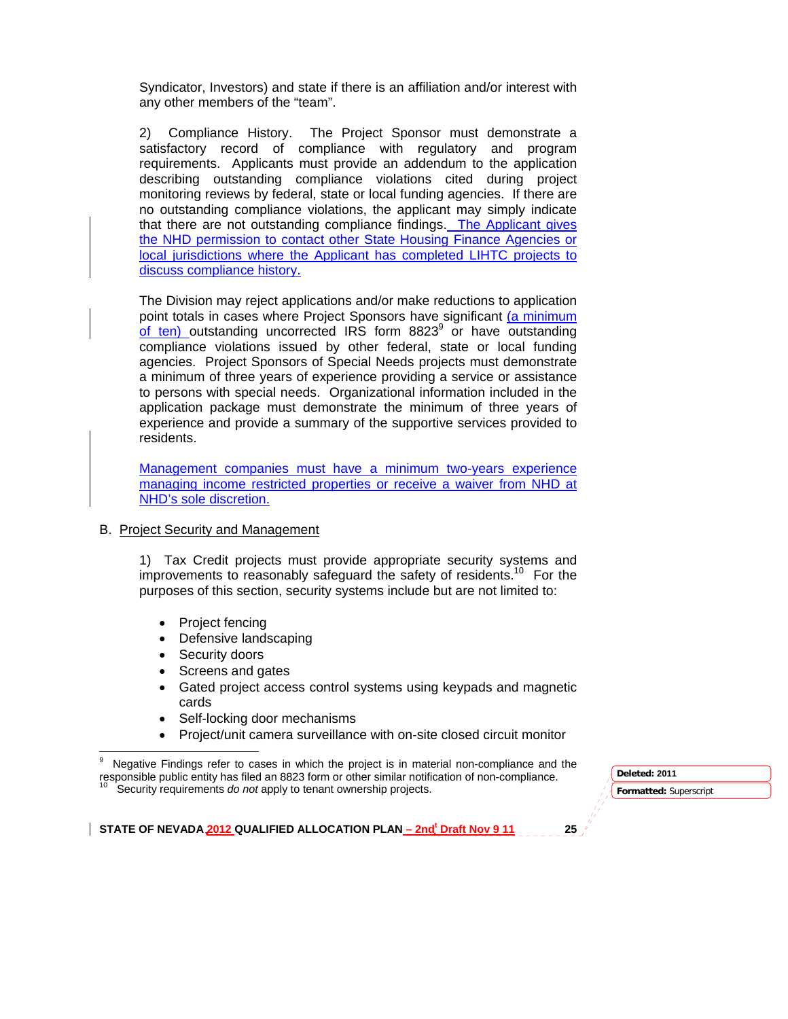Syndicator, Investors) and state if there is an affiliation and/or interest with any other members of the "team".

2) Compliance History. The Project Sponsor must demonstrate a satisfactory record of compliance with regulatory and program requirements. Applicants must provide an addendum to the application describing outstanding compliance violations cited during project monitoring reviews by federal, state or local funding agencies. If there are no outstanding compliance violations, the applicant may simply indicate that there are not outstanding compliance findings. The Applicant gives the NHD permission to contact other State Housing Finance Agencies or local jurisdictions where the Applicant has completed LIHTC projects to discuss compliance history.

The Division may reject applications and/or make reductions to application point totals in cases where Project Sponsors have significant (a minimum  $of$  ten) outstanding uncorrected IRS form 8823 $9$  or have outstanding compliance violations issued by other federal, state or local funding agencies. Project Sponsors of Special Needs projects must demonstrate a minimum of three years of experience providing a service or assistance to persons with special needs. Organizational information included in the application package must demonstrate the minimum of three years of experience and provide a summary of the supportive services provided to residents.

Management companies must have a minimum two-years experience managing income restricted properties or receive a waiver from NHD at NHD's sole discretion.

B. Project Security and Management

1) Tax Credit projects must provide appropriate security systems and improvements to reasonably safeguard the safety of residents.<sup>10</sup> For the purposes of this section, security systems include but are not limited to:

- Project fencing
- Defensive landscaping
- Security doors
- Screens and gates
- Gated project access control systems using keypads and magnetic cards
- Self-locking door mechanisms
- Project/unit camera surveillance with on-site closed circuit monitor

Security requirements *do not* apply to tenant ownership projects.

**Formatted:** Superscript **Deleted: 2011** 

<sup>&</sup>lt;u> 1989 - Johann Stein, fransk politik (d. 1989)</u> 9 Negative Findings refer to cases in which the project is in material non-compliance and the responsible public entity has filed an 8823 form or other similar notification of non-compliance.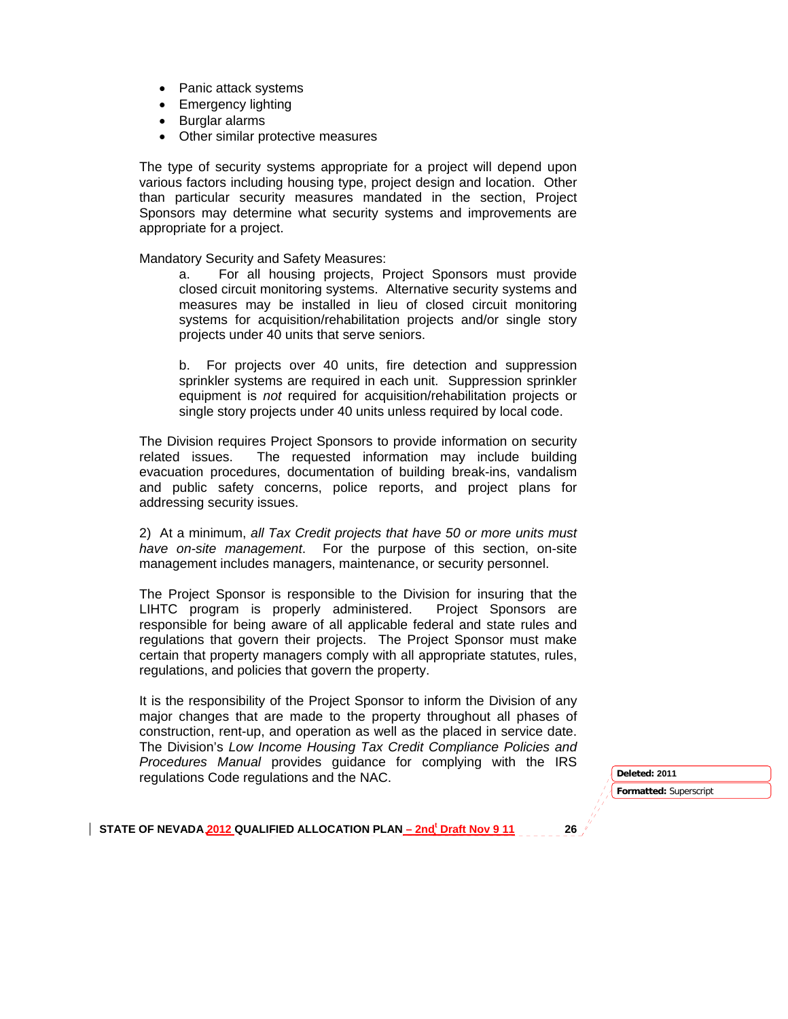- Panic attack systems
- Emergency lighting
- Burglar alarms
- Other similar protective measures

The type of security systems appropriate for a project will depend upon various factors including housing type, project design and location. Other than particular security measures mandated in the section, Project Sponsors may determine what security systems and improvements are appropriate for a project.

Mandatory Security and Safety Measures:

a. For all housing projects, Project Sponsors must provide closed circuit monitoring systems. Alternative security systems and measures may be installed in lieu of closed circuit monitoring systems for acquisition/rehabilitation projects and/or single story projects under 40 units that serve seniors.

b. For projects over 40 units, fire detection and suppression sprinkler systems are required in each unit. Suppression sprinkler equipment is *not* required for acquisition/rehabilitation projects or single story projects under 40 units unless required by local code.

The Division requires Project Sponsors to provide information on security related issues. The requested information may include building evacuation procedures, documentation of building break-ins, vandalism and public safety concerns, police reports, and project plans for addressing security issues.

2) At a minimum, *all Tax Credit projects that have 50 or more units must have on-site management*. For the purpose of this section, on-site management includes managers, maintenance, or security personnel.

The Project Sponsor is responsible to the Division for insuring that the LIHTC program is properly administered. Project Sponsors are responsible for being aware of all applicable federal and state rules and regulations that govern their projects. The Project Sponsor must make certain that property managers comply with all appropriate statutes, rules, regulations, and policies that govern the property.

It is the responsibility of the Project Sponsor to inform the Division of any major changes that are made to the property throughout all phases of construction, rent-up, and operation as well as the placed in service date. The Division's *Low Income Housing Tax Credit Compliance Policies and Procedures Manual* provides guidance for complying with the IRS regulations Code regulations and the NAC. **Deleted: <sup>2011</sup>**

**Formatted:** Superscript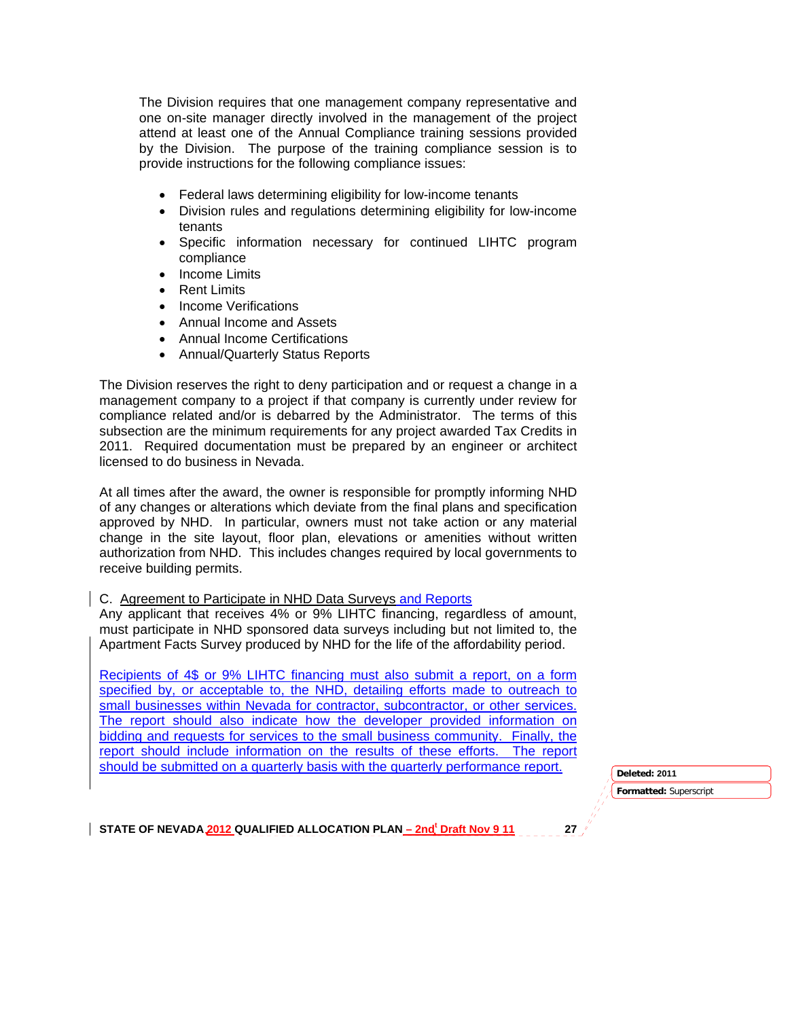The Division requires that one management company representative and one on-site manager directly involved in the management of the project attend at least one of the Annual Compliance training sessions provided by the Division. The purpose of the training compliance session is to provide instructions for the following compliance issues:

- Federal laws determining eligibility for low-income tenants
- Division rules and regulations determining eligibility for low-income tenants
- Specific information necessary for continued LIHTC program compliance
- Income Limits
- Rent Limits
- Income Verifications
- Annual Income and Assets
- Annual Income Certifications
- Annual/Quarterly Status Reports

The Division reserves the right to deny participation and or request a change in a management company to a project if that company is currently under review for compliance related and/or is debarred by the Administrator. The terms of this subsection are the minimum requirements for any project awarded Tax Credits in 2011. Required documentation must be prepared by an engineer or architect licensed to do business in Nevada.

At all times after the award, the owner is responsible for promptly informing NHD of any changes or alterations which deviate from the final plans and specification approved by NHD. In particular, owners must not take action or any material change in the site layout, floor plan, elevations or amenities without written authorization from NHD. This includes changes required by local governments to receive building permits.

#### C. Agreement to Participate in NHD Data Surveys and Reports

Any applicant that receives 4% or 9% LIHTC financing, regardless of amount, must participate in NHD sponsored data surveys including but not limited to, the Apartment Facts Survey produced by NHD for the life of the affordability period.

Recipients of 4\$ or 9% LIHTC financing must also submit a report, on a form specified by, or acceptable to, the NHD, detailing efforts made to outreach to small businesses within Nevada for contractor, subcontractor, or other services. The report should also indicate how the developer provided information on bidding and requests for services to the small business community. Finally, the report should include information on the results of these efforts. The report should be submitted on a quarterly basis with the quarterly performance report.

**Formatted:** Superscript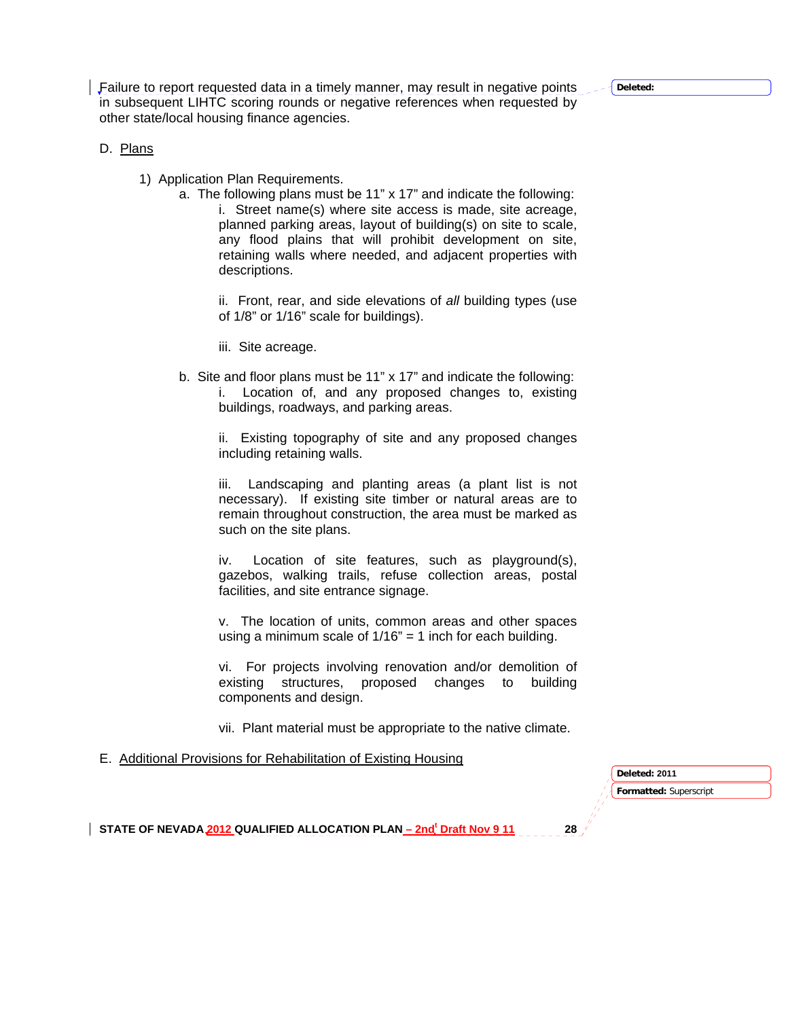**Deleted:** 

Failure to report requested data in a timely manner, may result in negative points in subsequent LIHTC scoring rounds or negative references when requested by other state/local housing finance agencies.

## D. Plans

- 1) Application Plan Requirements.
	- a. The following plans must be 11" x 17" and indicate the following: i. Street name(s) where site access is made, site acreage, planned parking areas, layout of building(s) on site to scale, any flood plains that will prohibit development on site, retaining walls where needed, and adjacent properties with descriptions.

ii. Front, rear, and side elevations of *all* building types (use of 1/8" or 1/16" scale for buildings).

iii. Site acreage.

b. Site and floor plans must be 11" x 17" and indicate the following: i. Location of, and any proposed changes to, existing buildings, roadways, and parking areas.

ii. Existing topography of site and any proposed changes including retaining walls.

iii. Landscaping and planting areas (a plant list is not necessary). If existing site timber or natural areas are to remain throughout construction, the area must be marked as such on the site plans.

iv. Location of site features, such as playground(s), gazebos, walking trails, refuse collection areas, postal facilities, and site entrance signage.

v. The location of units, common areas and other spaces using a minimum scale of  $1/16$ " = 1 inch for each building.

vi. For projects involving renovation and/or demolition of existing structures, proposed changes to building components and design.

vii. Plant material must be appropriate to the native climate.

E. Additional Provisions for Rehabilitation of Existing Housing

**Formatted:** Superscript **Deleted: 2011**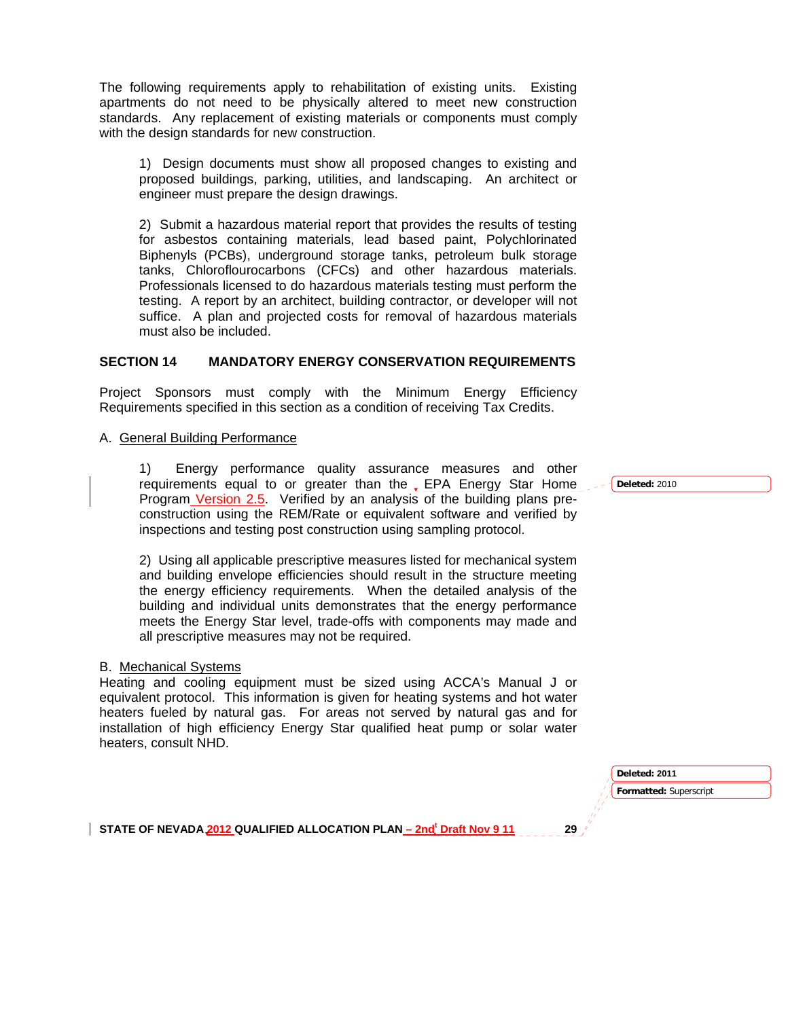The following requirements apply to rehabilitation of existing units. Existing apartments do not need to be physically altered to meet new construction standards. Any replacement of existing materials or components must comply with the design standards for new construction.

1) Design documents must show all proposed changes to existing and proposed buildings, parking, utilities, and landscaping. An architect or engineer must prepare the design drawings.

2) Submit a hazardous material report that provides the results of testing for asbestos containing materials, lead based paint, Polychlorinated Biphenyls (PCBs), underground storage tanks, petroleum bulk storage tanks, Chloroflourocarbons (CFCs) and other hazardous materials. Professionals licensed to do hazardous materials testing must perform the testing. A report by an architect, building contractor, or developer will not suffice. A plan and projected costs for removal of hazardous materials must also be included.

### **SECTION 14 MANDATORY ENERGY CONSERVATION REQUIREMENTS**

Project Sponsors must comply with the Minimum Energy Efficiency Requirements specified in this section as a condition of receiving Tax Credits.

A. General Building Performance

1) Energy performance quality assurance measures and other requirements equal to or greater than the EPA Energy Star Home Program Version 2.5. Verified by an analysis of the building plans preconstruction using the REM/Rate or equivalent software and verified by inspections and testing post construction using sampling protocol.

2) Using all applicable prescriptive measures listed for mechanical system and building envelope efficiencies should result in the structure meeting the energy efficiency requirements. When the detailed analysis of the building and individual units demonstrates that the energy performance meets the Energy Star level, trade-offs with components may made and all prescriptive measures may not be required.

#### B. Mechanical Systems

Heating and cooling equipment must be sized using ACCA's Manual J or equivalent protocol. This information is given for heating systems and hot water heaters fueled by natural gas. For areas not served by natural gas and for installation of high efficiency Energy Star qualified heat pump or solar water heaters, consult NHD.

> **Formatted:** Superscript **Deleted: 2011**

STATE OF NEVADA 2012 QUALIFIED ALLOCATION PLAN <u>– 2nd<sup>t</sup> Draft Nov 9 11</u> 29

**Deleted:** 2010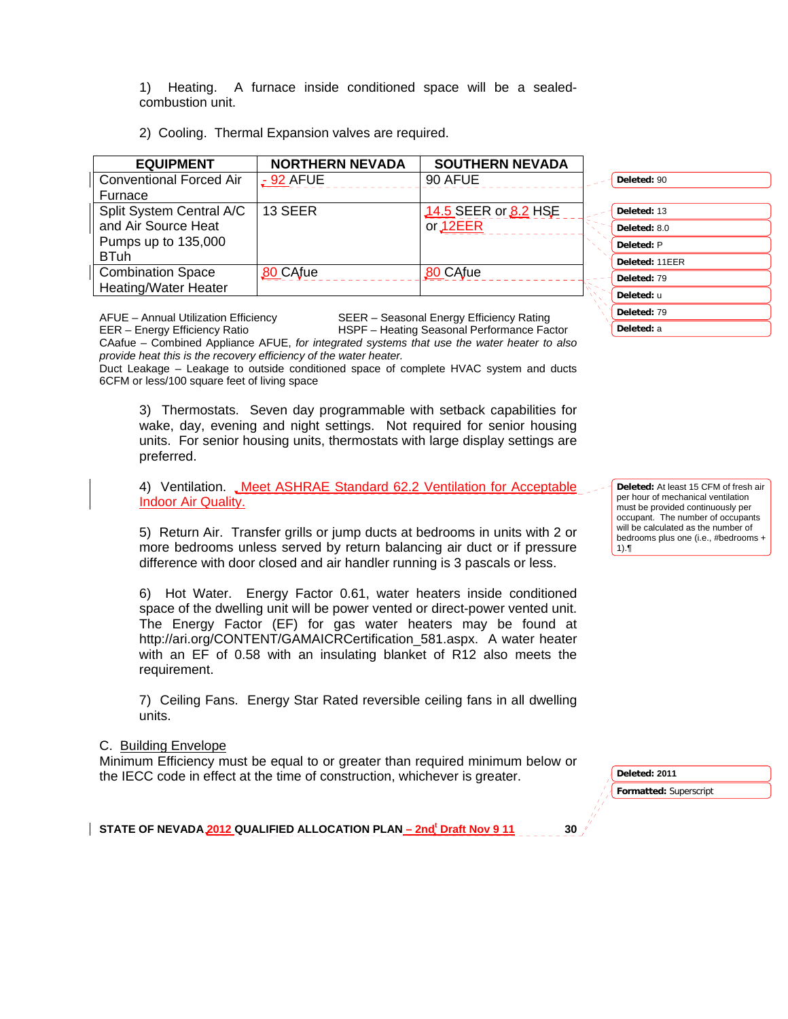1) Heating. A furnace inside conditioned space will be a sealedcombustion unit.

2) Cooling. Thermal Expansion valves are required.

| <b>EQUIPMENT</b>               | <b>NORTHERN NEVADA</b> | <b>SOUTHERN NEVADA</b> |              |
|--------------------------------|------------------------|------------------------|--------------|
| <b>Conventional Forced Air</b> | $-92$ AFUE             | 90 AFUE                | Deleted: 90  |
| Furnace                        |                        |                        |              |
| Split System Central A/C       | 13 SEER                | 14.5 SEER or 8.2 HSE   | Deleted: 13  |
| and Air Source Heat            |                        | or <sub>12EER</sub>    | Deleted: 8.0 |
| Pumps up to 135,000            |                        |                        | Deleted: P   |
| <b>BTuh</b>                    |                        |                        | Deleted: 11  |
| <b>Combination Space</b>       | <b>80 CAfue</b>        | 80 CAfue               | Deleted: 79  |
| <b>Heating/Water Heater</b>    |                        |                        | Deleted: u   |

AFUE – Annual Utilization Efficiency SEER – Seasonal Energy Efficiency Rating

EER – Energy Efficiency Ratio HSPF – Heating Seasonal Performance Factor CAafue – Combined Appliance AFUE, *for integrated systems that use the water heater to also provide heat this is the recovery efficiency of the water heater.* 

Duct Leakage – Leakage to outside conditioned space of complete HVAC system and ducts 6CFM or less/100 square feet of living space

3) Thermostats. Seven day programmable with setback capabilities for wake, day, evening and night settings. Not required for senior housing units. For senior housing units, thermostats with large display settings are preferred.

4) Ventilation. Meet ASHRAE Standard 62.2 Ventilation for Acceptable Indoor Air Quality.

5) Return Air. Transfer grills or jump ducts at bedrooms in units with 2 or more bedrooms unless served by return balancing air duct or if pressure difference with door closed and air handler running is 3 pascals or less.

6) Hot Water. Energy Factor 0.61, water heaters inside conditioned space of the dwelling unit will be power vented or direct-power vented unit. The Energy Factor (EF) for gas water heaters may be found at http://ari.org/CONTENT/GAMAICRCertification\_581.aspx. A water heater with an EF of 0.58 with an insulating blanket of R12 also meets the requirement.

7) Ceiling Fans. Energy Star Rated reversible ceiling fans in all dwelling units.

#### C. Building Envelope

Minimum Efficiency must be equal to or greater than required minimum below or the IECC code in effect at the time of construction, whichever is greater.

**Formatted:** Superscript **Deleted: 2011** 

STATE OF NEVADA 2012 QUALIFIED ALLOCATION PLAN <u>– 2nd<sup>t</sup> Draft Nov 9 11</u> 30

**Deleted:** 13 **Deleted:** 8.0 **Deleted:** P **Deleted:** 11EER **Deleted:** 79 **Deleted:** u **Deleted:** 79 **Deleted:** a

**Deleted:** At least 15 CFM of fresh air per hour of mechanical ventilation must be provided continuously per occupant. The number of occupants will be calculated as the number of bedrooms plus one (i.e., #bedrooms + 1).¶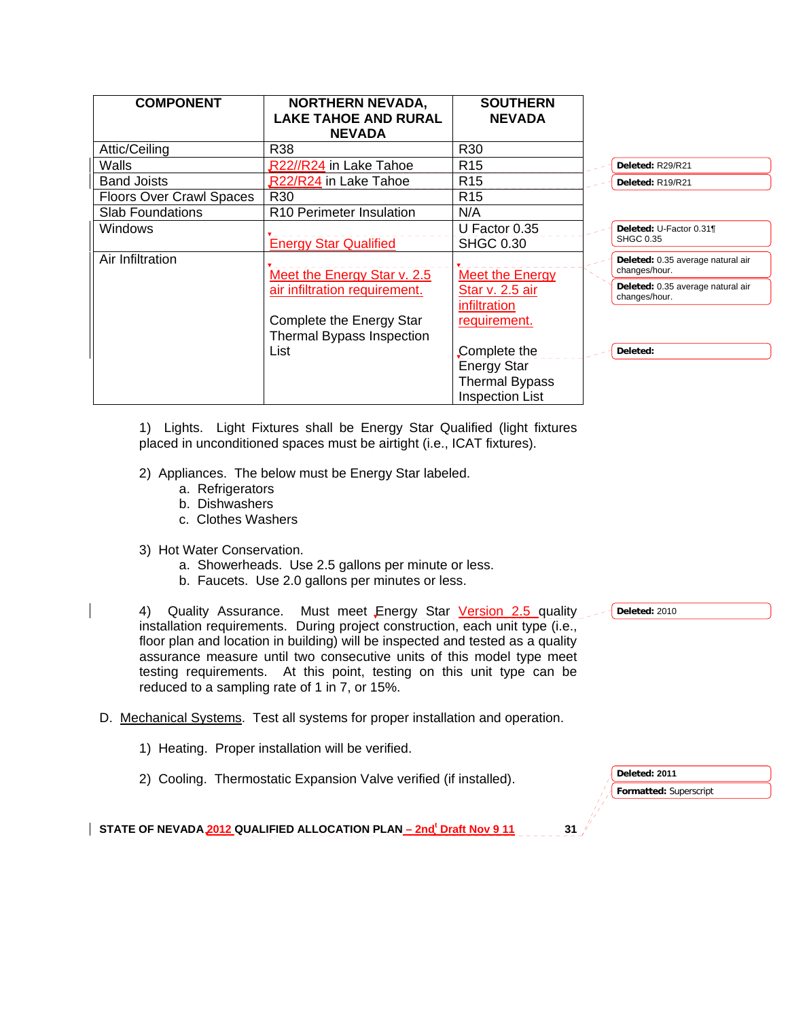| <b>COMPONENT</b>                | <b>NORTHERN NEVADA,</b><br><b>LAKE TAHOE AND RURAL</b><br><b>NEVADA</b> | <b>SOUTHERN</b><br><b>NEVADA</b>  |                                                    |
|---------------------------------|-------------------------------------------------------------------------|-----------------------------------|----------------------------------------------------|
| Attic/Ceiling                   | R38                                                                     | R30                               |                                                    |
| Walls                           | R22//R24 in Lake Tahoe                                                  | R <sub>15</sub>                   | Deleted: R29/R21                                   |
| <b>Band Joists</b>              | R22/R24 in Lake Tahoe                                                   | R <sub>15</sub>                   | Deleted: R19/R21                                   |
| <b>Floors Over Crawl Spaces</b> | R <sub>30</sub>                                                         | R <sub>15</sub>                   |                                                    |
| <b>Slab Foundations</b>         | R <sub>10</sub> Perimeter Insulation                                    | N/A                               |                                                    |
| Windows                         | <b>Energy Star Qualified</b>                                            | U Factor 0.35<br><b>SHGC 0.30</b> | Deleted: U-Factor 0.31¶<br><b>SHGC 0.35</b>        |
| Air Infiltration                | Meet the Energy Star v. 2.5                                             | <b>Meet the Energy</b>            | Deleted: 0.35 average natural air<br>changes/hour. |
|                                 | air infiltration requirement.                                           | Star v. 2.5 air<br>infiltration   | Deleted: 0.35 average natural air<br>changes/hour. |
|                                 | Complete the Energy Star<br>Thermal Bypass Inspection                   | requirement.                      |                                                    |
|                                 | List                                                                    | Complete the                      | Deleted:                                           |
|                                 |                                                                         | <b>Energy Star</b>                |                                                    |
|                                 |                                                                         | <b>Thermal Bypass</b>             |                                                    |
|                                 |                                                                         | <b>Inspection List</b>            |                                                    |

1) Lights. Light Fixtures shall be Energy Star Qualified (light fixtures placed in unconditioned spaces must be airtight (i.e., ICAT fixtures).

- 2) Appliances. The below must be Energy Star labeled.
	- a. Refrigerators
	- b. Dishwashers
	- c. Clothes Washers
- 3) Hot Water Conservation.
	- a. Showerheads. Use 2.5 gallons per minute or less.
	- b. Faucets. Use 2.0 gallons per minutes or less.

4) Quality Assurance. Must meet Energy Star Version 2.5 quality installation requirements. During project construction, each unit type (i.e., floor plan and location in building) will be inspected and tested as a quality assurance measure until two consecutive units of this model type meet testing requirements. At this point, testing on this unit type can be reduced to a sampling rate of 1 in 7, or 15%.

### D. Mechanical Systems. Test all systems for proper installation and operation.

- 1) Heating. Proper installation will be verified.
- 2) Cooling. Thermostatic Expansion Valve verified (if installed).

**Deleted:** 2010

**Formatted:** Superscript **Deleted: 2011**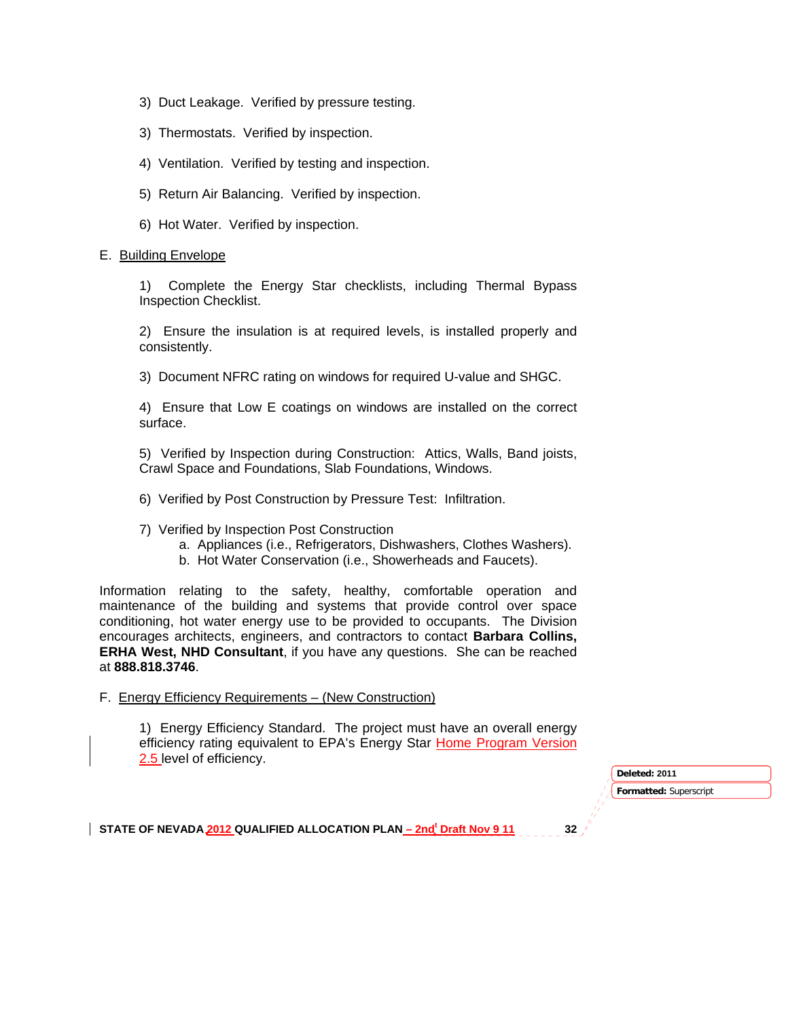- 3) Duct Leakage. Verified by pressure testing.
- 3) Thermostats. Verified by inspection.
- 4) Ventilation. Verified by testing and inspection.
- 5) Return Air Balancing. Verified by inspection.
- 6) Hot Water. Verified by inspection.

#### E. Building Envelope

1) Complete the Energy Star checklists, including Thermal Bypass Inspection Checklist.

2) Ensure the insulation is at required levels, is installed properly and consistently.

3) Document NFRC rating on windows for required U-value and SHGC.

4) Ensure that Low E coatings on windows are installed on the correct surface.

5) Verified by Inspection during Construction: Attics, Walls, Band joists, Crawl Space and Foundations, Slab Foundations, Windows.

- 6) Verified by Post Construction by Pressure Test: Infiltration.
- 7) Verified by Inspection Post Construction
	- a. Appliances (i.e., Refrigerators, Dishwashers, Clothes Washers).
	- b. Hot Water Conservation (i.e., Showerheads and Faucets).

Information relating to the safety, healthy, comfortable operation and maintenance of the building and systems that provide control over space conditioning, hot water energy use to be provided to occupants. The Division encourages architects, engineers, and contractors to contact **Barbara Collins, ERHA West, NHD Consultant**, if you have any questions. She can be reached at **888.818.3746**.

F. Energy Efficiency Requirements – (New Construction)

1) Energy Efficiency Standard. The project must have an overall energy efficiency rating equivalent to EPA's Energy Star Home Program Version 2.5 level of efficiency.

> **Formatted:** Superscript **Deleted: 2011**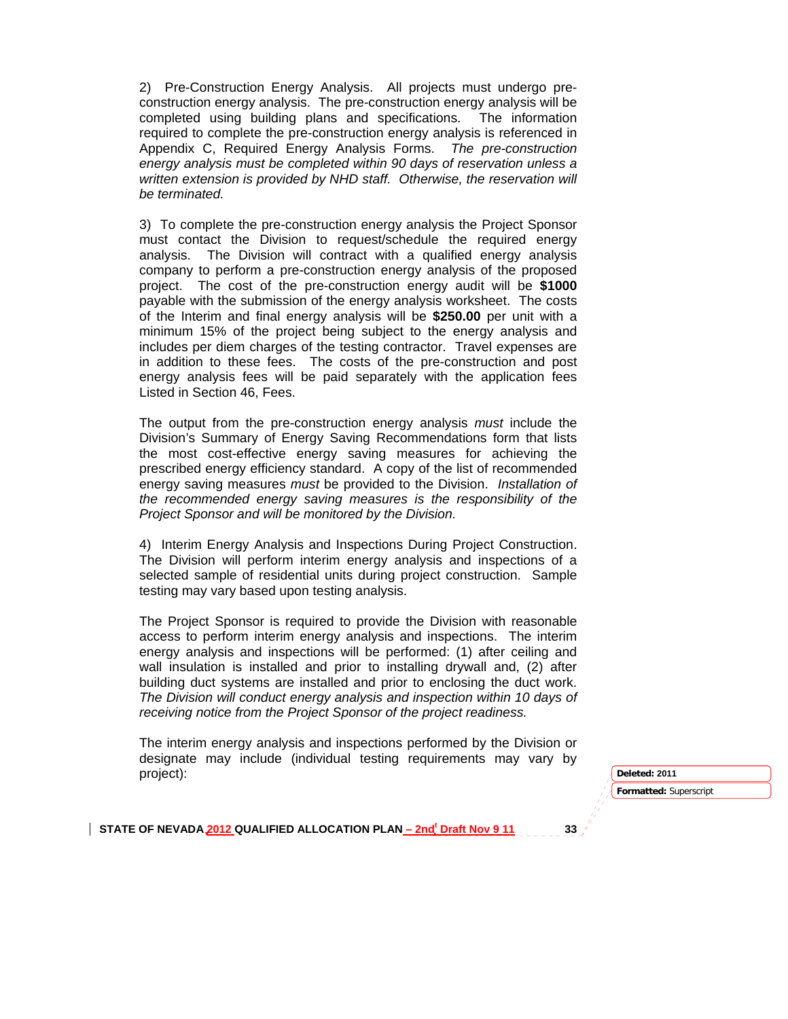2) Pre-Construction Energy Analysis. All projects must undergo preconstruction energy analysis. The pre-construction energy analysis will be completed using building plans and specifications. The information required to complete the pre-construction energy analysis is referenced in Appendix C, Required Energy Analysis Forms. *The pre-construction energy analysis must be completed within 90 days of reservation unless a written extension is provided by NHD staff. Otherwise, the reservation will be terminated.* 

3) To complete the pre-construction energy analysis the Project Sponsor must contact the Division to request/schedule the required energy analysis. The Division will contract with a qualified energy analysis company to perform a pre-construction energy analysis of the proposed project. The cost of the pre-construction energy audit will be **\$1000**  payable with the submission of the energy analysis worksheet. The costs of the Interim and final energy analysis will be **\$250.00** per unit with a minimum 15% of the project being subject to the energy analysis and includes per diem charges of the testing contractor. Travel expenses are in addition to these fees. The costs of the pre-construction and post energy analysis fees will be paid separately with the application fees Listed in Section 46, Fees.

The output from the pre-construction energy analysis *must* include the Division's Summary of Energy Saving Recommendations form that lists the most cost-effective energy saving measures for achieving the prescribed energy efficiency standard. A copy of the list of recommended energy saving measures *must* be provided to the Division. *Installation of the recommended energy saving measures is the responsibility of the Project Sponsor and will be monitored by the Division.* 

4) Interim Energy Analysis and Inspections During Project Construction. The Division will perform interim energy analysis and inspections of a selected sample of residential units during project construction. Sample testing may vary based upon testing analysis.

The Project Sponsor is required to provide the Division with reasonable access to perform interim energy analysis and inspections. The interim energy analysis and inspections will be performed: (1) after ceiling and wall insulation is installed and prior to installing drywall and, (2) after building duct systems are installed and prior to enclosing the duct work. *The Division will conduct energy analysis and inspection within 10 days of receiving notice from the Project Sponsor of the project readiness.*

The interim energy analysis and inspections performed by the Division or designate may include (individual testing requirements may vary by project): **Deleted: 2011** 

**Formatted:** Superscript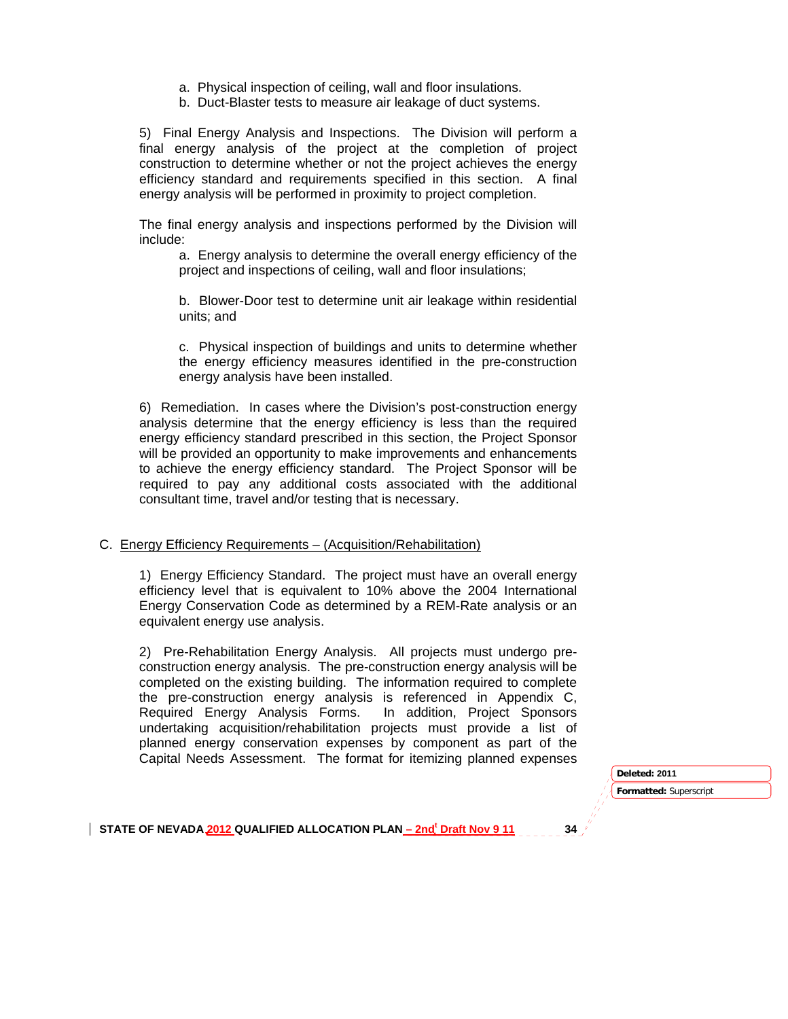- a. Physical inspection of ceiling, wall and floor insulations.
- b. Duct-Blaster tests to measure air leakage of duct systems.

5) Final Energy Analysis and Inspections. The Division will perform a final energy analysis of the project at the completion of project construction to determine whether or not the project achieves the energy efficiency standard and requirements specified in this section. A final energy analysis will be performed in proximity to project completion.

The final energy analysis and inspections performed by the Division will include:

a. Energy analysis to determine the overall energy efficiency of the project and inspections of ceiling, wall and floor insulations;

b. Blower-Door test to determine unit air leakage within residential units; and

c. Physical inspection of buildings and units to determine whether the energy efficiency measures identified in the pre-construction energy analysis have been installed.

6) Remediation. In cases where the Division's post-construction energy analysis determine that the energy efficiency is less than the required energy efficiency standard prescribed in this section, the Project Sponsor will be provided an opportunity to make improvements and enhancements to achieve the energy efficiency standard. The Project Sponsor will be required to pay any additional costs associated with the additional consultant time, travel and/or testing that is necessary.

#### C. Energy Efficiency Requirements – (Acquisition/Rehabilitation)

1) Energy Efficiency Standard. The project must have an overall energy efficiency level that is equivalent to 10% above the 2004 International Energy Conservation Code as determined by a REM-Rate analysis or an equivalent energy use analysis.

2) Pre-Rehabilitation Energy Analysis. All projects must undergo preconstruction energy analysis. The pre-construction energy analysis will be completed on the existing building. The information required to complete the pre-construction energy analysis is referenced in Appendix C, Required Energy Analysis Forms. In addition, Project Sponsors undertaking acquisition/rehabilitation projects must provide a list of planned energy conservation expenses by component as part of the Capital Needs Assessment. The format for itemizing planned expenses

> **Formatted:** Superscript **Deleted: 2011**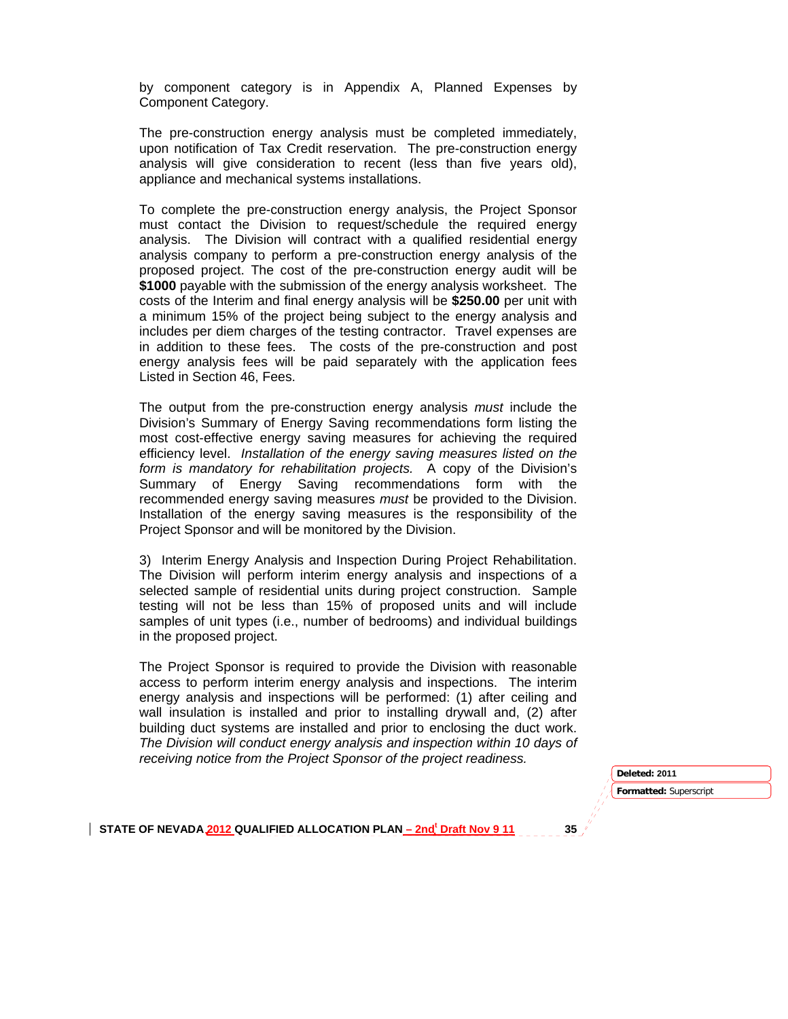by component category is in Appendix A, Planned Expenses by Component Category.

The pre-construction energy analysis must be completed immediately, upon notification of Tax Credit reservation. The pre-construction energy analysis will give consideration to recent (less than five years old), appliance and mechanical systems installations.

To complete the pre-construction energy analysis, the Project Sponsor must contact the Division to request/schedule the required energy analysis. The Division will contract with a qualified residential energy analysis company to perform a pre-construction energy analysis of the proposed project. The cost of the pre-construction energy audit will be **\$1000** payable with the submission of the energy analysis worksheet. The costs of the Interim and final energy analysis will be **\$250.00** per unit with a minimum 15% of the project being subject to the energy analysis and includes per diem charges of the testing contractor. Travel expenses are in addition to these fees. The costs of the pre-construction and post energy analysis fees will be paid separately with the application fees Listed in Section 46, Fees.

The output from the pre-construction energy analysis *must* include the Division's Summary of Energy Saving recommendations form listing the most cost-effective energy saving measures for achieving the required efficiency level. *Installation of the energy saving measures listed on the form is mandatory for rehabilitation projects.* A copy of the Division's Summary of Energy Saving recommendations form with the recommended energy saving measures *must* be provided to the Division. Installation of the energy saving measures is the responsibility of the Project Sponsor and will be monitored by the Division.

3) Interim Energy Analysis and Inspection During Project Rehabilitation. The Division will perform interim energy analysis and inspections of a selected sample of residential units during project construction. Sample testing will not be less than 15% of proposed units and will include samples of unit types (i.e., number of bedrooms) and individual buildings in the proposed project.

The Project Sponsor is required to provide the Division with reasonable access to perform interim energy analysis and inspections. The interim energy analysis and inspections will be performed: (1) after ceiling and wall insulation is installed and prior to installing drywall and, (2) after building duct systems are installed and prior to enclosing the duct work. *The Division will conduct energy analysis and inspection within 10 days of receiving notice from the Project Sponsor of the project readiness.* 

> **Formatted:** Superscript **Deleted: 2011**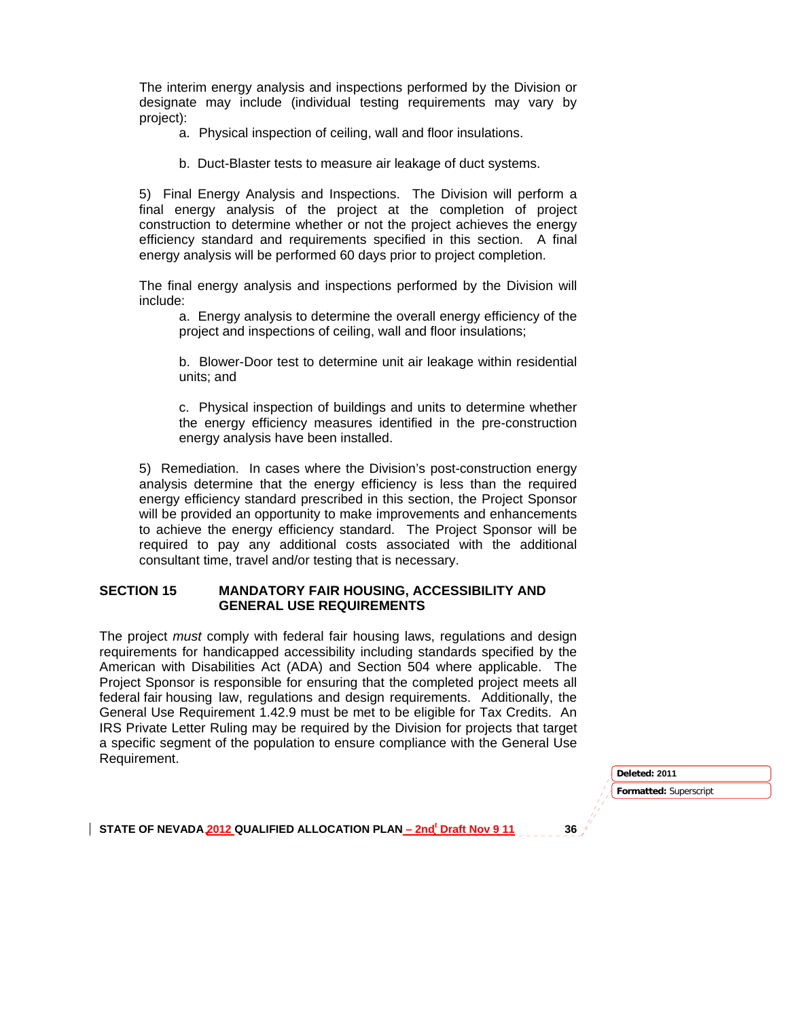The interim energy analysis and inspections performed by the Division or designate may include (individual testing requirements may vary by project):

- a. Physical inspection of ceiling, wall and floor insulations.
- b. Duct-Blaster tests to measure air leakage of duct systems.

5) Final Energy Analysis and Inspections. The Division will perform a final energy analysis of the project at the completion of project construction to determine whether or not the project achieves the energy efficiency standard and requirements specified in this section. A final energy analysis will be performed 60 days prior to project completion.

The final energy analysis and inspections performed by the Division will include:

a. Energy analysis to determine the overall energy efficiency of the project and inspections of ceiling, wall and floor insulations;

b. Blower-Door test to determine unit air leakage within residential units; and

c. Physical inspection of buildings and units to determine whether the energy efficiency measures identified in the pre-construction energy analysis have been installed.

5) Remediation. In cases where the Division's post-construction energy analysis determine that the energy efficiency is less than the required energy efficiency standard prescribed in this section, the Project Sponsor will be provided an opportunity to make improvements and enhancements to achieve the energy efficiency standard. The Project Sponsor will be required to pay any additional costs associated with the additional consultant time, travel and/or testing that is necessary.

### **SECTION 15 MANDATORY FAIR HOUSING, ACCESSIBILITY AND GENERAL USE REQUIREMENTS**

The project *must* comply with federal fair housing laws, regulations and design requirements for handicapped accessibility including standards specified by the American with Disabilities Act (ADA) and Section 504 where applicable. The Project Sponsor is responsible for ensuring that the completed project meets all federal fair housing law, regulations and design requirements. Additionally, the General Use Requirement 1.42.9 must be met to be eligible for Tax Credits. An IRS Private Letter Ruling may be required by the Division for projects that target a specific segment of the population to ensure compliance with the General Use Requirement.

> **Formatted:** Superscript **Deleted: 2011**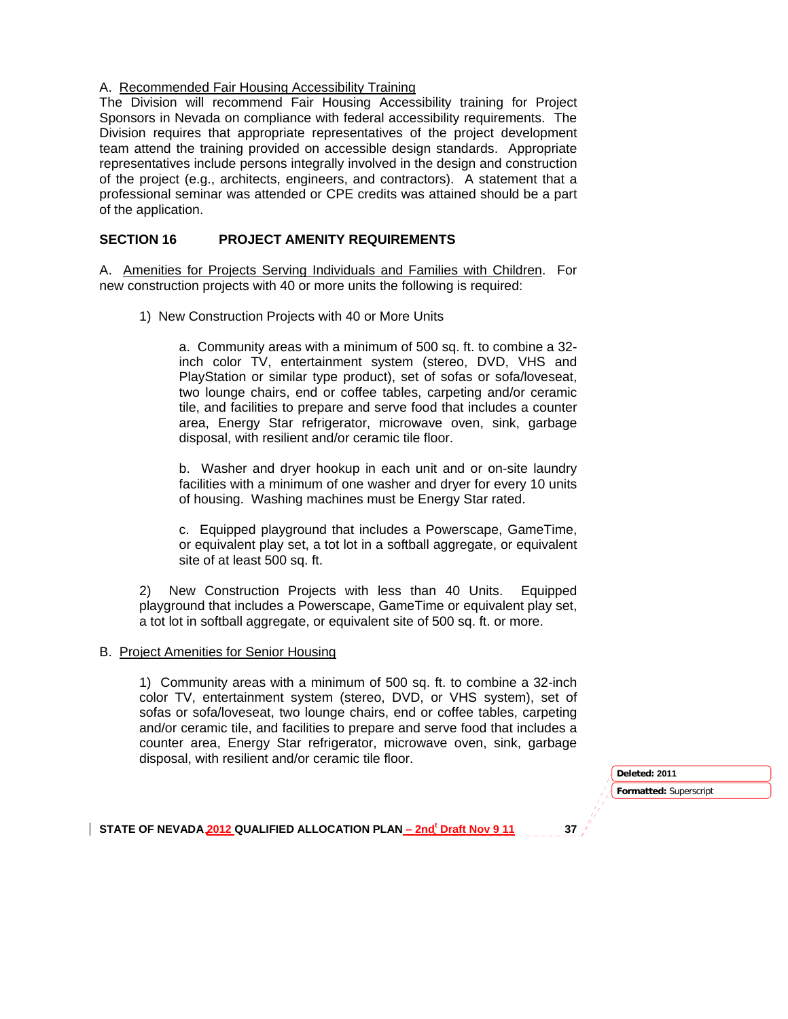### A. Recommended Fair Housing Accessibility Training

The Division will recommend Fair Housing Accessibility training for Project Sponsors in Nevada on compliance with federal accessibility requirements. The Division requires that appropriate representatives of the project development team attend the training provided on accessible design standards. Appropriate representatives include persons integrally involved in the design and construction of the project (e.g., architects, engineers, and contractors). A statement that a professional seminar was attended or CPE credits was attained should be a part of the application.

### **SECTION 16 PROJECT AMENITY REQUIREMENTS**

A. Amenities for Projects Serving Individuals and Families with Children. For new construction projects with 40 or more units the following is required:

1) New Construction Projects with 40 or More Units

a. Community areas with a minimum of 500 sq. ft. to combine a 32 inch color TV, entertainment system (stereo, DVD, VHS and PlayStation or similar type product), set of sofas or sofa/loveseat, two lounge chairs, end or coffee tables, carpeting and/or ceramic tile, and facilities to prepare and serve food that includes a counter area, Energy Star refrigerator, microwave oven, sink, garbage disposal, with resilient and/or ceramic tile floor.

b. Washer and dryer hookup in each unit and or on-site laundry facilities with a minimum of one washer and dryer for every 10 units of housing. Washing machines must be Energy Star rated.

c. Equipped playground that includes a Powerscape, GameTime, or equivalent play set, a tot lot in a softball aggregate, or equivalent site of at least 500 sq. ft.

2) New Construction Projects with less than 40 Units. Equipped playground that includes a Powerscape, GameTime or equivalent play set, a tot lot in softball aggregate, or equivalent site of 500 sq. ft. or more.

#### B. Project Amenities for Senior Housing

1) Community areas with a minimum of 500 sq. ft. to combine a 32-inch color TV, entertainment system (stereo, DVD, or VHS system), set of sofas or sofa/loveseat, two lounge chairs, end or coffee tables, carpeting and/or ceramic tile, and facilities to prepare and serve food that includes a counter area, Energy Star refrigerator, microwave oven, sink, garbage disposal, with resilient and/or ceramic tile floor.

> **Formatted:** Superscript **Deleted: 2011**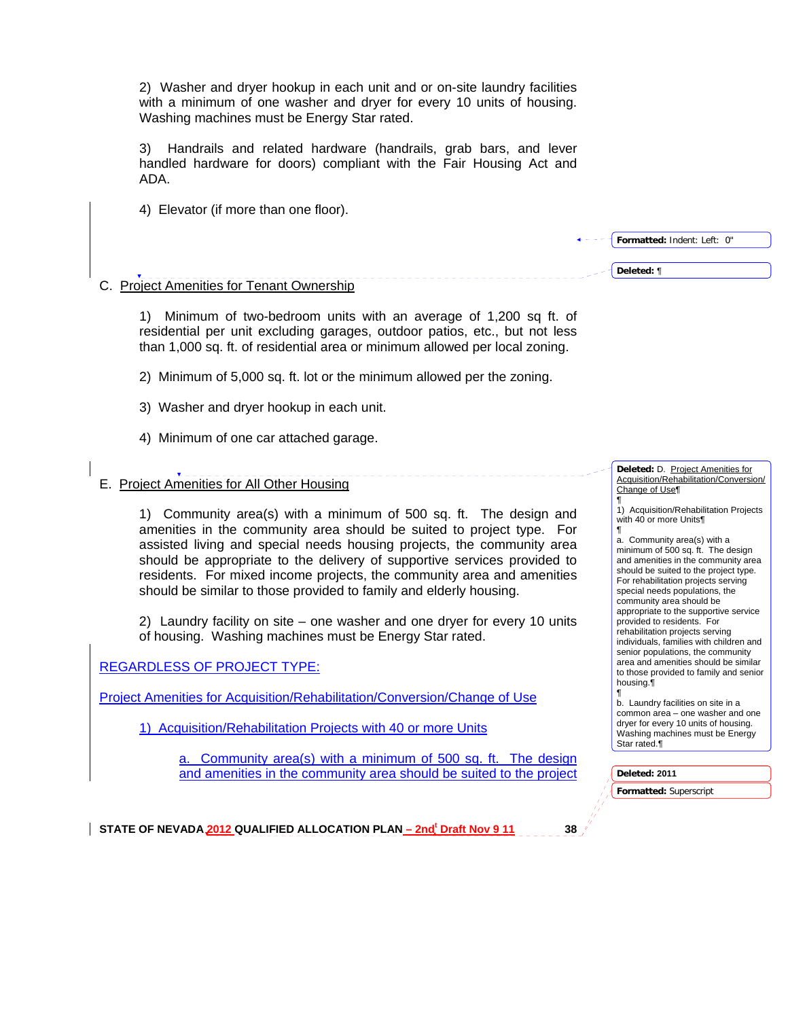2) Washer and dryer hookup in each unit and or on-site laundry facilities with a minimum of one washer and dryer for every 10 units of housing. Washing machines must be Energy Star rated.

3) Handrails and related hardware (handrails, grab bars, and lever handled hardware for doors) compliant with the Fair Housing Act and ADA.

- 4) Elevator (if more than one floor).
- C. Project Amenities for Tenant Ownership

1) Minimum of two-bedroom units with an average of 1,200 sq ft. of residential per unit excluding garages, outdoor patios, etc., but not less than 1,000 sq. ft. of residential area or minimum allowed per local zoning.

2) Minimum of 5,000 sq. ft. lot or the minimum allowed per the zoning.

- 3) Washer and dryer hookup in each unit.
- 4) Minimum of one car attached garage.

# E. Project Amenities for All Other Housing

1) Community area(s) with a minimum of 500 sq. ft. The design and amenities in the community area should be suited to project type. For assisted living and special needs housing projects, the community area should be appropriate to the delivery of supportive services provided to residents. For mixed income projects, the community area and amenities should be similar to those provided to family and elderly housing.

2) Laundry facility on site – one washer and one dryer for every 10 units of housing. Washing machines must be Energy Star rated.

# REGARDLESS OF PROJECT TYPE:

Project Amenities for Acquisition/Rehabilitation/Conversion/Change of Use

1) Acquisition/Rehabilitation Projects with 40 or more Units

Community area(s) with a minimum of 500 sq. ft. The design and amenities in the community area should be suited to the project

**Deleted:** D. Project Amenities for Acquisition/Rehabilitation/Conversion/ Change of Use¶ ¶

**Formatted:** Indent: Left: 0"

**Deleted:** ¶

1) Acquisition/Rehabilitation Projects with 40 or more Units¶ ¶

a. Community area(s) with a minimum of 500 sq. ft. The design and amenities in the community area should be suited to the project type. For rehabilitation projects serving special needs populations, the community area should be appropriate to the supportive service provided to residents. For rehabilitation projects serving individuals, families with children and senior populations, the community area and amenities should be similar to those provided to family and senior housing.¶ ¶

b. Laundry facilities on site in a common area – one washer and one dryer for every 10 units of housing. Washing machines must be Energy Star rated.¶

#### **Deleted: 2011**

**Formatted:** Superscript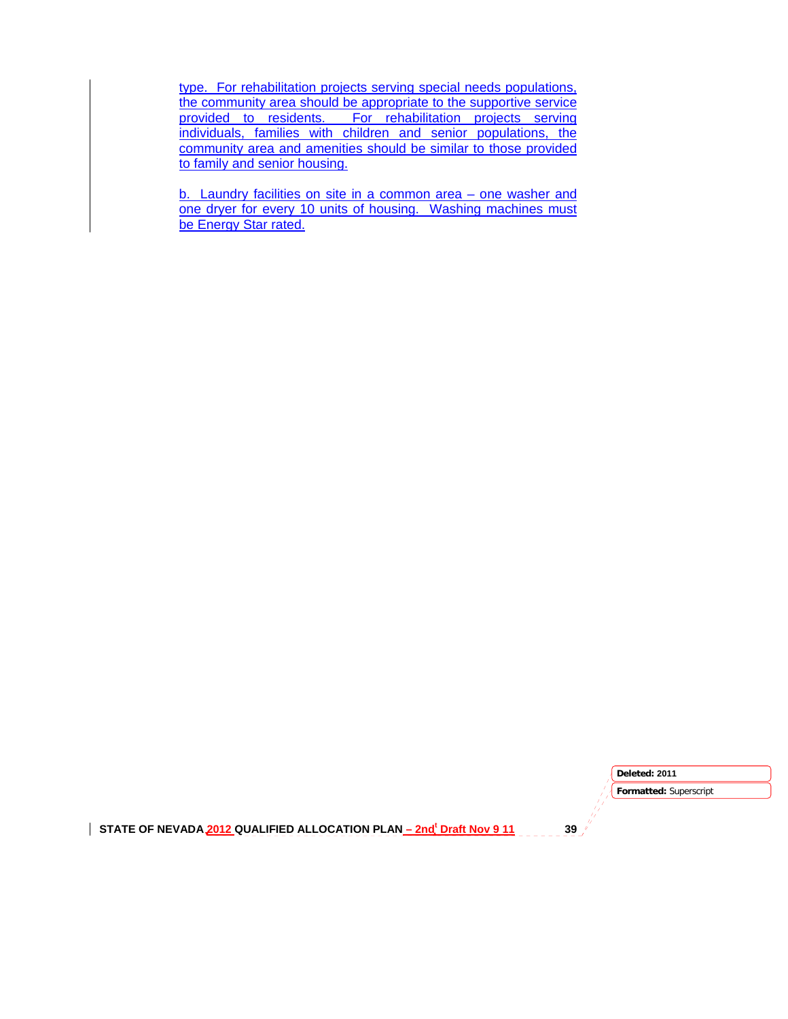type. For rehabilitation projects serving special needs populations, the community area should be appropriate to the supportive service provided to residents. For rehabilitation projects serving individuals, families with children and senior populations, the community area and amenities should be similar to those provided to family and senior housing.

b. Laundry facilities on site in a common area – one washer and one dryer for every 10 units of housing. Washing machines must be Energy Star rated.

STATE OF NEVADA 2012 QUALIFIED ALLOCATION PLAN <u>– 2nd<sup>t</sup> Draft Nov 9 11</u> 39 **Formatted:** Superscript **Deleted: 2011**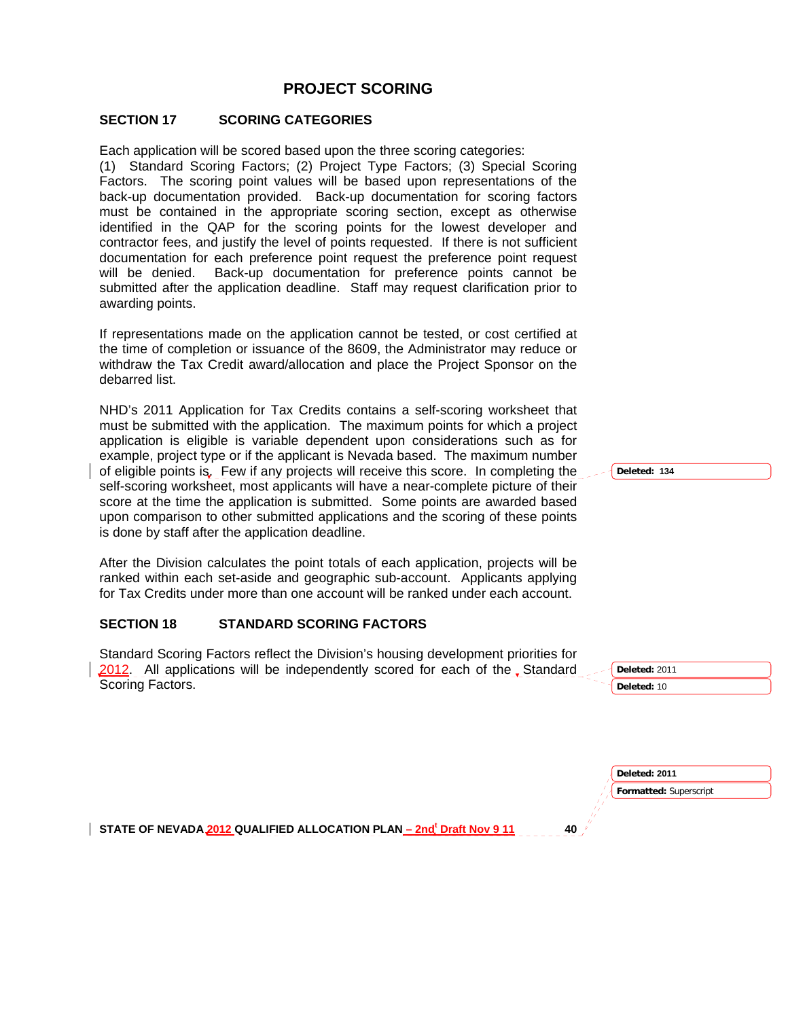# **PROJECT SCORING**

### **SECTION 17 SCORING CATEGORIES**

Each application will be scored based upon the three scoring categories:

(1) Standard Scoring Factors; (2) Project Type Factors; (3) Special Scoring Factors. The scoring point values will be based upon representations of the back-up documentation provided. Back-up documentation for scoring factors must be contained in the appropriate scoring section, except as otherwise identified in the QAP for the scoring points for the lowest developer and contractor fees, and justify the level of points requested. If there is not sufficient documentation for each preference point request the preference point request will be denied. Back-up documentation for preference points cannot be submitted after the application deadline. Staff may request clarification prior to awarding points.

If representations made on the application cannot be tested, or cost certified at the time of completion or issuance of the 8609, the Administrator may reduce or withdraw the Tax Credit award/allocation and place the Project Sponsor on the debarred list.

NHD's 2011 Application for Tax Credits contains a self-scoring worksheet that must be submitted with the application. The maximum points for which a project application is eligible is variable dependent upon considerations such as for example, project type or if the applicant is Nevada based. The maximum number of eligible points is. Few if any projects will receive this score. In completing the self-scoring worksheet, most applicants will have a near-complete picture of their score at the time the application is submitted. Some points are awarded based upon comparison to other submitted applications and the scoring of these points is done by staff after the application deadline.

After the Division calculates the point totals of each application, projects will be ranked within each set-aside and geographic sub-account. Applicants applying for Tax Credits under more than one account will be ranked under each account.

### **SECTION 18 STANDARD SCORING FACTORS**

Standard Scoring Factors reflect the Division's housing development priorities for 2012. All applications will be independently scored for each of the Standard Scoring Factors.

**Deleted: 134**

**Deleted:** 2011 **Deleted:** 10

**Formatted:** Superscript **Deleted: 2011**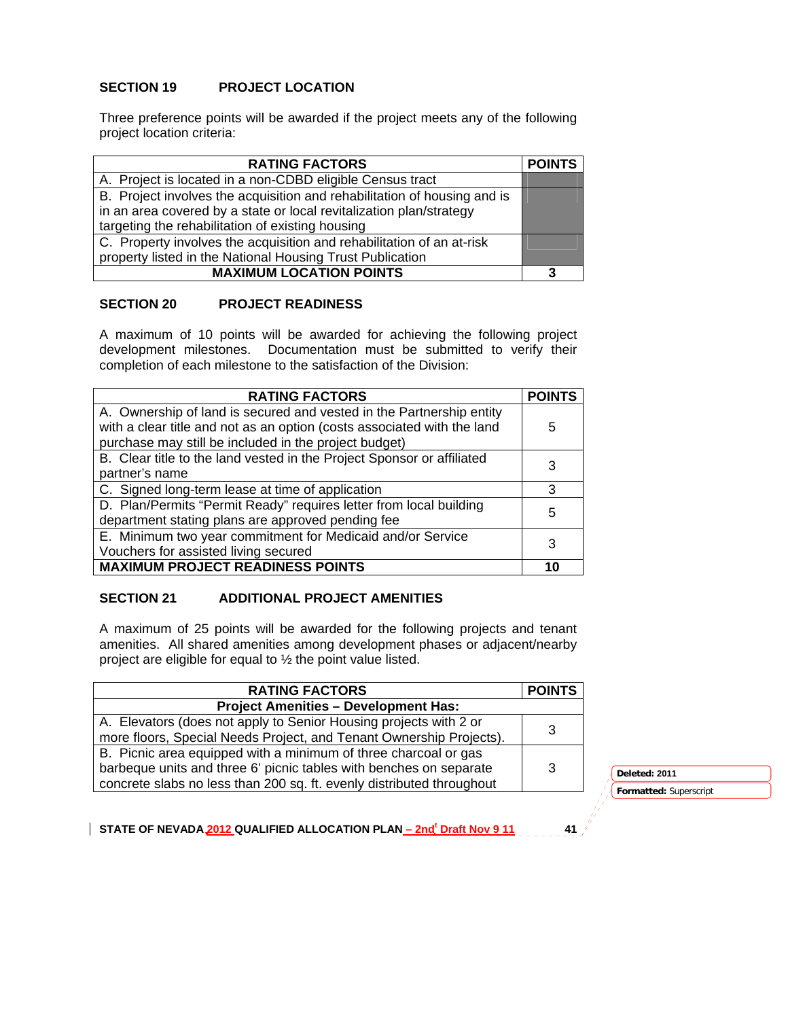## **SECTION 19 PROJECT LOCATION**

Three preference points will be awarded if the project meets any of the following project location criteria:

| <b>RATING FACTORS</b>                                                    | <b>POINTS</b> |
|--------------------------------------------------------------------------|---------------|
| A. Project is located in a non-CDBD eligible Census tract                |               |
| B. Project involves the acquisition and rehabilitation of housing and is |               |
| in an area covered by a state or local revitalization plan/strategy      |               |
| targeting the rehabilitation of existing housing                         |               |
| C. Property involves the acquisition and rehabilitation of an at-risk    |               |
| property listed in the National Housing Trust Publication                |               |
| <b>MAXIMUM LOCATION POINTS</b>                                           | 3             |

### **SECTION 20 PROJECT READINESS**

A maximum of 10 points will be awarded for achieving the following project development milestones. Documentation must be submitted to verify their completion of each milestone to the satisfaction of the Division:

| <b>RATING FACTORS</b>                                                                                                                                                                                    | <b>POINTS</b> |
|----------------------------------------------------------------------------------------------------------------------------------------------------------------------------------------------------------|---------------|
| A. Ownership of land is secured and vested in the Partnership entity<br>with a clear title and not as an option (costs associated with the land<br>purchase may still be included in the project budget) | 5             |
| B. Clear title to the land vested in the Project Sponsor or affiliated<br>partner's name                                                                                                                 |               |
| C. Signed long-term lease at time of application                                                                                                                                                         | 3             |
| D. Plan/Permits "Permit Ready" requires letter from local building<br>department stating plans are approved pending fee                                                                                  | 5             |
| E. Minimum two year commitment for Medicaid and/or Service<br>Vouchers for assisted living secured                                                                                                       | 3             |
| <b>MAXIMUM PROJECT READINESS POINTS</b>                                                                                                                                                                  | 10            |

### **SECTION 21 ADDITIONAL PROJECT AMENITIES**

A maximum of 25 points will be awarded for the following projects and tenant amenities. All shared amenities among development phases or adjacent/nearby project are eligible for equal to ½ the point value listed.

| <b>RATING FACTORS</b>                                                 | <b>POINTS</b> |
|-----------------------------------------------------------------------|---------------|
| <b>Project Amenities - Development Has:</b>                           |               |
| A. Elevators (does not apply to Senior Housing projects with 2 or     |               |
| more floors, Special Needs Project, and Tenant Ownership Projects).   |               |
| B. Picnic area equipped with a minimum of three charcoal or gas       |               |
| barbeque units and three 6' picnic tables with benches on separate    | 3             |
| concrete slabs no less than 200 sq. ft. evenly distributed throughout |               |

3 **Deleted: 2011** 

**Formatted:** Superscript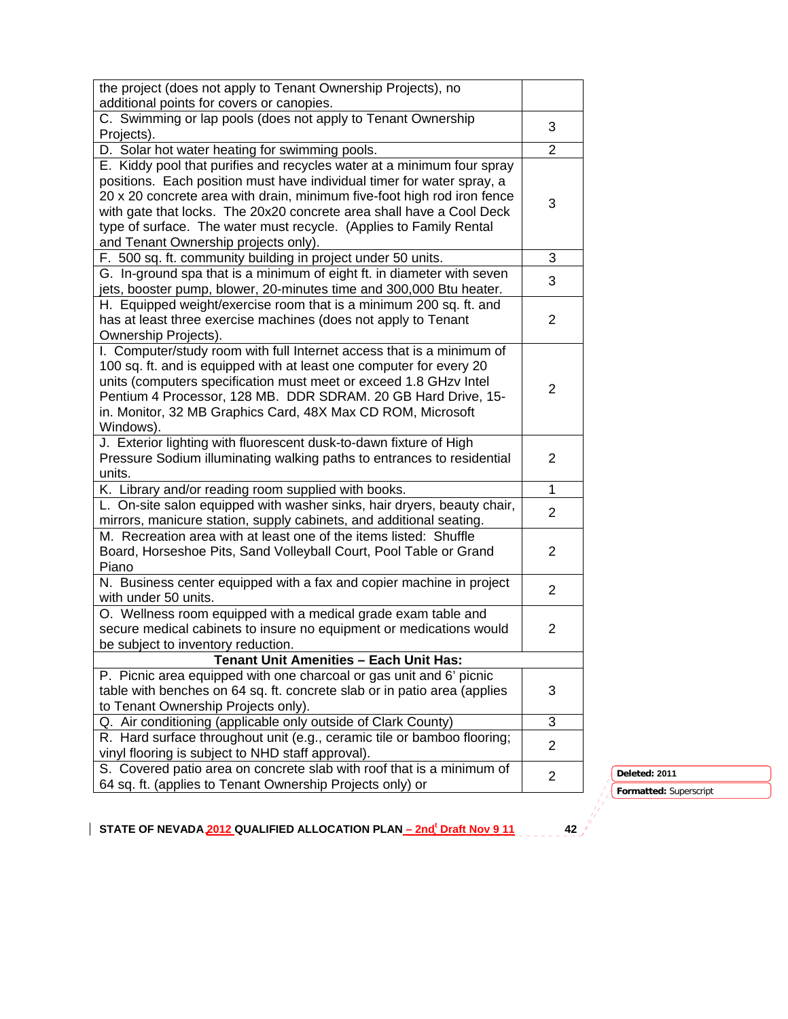| the project (does not apply to Tenant Ownership Projects), no                                 |                |               |
|-----------------------------------------------------------------------------------------------|----------------|---------------|
| additional points for covers or canopies.                                                     |                |               |
| C. Swimming or lap pools (does not apply to Tenant Ownership                                  | 3              |               |
| Projects).                                                                                    |                |               |
| D. Solar hot water heating for swimming pools.                                                | $\overline{2}$ |               |
| E. Kiddy pool that purifies and recycles water at a minimum four spray                        |                |               |
| positions. Each position must have individual timer for water spray, a                        |                |               |
| 20 x 20 concrete area with drain, minimum five-foot high rod iron fence                       | 3              |               |
| with gate that locks. The 20x20 concrete area shall have a Cool Deck                          |                |               |
| type of surface. The water must recycle. (Applies to Family Rental                            |                |               |
| and Tenant Ownership projects only).                                                          |                |               |
| F. 500 sq. ft. community building in project under 50 units.                                  | 3              |               |
| G. In-ground spa that is a minimum of eight ft. in diameter with seven                        | 3              |               |
| jets, booster pump, blower, 20-minutes time and 300,000 Btu heater.                           |                |               |
| H. Equipped weight/exercise room that is a minimum 200 sq. ft. and                            |                |               |
| has at least three exercise machines (does not apply to Tenant                                | 2              |               |
| Ownership Projects).<br>I. Computer/study room with full Internet access that is a minimum of |                |               |
| 100 sq. ft. and is equipped with at least one computer for every 20                           |                |               |
| units (computers specification must meet or exceed 1.8 GHzv Intel                             |                |               |
| Pentium 4 Processor, 128 MB. DDR SDRAM. 20 GB Hard Drive, 15-                                 | $\overline{2}$ |               |
| in. Monitor, 32 MB Graphics Card, 48X Max CD ROM, Microsoft                                   |                |               |
| Windows).                                                                                     |                |               |
| J. Exterior lighting with fluorescent dusk-to-dawn fixture of High                            |                |               |
| Pressure Sodium illuminating walking paths to entrances to residential                        | $\overline{2}$ |               |
| units.                                                                                        |                |               |
| K. Library and/or reading room supplied with books.                                           | $\mathbf{1}$   |               |
| L. On-site salon equipped with washer sinks, hair dryers, beauty chair,                       |                |               |
| mirrors, manicure station, supply cabinets, and additional seating.                           | $\overline{2}$ |               |
| M. Recreation area with at least one of the items listed: Shuffle                             |                |               |
| Board, Horseshoe Pits, Sand Volleyball Court, Pool Table or Grand                             | 2              |               |
| Piano                                                                                         |                |               |
| N. Business center equipped with a fax and copier machine in project                          | $\overline{2}$ |               |
| with under 50 units.                                                                          |                |               |
| O. Wellness room equipped with a medical grade exam table and                                 |                |               |
| secure medical cabinets to insure no equipment or medications would                           | $\overline{2}$ |               |
| be subject to inventory reduction.                                                            |                |               |
| <b>Tenant Unit Amenities - Each Unit Has:</b>                                                 |                |               |
| P. Picnic area equipped with one charcoal or gas unit and 6' picnic                           |                |               |
| table with benches on 64 sq. ft. concrete slab or in patio area (applies                      | 3              |               |
| to Tenant Ownership Projects only).                                                           |                |               |
| Q. Air conditioning (applicable only outside of Clark County)                                 | 3              |               |
| R. Hard surface throughout unit (e.g., ceramic tile or bamboo flooring;                       | $\overline{2}$ |               |
| vinyl flooring is subject to NHD staff approval).                                             |                |               |
| S. Covered patio area on concrete slab with roof that is a minimum of                         | $\overline{2}$ | Deleted: 2011 |
| 64 sq. ft. (applies to Tenant Ownership Projects only) or                                     |                | Formatted: Su |

**Formatted:** Superscript<br> **42**<br> **42**<br> **42**<br> **44**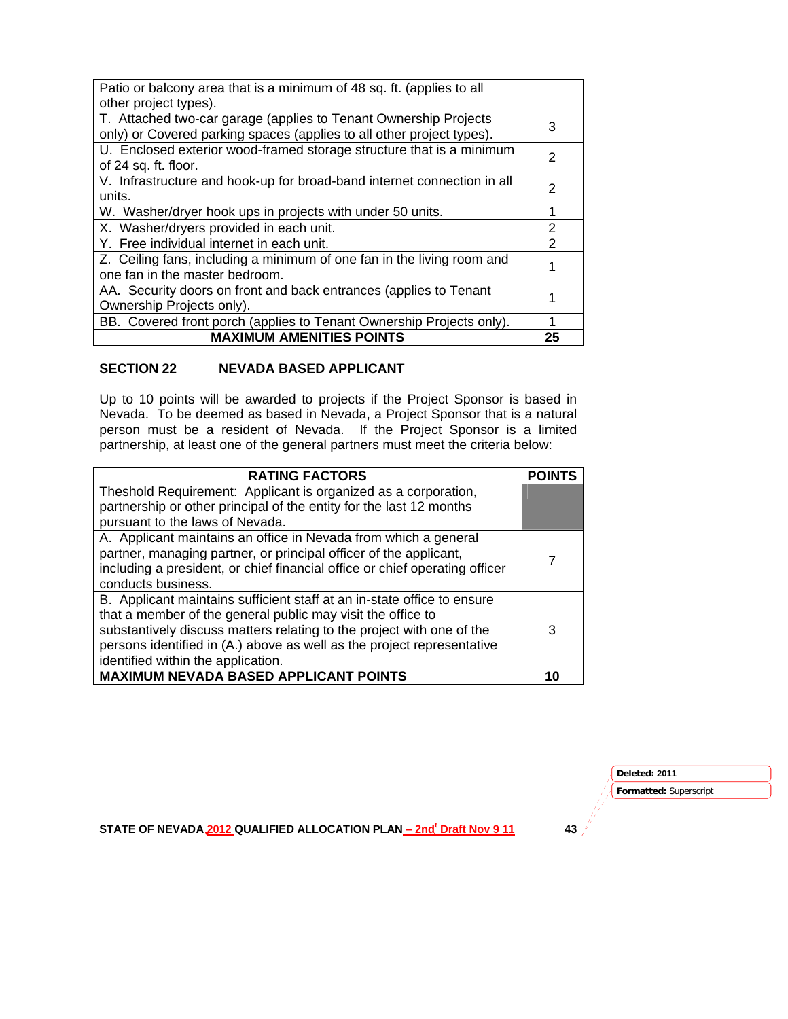| Patio or balcony area that is a minimum of 48 sq. ft. (applies to all   |                |
|-------------------------------------------------------------------------|----------------|
| other project types).                                                   |                |
| T. Attached two-car garage (applies to Tenant Ownership Projects        | 3              |
| only) or Covered parking spaces (applies to all other project types).   |                |
| U. Enclosed exterior wood-framed storage structure that is a minimum    | $\mathcal{P}$  |
| of 24 sq. ft. floor.                                                    |                |
| V. Infrastructure and hook-up for broad-band internet connection in all | 2              |
| units.                                                                  |                |
| W. Washer/dryer hook ups in projects with under 50 units.               |                |
| X. Washer/dryers provided in each unit.                                 | $\mathcal{P}$  |
| Y. Free individual internet in each unit.                               | $\mathfrak{p}$ |
| Z. Ceiling fans, including a minimum of one fan in the living room and  |                |
| one fan in the master bedroom.                                          |                |
| AA. Security doors on front and back entrances (applies to Tenant       |                |
| Ownership Projects only).                                               |                |
| BB. Covered front porch (applies to Tenant Ownership Projects only).    | 1              |
| <b>MAXIMUM AMENITIES POINTS</b>                                         | 25             |

## **SECTION 22 NEVADA BASED APPLICANT**

Up to 10 points will be awarded to projects if the Project Sponsor is based in Nevada. To be deemed as based in Nevada, a Project Sponsor that is a natural person must be a resident of Nevada. If the Project Sponsor is a limited partnership, at least one of the general partners must meet the criteria below:

| <b>RATING FACTORS</b>                                                       | <b>POINTS</b> |
|-----------------------------------------------------------------------------|---------------|
| Theshold Requirement: Applicant is organized as a corporation,              |               |
| partnership or other principal of the entity for the last 12 months         |               |
| pursuant to the laws of Nevada.                                             |               |
| A. Applicant maintains an office in Nevada from which a general             |               |
| partner, managing partner, or principal officer of the applicant,           |               |
| including a president, or chief financial office or chief operating officer |               |
| conducts business.                                                          |               |
| B. Applicant maintains sufficient staff at an in-state office to ensure     |               |
| that a member of the general public may visit the office to                 |               |
| substantively discuss matters relating to the project with one of the       | 3             |
| persons identified in (A.) above as well as the project representative      |               |
| identified within the application.                                          |               |
| <b>MAXIMUM NEVADA BASED APPLICANT POINTS</b>                                | 10            |

**Deleted: 2011** 

**Formatted:** Superscript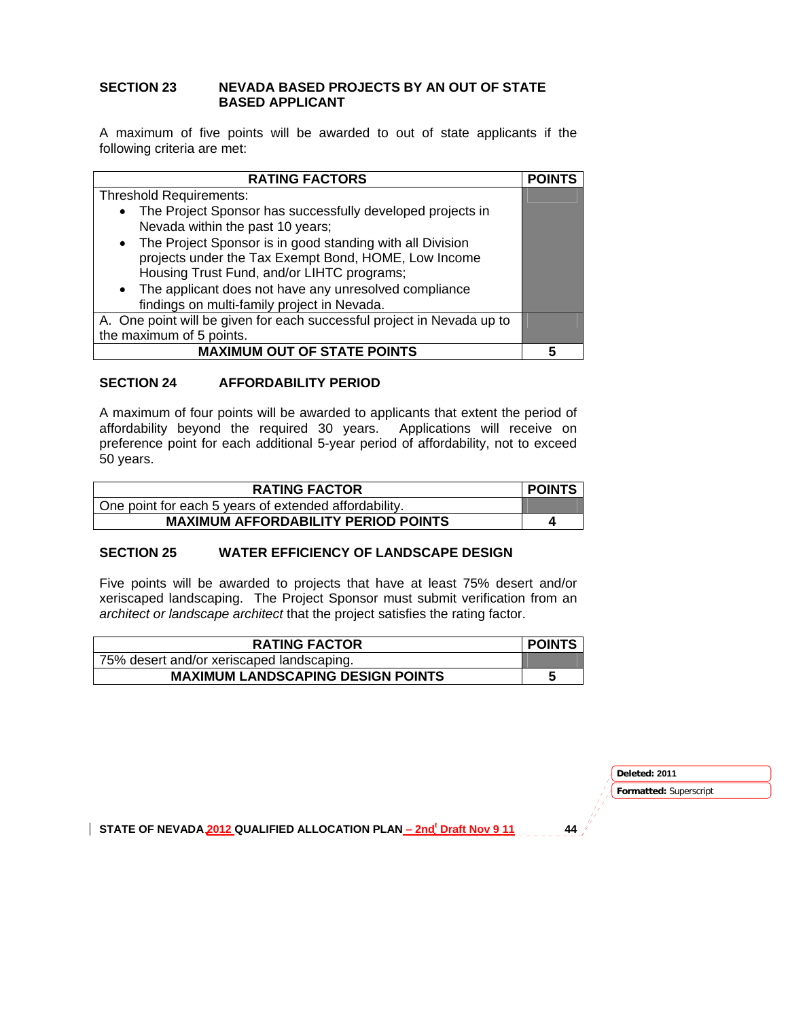### **SECTION 23 NEVADA BASED PROJECTS BY AN OUT OF STATE BASED APPLICANT**

A maximum of five points will be awarded to out of state applicants if the following criteria are met:

| <b>RATING FACTORS</b>                                                                                                                                                                                                        | <b>POINTS</b> |
|------------------------------------------------------------------------------------------------------------------------------------------------------------------------------------------------------------------------------|---------------|
| <b>Threshold Requirements:</b>                                                                                                                                                                                               |               |
| • The Project Sponsor has successfully developed projects in<br>Nevada within the past 10 years;                                                                                                                             |               |
| • The Project Sponsor is in good standing with all Division<br>projects under the Tax Exempt Bond, HOME, Low Income<br>Housing Trust Fund, and/or LIHTC programs;<br>• The applicant does not have any unresolved compliance |               |
| findings on multi-family project in Nevada.                                                                                                                                                                                  |               |
| A. One point will be given for each successful project in Nevada up to                                                                                                                                                       |               |
| the maximum of 5 points.                                                                                                                                                                                                     |               |
| <b>MAXIMUM OUT OF STATE POINTS</b>                                                                                                                                                                                           |               |

## **SECTION 24 AFFORDABILITY PERIOD**

A maximum of four points will be awarded to applicants that extent the period of affordability beyond the required 30 years. Applications will receive on preference point for each additional 5-year period of affordability, not to exceed 50 years.

| <b>RATING FACTOR</b>                                  | <b>POINTS</b> |
|-------------------------------------------------------|---------------|
| One point for each 5 years of extended affordability. |               |
| <b>MAXIMUM AFFORDABILITY PERIOD POINTS</b>            | Δ             |

# **SECTION 25 WATER EFFICIENCY OF LANDSCAPE DESIGN**

Five points will be awarded to projects that have at least 75% desert and/or xeriscaped landscaping. The Project Sponsor must submit verification from an *architect or landscape architect* that the project satisfies the rating factor.

| <b>RATING FACTOR</b>                      | <b>POINTS</b> |
|-------------------------------------------|---------------|
| 75% desert and/or xeriscaped landscaping. |               |
| <b>MAXIMUM LANDSCAPING DESIGN POINTS</b>  |               |

**Deleted: 2011** 

**Formatted:** Superscript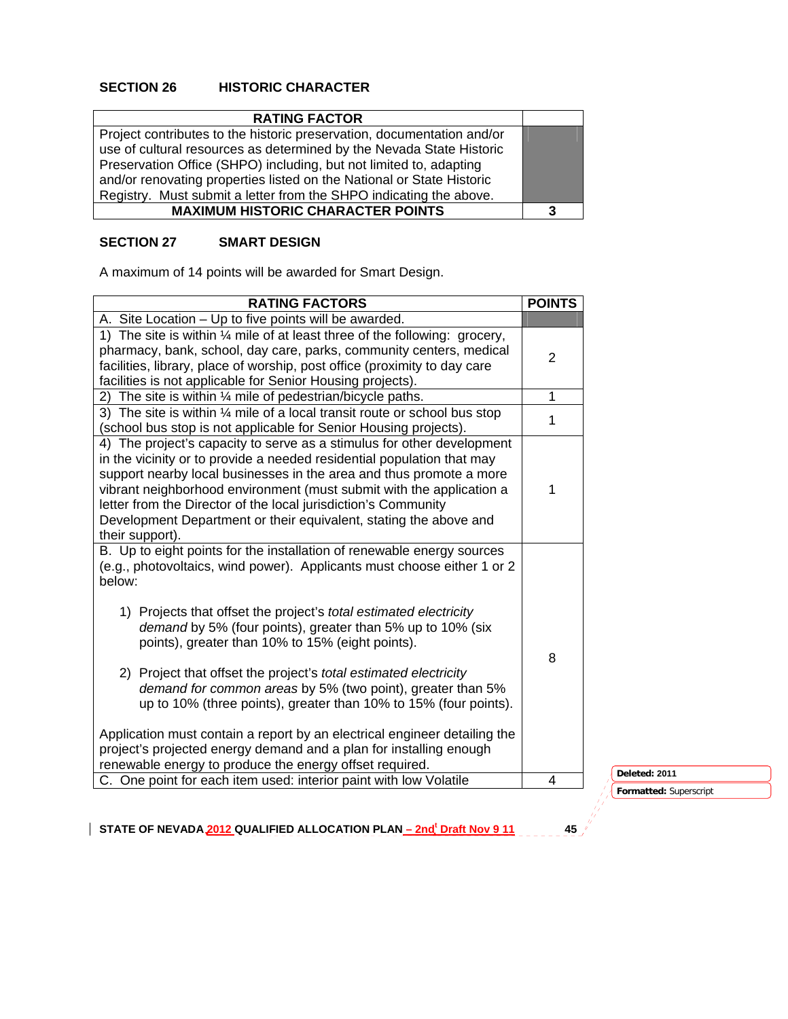# **SECTION 26 HISTORIC CHARACTER**

| <b>RATING FACTOR</b>                                                                                                                                                                                                                                                                                                                                                |   |
|---------------------------------------------------------------------------------------------------------------------------------------------------------------------------------------------------------------------------------------------------------------------------------------------------------------------------------------------------------------------|---|
| Project contributes to the historic preservation, documentation and/or<br>use of cultural resources as determined by the Nevada State Historic<br>Preservation Office (SHPO) including, but not limited to, adapting<br>and/or renovating properties listed on the National or State Historic<br>Registry. Must submit a letter from the SHPO indicating the above. |   |
| <b>MAXIMUM HISTORIC CHARACTER POINTS</b>                                                                                                                                                                                                                                                                                                                            | 3 |

## **SECTION 27 SMART DESIGN**

A maximum of 14 points will be awarded for Smart Design.

| <b>RATING FACTORS</b>                                                                                                                                                                                                                                                                                                                                                                                                                                     | <b>POINTS</b> |                        |
|-----------------------------------------------------------------------------------------------------------------------------------------------------------------------------------------------------------------------------------------------------------------------------------------------------------------------------------------------------------------------------------------------------------------------------------------------------------|---------------|------------------------|
| A. Site Location - Up to five points will be awarded.                                                                                                                                                                                                                                                                                                                                                                                                     |               |                        |
| 1) The site is within $\frac{1}{4}$ mile of at least three of the following: grocery,<br>pharmacy, bank, school, day care, parks, community centers, medical<br>facilities, library, place of worship, post office (proximity to day care<br>facilities is not applicable for Senior Housing projects).                                                                                                                                                   | 2             |                        |
| 2) The site is within 1/4 mile of pedestrian/bicycle paths.                                                                                                                                                                                                                                                                                                                                                                                               | 1             |                        |
| 3) The site is within $\frac{1}{4}$ mile of a local transit route or school bus stop<br>(school bus stop is not applicable for Senior Housing projects).                                                                                                                                                                                                                                                                                                  | 1             |                        |
| 4) The project's capacity to serve as a stimulus for other development<br>in the vicinity or to provide a needed residential population that may<br>support nearby local businesses in the area and thus promote a more<br>vibrant neighborhood environment (must submit with the application a<br>letter from the Director of the local jurisdiction's Community<br>Development Department or their equivalent, stating the above and<br>their support). | 1             |                        |
| B. Up to eight points for the installation of renewable energy sources<br>(e.g., photovoltaics, wind power). Applicants must choose either 1 or 2<br>below:                                                                                                                                                                                                                                                                                               |               |                        |
| 1) Projects that offset the project's <i>total estimated electricity</i><br>demand by 5% (four points), greater than 5% up to 10% (six<br>points), greater than 10% to 15% (eight points).                                                                                                                                                                                                                                                                | 8             |                        |
| 2) Project that offset the project's total estimated electricity<br>demand for common areas by 5% (two point), greater than 5%<br>up to 10% (three points), greater than 10% to 15% (four points).                                                                                                                                                                                                                                                        |               |                        |
| Application must contain a report by an electrical engineer detailing the<br>project's projected energy demand and a plan for installing enough<br>renewable energy to produce the energy offset required.                                                                                                                                                                                                                                                |               |                        |
| C. One point for each item used: interior paint with low Volatile                                                                                                                                                                                                                                                                                                                                                                                         | 4             | Deleted: 2011          |
|                                                                                                                                                                                                                                                                                                                                                                                                                                                           |               | Formatted: Superscript |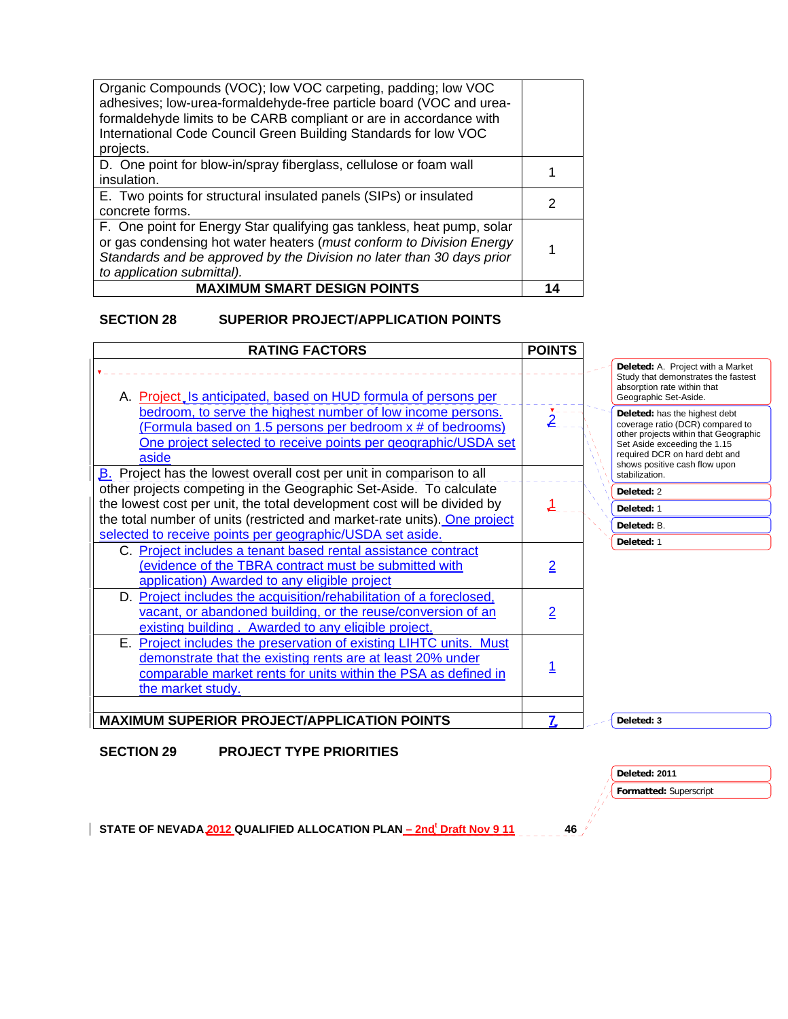| Organic Compounds (VOC); low VOC carpeting, padding; low VOC<br>adhesives; low-urea-formaldehyde-free particle board (VOC and urea-<br>formaldehyde limits to be CARB compliant or are in accordance with<br>International Code Council Green Building Standards for low VOC<br>projects. |    |
|-------------------------------------------------------------------------------------------------------------------------------------------------------------------------------------------------------------------------------------------------------------------------------------------|----|
| D. One point for blow-in/spray fiberglass, cellulose or foam wall<br>insulation.                                                                                                                                                                                                          |    |
| E. Two points for structural insulated panels (SIPs) or insulated<br>concrete forms.                                                                                                                                                                                                      | 2  |
| F. One point for Energy Star qualifying gas tankless, heat pump, solar<br>or gas condensing hot water heaters (must conform to Division Energy<br>Standards and be approved by the Division no later than 30 days prior<br>to application submittal).                                     |    |
| <b>MAXIMUM SMART DESIGN POINTS</b>                                                                                                                                                                                                                                                        | 14 |

# **SECTION 28 SUPERIOR PROJECT/APPLICATION POINTS**

| <b>RATING FACTORS</b>                                                                                                                                                                                                   | <b>POINTS</b>           |                                                                                                                                                                                                              |
|-------------------------------------------------------------------------------------------------------------------------------------------------------------------------------------------------------------------------|-------------------------|--------------------------------------------------------------------------------------------------------------------------------------------------------------------------------------------------------------|
| A. Project, Is anticipated, based on HUD formula of persons per                                                                                                                                                         |                         | Deleted: A. Project with a Market<br>Study that demonstrates the fastest<br>absorption rate within that<br>Geographic Set-Aside.                                                                             |
| bedroom, to serve the highest number of low income persons.<br>(Formula based on 1.5 persons per bedroom x # of bedrooms)<br>One project selected to receive points per geographic/USDA set<br>aside                    | $\nabla = -$            | Deleted: has the highest debt<br>coverage ratio (DCR) compared to<br>other projects within that Geographic<br>Set Aside exceeding the 1.15<br>required DCR on hard debt and<br>shows positive cash flow upon |
| B. Project has the lowest overall cost per unit in comparison to all<br>other projects competing in the Geographic Set-Aside. To calculate                                                                              |                         | stabilization.                                                                                                                                                                                               |
| the lowest cost per unit, the total development cost will be divided by                                                                                                                                                 |                         | Deleted: 2                                                                                                                                                                                                   |
| the total number of units (restricted and market-rate units). One project                                                                                                                                               |                         | Deleted: 1                                                                                                                                                                                                   |
| selected to receive points per geographic/USDA set aside.                                                                                                                                                               |                         | Deleted: B.                                                                                                                                                                                                  |
| C. Project includes a tenant based rental assistance contract<br>(evidence of the TBRA contract must be submitted with<br>application) Awarded to any eligible project                                                  | $\overline{\mathsf{2}}$ | Deleted: 1                                                                                                                                                                                                   |
| D. Project includes the acquisition/rehabilitation of a foreclosed,<br>vacant, or abandoned building, or the reuse/conversion of an<br>existing building. Awarded to any eligible project.                              | $\overline{2}$          |                                                                                                                                                                                                              |
| E. Project includes the preservation of existing LIHTC units. Must<br>demonstrate that the existing rents are at least 20% under<br>comparable market rents for units within the PSA as defined in<br>the market study. |                         |                                                                                                                                                                                                              |
| <b>MAXIMUM SUPERIOR PROJECT/APPLICATION POINTS</b>                                                                                                                                                                      | 7                       | Deleted: 3                                                                                                                                                                                                   |

**SECTION 29 PROJECT TYPE PRIORITIES** 

**Deleted: 2011** 

**Formatted:** Superscript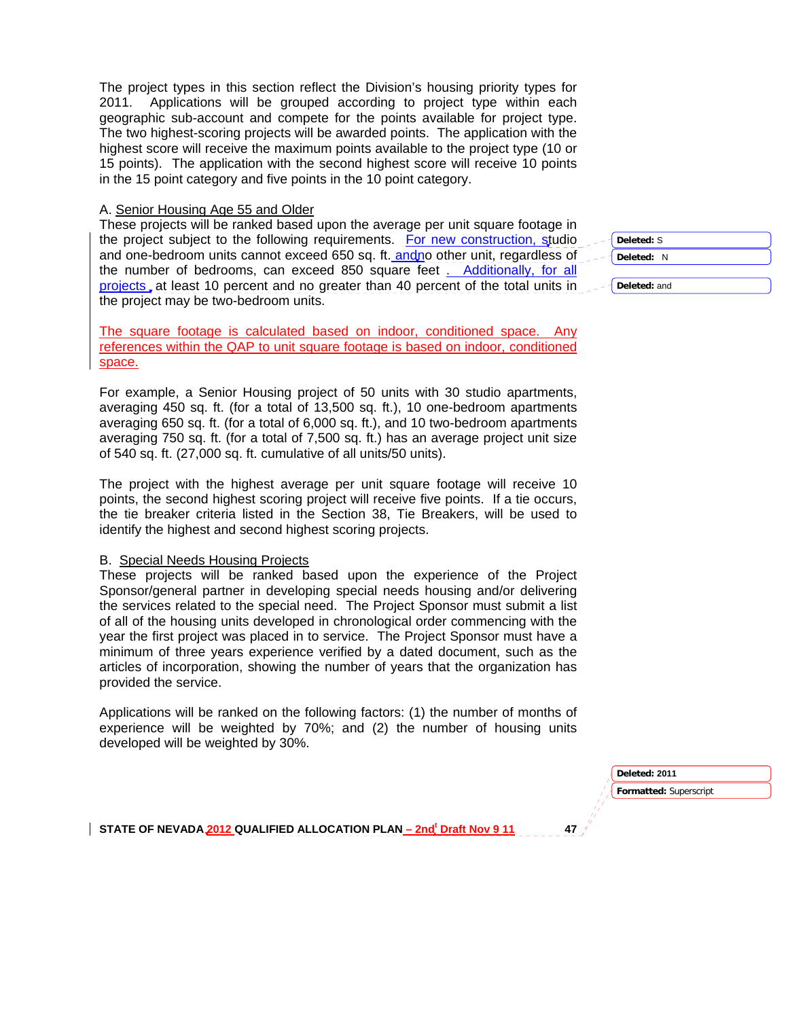The project types in this section reflect the Division's housing priority types for 2011. Applications will be grouped according to project type within each geographic sub-account and compete for the points available for project type. The two highest-scoring projects will be awarded points. The application with the highest score will receive the maximum points available to the project type (10 or 15 points). The application with the second highest score will receive 10 points in the 15 point category and five points in the 10 point category.

#### A. Senior Housing Age 55 and Older

These projects will be ranked based upon the average per unit square footage in the project subject to the following requirements. For new construction, studio and one-bedroom units cannot exceed 650 sq. ft. andno other unit, regardless of the number of bedrooms, can exceed 850 square feet . Additionally, for all projects, at least 10 percent and no greater than 40 percent of the total units in the project may be two-bedroom units.

The square footage is calculated based on indoor, conditioned space. Any references within the QAP to unit square footage is based on indoor, conditioned space.

For example, a Senior Housing project of 50 units with 30 studio apartments, averaging 450 sq. ft. (for a total of 13,500 sq. ft.), 10 one-bedroom apartments averaging 650 sq. ft. (for a total of 6,000 sq. ft.), and 10 two-bedroom apartments averaging 750 sq. ft. (for a total of 7,500 sq. ft.) has an average project unit size of 540 sq. ft. (27,000 sq. ft. cumulative of all units/50 units).

The project with the highest average per unit square footage will receive 10 points, the second highest scoring project will receive five points. If a tie occurs, the tie breaker criteria listed in the Section 38, Tie Breakers, will be used to identify the highest and second highest scoring projects.

#### B. Special Needs Housing Projects

These projects will be ranked based upon the experience of the Project Sponsor/general partner in developing special needs housing and/or delivering the services related to the special need. The Project Sponsor must submit a list of all of the housing units developed in chronological order commencing with the year the first project was placed in to service. The Project Sponsor must have a minimum of three years experience verified by a dated document, such as the articles of incorporation, showing the number of years that the organization has provided the service.

Applications will be ranked on the following factors: (1) the number of months of experience will be weighted by 70%; and (2) the number of housing units developed will be weighted by 30%.

**Deleted:** S **Deleted:** N

**Deleted:** and

**Formatted:** Superscript **Deleted: 2011**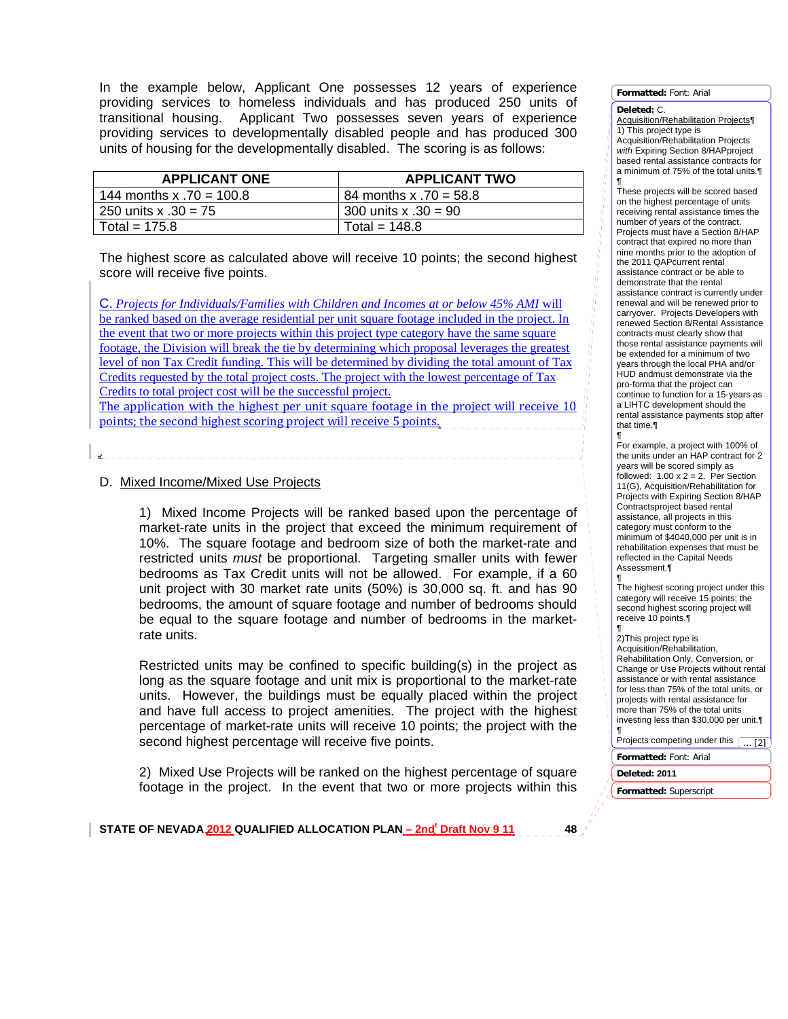In the example below, Applicant One possesses 12 years of experience providing services to homeless individuals and has produced 250 units of transitional housing. Applicant Two possesses seven years of experience providing services to developmentally disabled people and has produced 300 units of housing for the developmentally disabled. The scoring is as follows:

| <b>APPLICANT ONE</b>       | <b>APPLICANT TWO</b>   |
|----------------------------|------------------------|
| 144 months x $.70 = 100.8$ | 84 months x .70 = 58.8 |
| 250 units x .30 = 75       | 300 units x .30 = 90   |
| Total = $175.8$            | Total = $148.8$        |

The highest score as calculated above will receive 10 points; the second highest score will receive five points.

C. *Projects for Individuals/Families with Children and Incomes at or below 45% AMI* will be ranked based on the average residential per unit square footage included in the project. In the event that two or more projects within this project type category have the same square footage, the Division will break the tie by determining which proposal leverages the greatest level of non Tax Credit funding. This will be determined by dividing the total amount of Tax Credits requested by the total project costs. The project with the lowest percentage of Tax Credits to total project cost will be the successful project.

The application with the highest per unit square footage in the project will receive 10 points; the second highest scoring project will receive 5 points.

## D. Mixed Income/Mixed Use Projects

.

1) Mixed Income Projects will be ranked based upon the percentage of market-rate units in the project that exceed the minimum requirement of 10%. The square footage and bedroom size of both the market-rate and restricted units *must* be proportional. Targeting smaller units with fewer bedrooms as Tax Credit units will not be allowed. For example, if a 60 unit project with 30 market rate units (50%) is 30,000 sq. ft. and has 90 bedrooms, the amount of square footage and number of bedrooms should be equal to the square footage and number of bedrooms in the marketrate units.

Restricted units may be confined to specific building(s) in the project as long as the square footage and unit mix is proportional to the market-rate units. However, the buildings must be equally placed within the project and have full access to project amenities. The project with the highest percentage of market-rate units will receive 10 points; the project with the second highest percentage will receive five points.

2) Mixed Use Projects will be ranked on the highest percentage of square footage in the project. In the event that two or more projects within this **Formatted:** Font: Arial

#### **Deleted:** C.

Acquisition/Rehabilitation Projects¶ 1) This project type is Acquisition/Rehabilitation Projects *with* Expiring Section 8/HAPproject based rental assistance contracts for a minimum of 75% of the total units.¶

¶ These projects will be scored based on the highest percentage of units receiving rental assistance times the number of years of the contract. Projects must have a Section 8/HAP contract that expired no more than nine months prior to the adoption of the 2011 QAPcurrent rental assistance contract or be able to demonstrate that the rental assistance contract is currently under renewal and will be renewed prior to carryover. Projects Developers with renewed Section 8/Rental Assistance contracts must clearly show that those rental assistance payments will be extended for a minimum of two years through the local PHA and/or HUD andmust demonstrate via the pro-forma that the project can continue to function for a 15-years as a LIHTC development should the rental assistance payments stop after that time.¶ ¶

For example, a project with 100% of the units under an HAP contract for 2 years will be scored simply as followed:  $1.00 \times 2 = 2$ . Per Section 11(G), Acquisition/Rehabilitation for Projects with Expiring Section 8/HAP Contractsproject based rental assistance, all projects in this category must conform to the minimum of \$4040,000 per unit is in rehabilitation expenses that must be reflected in the Capital Needs Assessment.¶

¶ The highest scoring project under this category will receive 15 points; the second highest scoring project will receive 10 points.¶

¶ 2)This project type is Acquisition/Rehabilitation, Rehabilitation Only, Conversion, or Change or Use Projects without rental assistance or with rental assistance for less than 75% of the total units, or projects with rental assistance for more than 75% of the total units investing less than \$30,000 per unit.¶ ¶

 $\overline{121}$ 

Projects competing under this (

**Formatted:** Font: Arial

**Deleted: 2011** 

**Formatted:** Superscript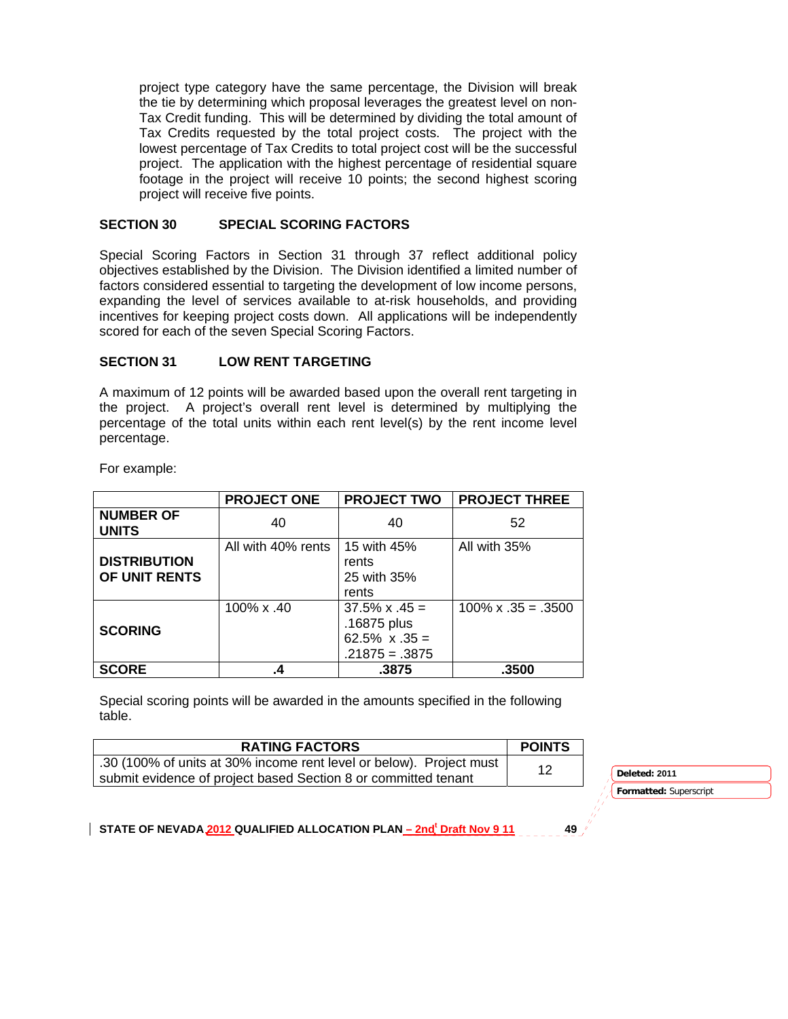project type category have the same percentage, the Division will break the tie by determining which proposal leverages the greatest level on non-Tax Credit funding. This will be determined by dividing the total amount of Tax Credits requested by the total project costs. The project with the lowest percentage of Tax Credits to total project cost will be the successful project. The application with the highest percentage of residential square footage in the project will receive 10 points; the second highest scoring project will receive five points.

### **SECTION 30 SPECIAL SCORING FACTORS**

Special Scoring Factors in Section 31 through 37 reflect additional policy objectives established by the Division. The Division identified a limited number of factors considered essential to targeting the development of low income persons, expanding the level of services available to at-risk households, and providing incentives for keeping project costs down. All applications will be independently scored for each of the seven Special Scoring Factors.

### **SECTION 31 LOW RENT TARGETING**

A maximum of 12 points will be awarded based upon the overall rent targeting in the project. A project's overall rent level is determined by multiplying the percentage of the total units within each rent level(s) by the rent income level percentage.

|                | <b>PROJ</b> |
|----------------|-------------|
| $\blacksquare$ |             |

For example:

|                                      | <b>PROJECT ONE</b> | <b>PROJECT TWO</b>                                                                | <b>PROJECT THREE</b>       |
|--------------------------------------|--------------------|-----------------------------------------------------------------------------------|----------------------------|
| <b>NUMBER OF</b><br><b>UNITS</b>     | 40                 | 40                                                                                | 52                         |
| <b>DISTRIBUTION</b><br>OF UNIT RENTS | All with 40% rents | 15 with 45%<br>rents<br>25 with 35%<br>rents                                      | All with 35%               |
| <b>SCORING</b>                       | 100% x .40         | $37.5\% \times .45 =$<br>.16875 plus<br>$62.5\% \times .35 =$<br>$.21875 = .3875$ | $100\% \times .35 = .3500$ |
| <b>SCORE</b>                         | .4                 | .3875                                                                             | .3500                      |

Special scoring points will be awarded in the amounts specified in the following table.

| <b>RATING FACTORS</b>                                               | <b>POINTS</b> |               |
|---------------------------------------------------------------------|---------------|---------------|
| .30 (100% of units at 30% income rent level or below). Project must | 12            |               |
| submit evidence of project based Section 8 or committed tenant      |               | Deleted: 2011 |

**Formatted:** Superscript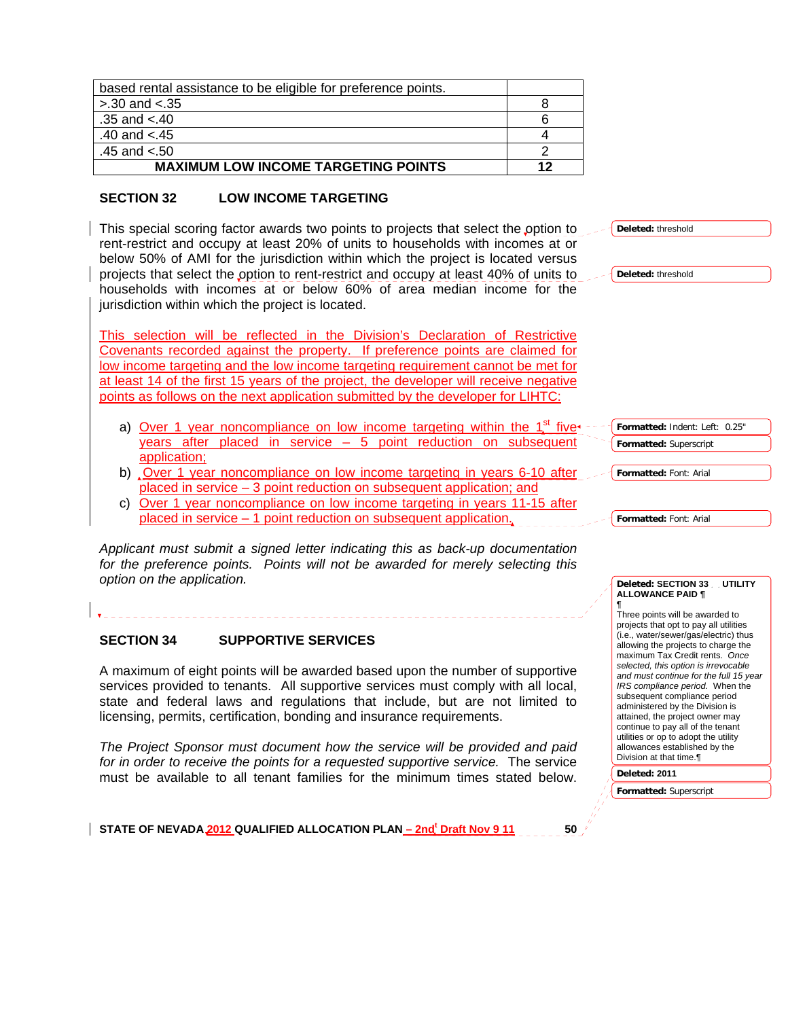| based rental assistance to be eligible for preference points. |    |
|---------------------------------------------------------------|----|
| $> 30$ and $< 35$                                             |    |
| .35 and $< 40$                                                |    |
| .40 and $< 45$                                                |    |
| .45 and $< 50$                                                |    |
| <b>MAXIMUM LOW INCOME TARGETING POINTS</b>                    | 12 |

## **SECTION 32 LOW INCOME TARGETING**

This special scoring factor awards two points to projects that select the option rent-restrict and occupy at least 20% of units to households with incomes at below 50% of AMI for the jurisdiction within which the project is located vers projects that select the option to rent-restrict and occupy at least 40% of units households with incomes at or below 60% of area median income for jurisdiction within which the project is located.

This selection will be reflected in the Division's Declaration of Restricti Covenants recorded against the property. If preference points are claimed low income targeting and the low income targeting requirement cannot be met at least 14 of the first 15 years of the project, the developer will receive negat points as follows on the next application submitted by the developer for LIHTC

- a) Over 1 year noncompliance on low income targeting within the  $1<sup>st</sup>$  f years after placed in service  $-5$  point reduction on subsequent application;
- b) Over 1 year noncompliance on low income targeting in years 6-10 after placed in service – 3 point reduction on subsequent application; and
- c) Over 1 year noncompliance on low income targeting in years 11-15 after placed in service – 1 point reduction on subsequent application.

*Applicant must submit a signed letter indicating this as back-up documentation*  for the preference points. Points will not be awarded for merely selecting to *option on the application.* 

### **SECTION 34 SUPPORTIVE SERVICES**

A maximum of eight points will be awarded based upon the number of supportive services provided to tenants. All supportive services must comply with all local, state and federal laws and regulations that include, but are not limited to licensing, permits, certification, bonding and insurance requirements.

*The Project Sponsor must document how the service will be provided and paid for in order to receive the points for a requested supportive service.* The service must be available to all tenant families for the minimum times stated below.

STATE OF NEVADA 2012 QUALIFIED ALLOCATION PLAN <u>– 2nd<sup>t</sup> Draft Nov 9 11</u> 50

| ı to              | Deleted: threshold                                     |
|-------------------|--------------------------------------------------------|
| ∶ or<br>sus       |                                                        |
| ; to<br>the       | Deleted: threshold                                     |
|                   |                                                        |
| <u>ive</u>        |                                                        |
| $\overline{for}$  |                                                        |
| for<br><u>ive</u> |                                                        |
|                   |                                                        |
| <u>ïve</u> ∙      | Formatted: Indent: Left:<br>0.25"                      |
| <u>ent</u>        | Formatted: Superscript                                 |
| <u>fter</u>       | Formatted: Font: Arial                                 |
| <u>fter</u>       |                                                        |
|                   | Formatted: Font: Arial                                 |
| ion               |                                                        |
| 'his              |                                                        |
|                   | Deleted: SECTION 33 UTILITY<br><b>ALLOWANCE PAID ¶</b> |
|                   | ¶<br>Three points will be awarded to                   |
|                   | projects that opt to pay all utilities                 |

(i.e., water/sewer/gas/electric) thus allowing the projects to charge the maximum Tax Credit rents. *Once selected, this option is irrevocable and must continue for the full 15 year IRS compliance period.* When the subsequent compliance period administered by the Division is attained, the project owner may continue to pay all of the tenant utilities or op to adopt the utility allowances established by the Division at that time.¶

**Deleted: 2011** 

**Formatted:** Superscript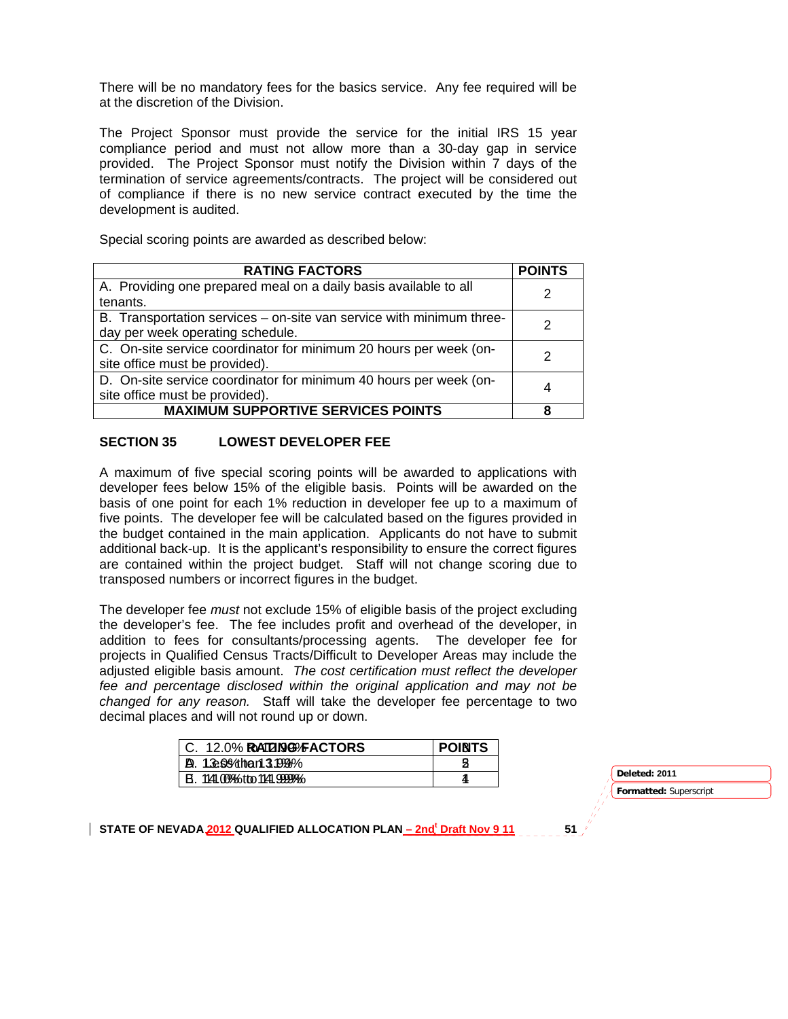There will be no mandatory fees for the basics service. Any fee required will be at the discretion of the Division.

The Project Sponsor must provide the service for the initial IRS 15 year compliance period and must not allow more than a 30-day gap in service provided. The Project Sponsor must notify the Division within 7 days of the termination of service agreements/contracts. The project will be considered out of compliance if there is no new service contract executed by the time the development is audited.

Special scoring points are awarded as described below:

| <b>RATING FACTORS</b>                                                | <b>POINTS</b> |
|----------------------------------------------------------------------|---------------|
| A. Providing one prepared meal on a daily basis available to all     | 2             |
| tenants.                                                             |               |
| B. Transportation services – on-site van service with minimum three- |               |
| day per week operating schedule.                                     |               |
| C. On-site service coordinator for minimum 20 hours per week (on-    |               |
| site office must be provided).                                       |               |
| D. On-site service coordinator for minimum 40 hours per week (on-    |               |
| site office must be provided).                                       | 4             |
| <b>MAXIMUM SUPPORTIVE SERVICES POINTS</b>                            |               |

### **SECTION 35 LOWEST DEVELOPER FEE**

A maximum of five special scoring points will be awarded to applications with developer fees below 15% of the eligible basis. Points will be awarded on the basis of one point for each 1% reduction in developer fee up to a maximum of five points. The developer fee will be calculated based on the figures provided in the budget contained in the main application. Applicants do not have to submit additional back-up. It is the applicant's responsibility to ensure the correct figures are contained within the project budget. Staff will not change scoring due to transposed numbers or incorrect figures in the budget.

The developer fee *must* not exclude 15% of eligible basis of the project excluding the developer's fee. The fee includes profit and overhead of the developer, in addition to fees for consultants/processing agents. The developer fee for projects in Qualified Census Tracts/Difficult to Developer Areas may include the adjusted eligible basis amount. *The cost certification must reflect the developer fee and percentage disclosed within the original application and may not be changed for any reason.* Staff will take the developer fee percentage to two decimal places and will not round up or down.

| 12.0% RATENG® FACTORS         | <b>POINTS</b> |
|-------------------------------|---------------|
| D.<br>1.3e6%than13.1998%      |               |
| 1141.00% otto 1141.9999%<br>в |               |

**Formatted:** Superscript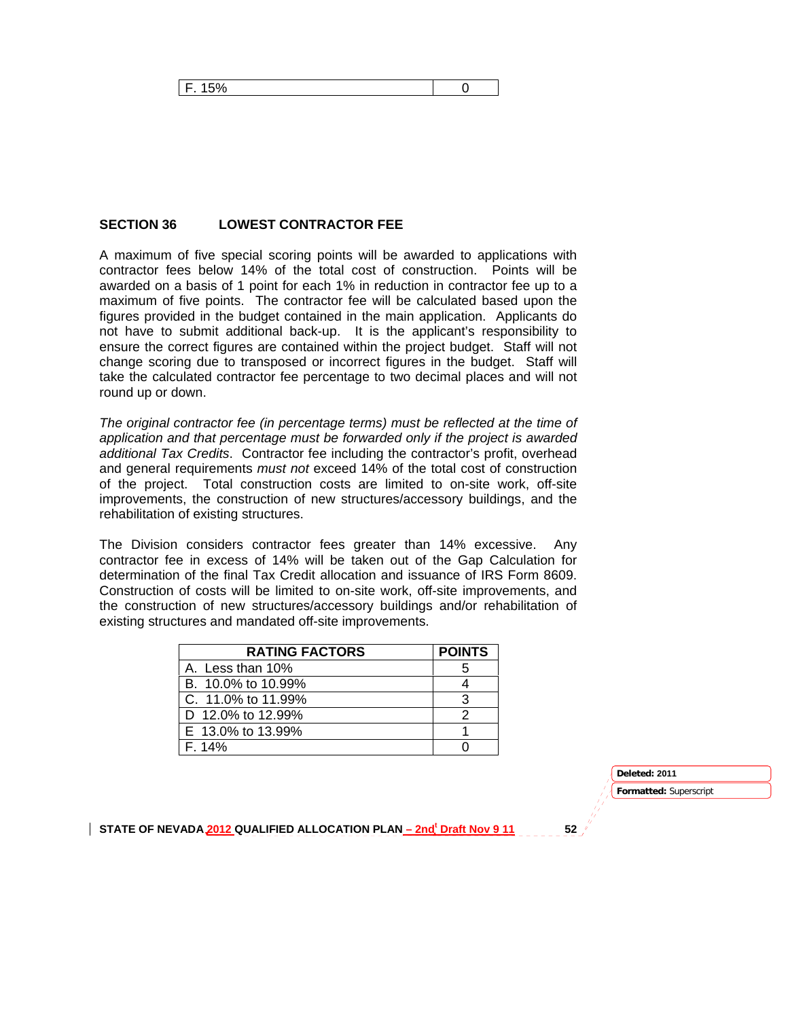### **SECTION 36 LOWEST CONTRACTOR FEE**

A maximum of five special scoring points will be awarded to applications with contractor fees below 14% of the total cost of construction. Points will be awarded on a basis of 1 point for each 1% in reduction in contractor fee up to a maximum of five points. The contractor fee will be calculated based upon the figures provided in the budget contained in the main application. Applicants do not have to submit additional back-up. It is the applicant's responsibility to ensure the correct figures are contained within the project budget. Staff will not change scoring due to transposed or incorrect figures in the budget. Staff will take the calculated contractor fee percentage to two decimal places and will not round up or down.

*The original contractor fee (in percentage terms) must be reflected at the time of application and that percentage must be forwarded only if the project is awarded additional Tax Credits*. Contractor fee including the contractor's profit, overhead and general requirements *must not* exceed 14% of the total cost of construction of the project. Total construction costs are limited to on-site work, off-site improvements, the construction of new structures/accessory buildings, and the rehabilitation of existing structures.

The Division considers contractor fees greater than 14% excessive. Any contractor fee in excess of 14% will be taken out of the Gap Calculation for determination of the final Tax Credit allocation and issuance of IRS Form 8609. Construction of costs will be limited to on-site work, off-site improvements, and the construction of new structures/accessory buildings and/or rehabilitation of existing structures and mandated off-site improvements.

| <b>RATING FACTORS</b> | <b>POINTS</b> |
|-----------------------|---------------|
| A. Less than 10%      |               |
| B. 10.0% to 10.99%    |               |
| C. 11.0% to 11.99%    |               |
| D 12.0% to 12.99%     |               |
| E 13.0% to 13.99%     |               |
| F. 14%                |               |

**Deleted: 2011** 

**Formatted:** Superscript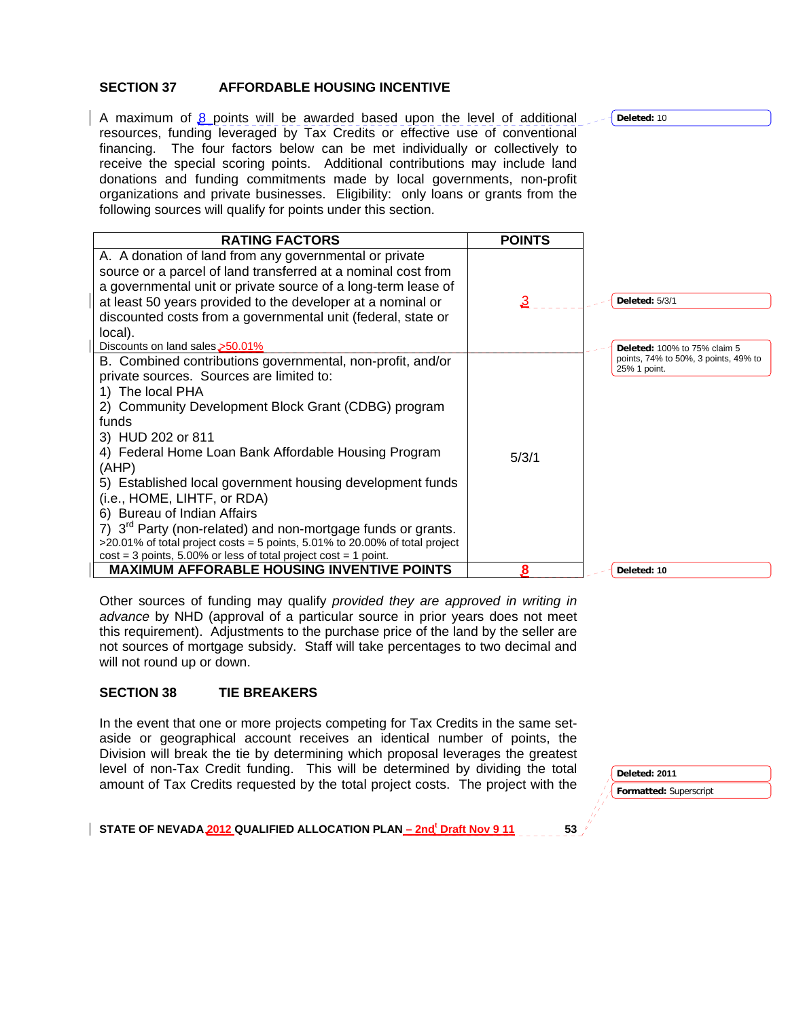### **SECTION 37 AFFORDABLE HOUSING INCENTIVE**

A maximum of  $\beta$  points will be awarded based upon the level of additional resources, funding leveraged by Tax Credits or effective use of conventional financing. The four factors below can be met individually or collectively to receive the special scoring points. Additional contributions may include land donations and funding commitments made by local governments, non-profit organizations and private businesses. Eligibility: only loans or grants from the following sources will qualify for points under this section.

| <b>RATING FACTORS</b>                                                       | <b>POINTS</b> |                                                      |
|-----------------------------------------------------------------------------|---------------|------------------------------------------------------|
| A. A donation of land from any governmental or private                      |               |                                                      |
| source or a parcel of land transferred at a nominal cost from               |               |                                                      |
| a governmental unit or private source of a long-term lease of               |               |                                                      |
| at least 50 years provided to the developer at a nominal or                 | 3             | <b>Deleted: 5/3/1</b>                                |
| discounted costs from a governmental unit (federal, state or                |               |                                                      |
| local).                                                                     |               |                                                      |
| Discounts on land sales,>50.01%                                             |               | <b>Deleted: 100% to 75% claim 5</b>                  |
| B. Combined contributions governmental, non-profit, and/or                  |               | points, 74% to 50%, 3 points, 49% to<br>25% 1 point. |
| private sources. Sources are limited to:                                    |               |                                                      |
| 1) The local PHA                                                            |               |                                                      |
| 2) Community Development Block Grant (CDBG) program                         |               |                                                      |
| funds                                                                       |               |                                                      |
| 3) HUD 202 or 811                                                           |               |                                                      |
| 4) Federal Home Loan Bank Affordable Housing Program                        | 5/3/1         |                                                      |
| (AHP)                                                                       |               |                                                      |
| 5) Established local government housing development funds                   |               |                                                      |
| (i.e., HOME, LIHTF, or RDA)                                                 |               |                                                      |
| 6) Bureau of Indian Affairs                                                 |               |                                                      |
| 7) $3rd$ Party (non-related) and non-mortgage funds or grants.              |               |                                                      |
| >20.01% of total project costs = 5 points, 5.01% to 20.00% of total project |               |                                                      |
| $cost = 3$ points, 5.00% or less of total project cost = 1 point.           |               |                                                      |
| <b>MAXIMUM AFFORABLE HOUSING INVENTIVE POINTS</b>                           |               | Deleted: 10                                          |

Other sources of funding may qualify *provided they are approved in writing in advance* by NHD (approval of a particular source in prior years does not meet this requirement). Adjustments to the purchase price of the land by the seller are not sources of mortgage subsidy. Staff will take percentages to two decimal and will not round up or down.

### **SECTION 38 TIE BREAKERS**

In the event that one or more projects competing for Tax Credits in the same setaside or geographical account receives an identical number of points, the Division will break the tie by determining which proposal leverages the greatest level of non-Tax Credit funding. This will be determined by dividing the total amount of Tax Credits requested by the total project costs. The project with the

**Formatted:** Superscript **Deleted: 2011** 

STATE OF NEVADA 2012 QUALIFIED ALLOCATION PLAN <u>– 2nd<sup>t</sup> Draft Nov 9 11</u> 53

**Deleted:** 10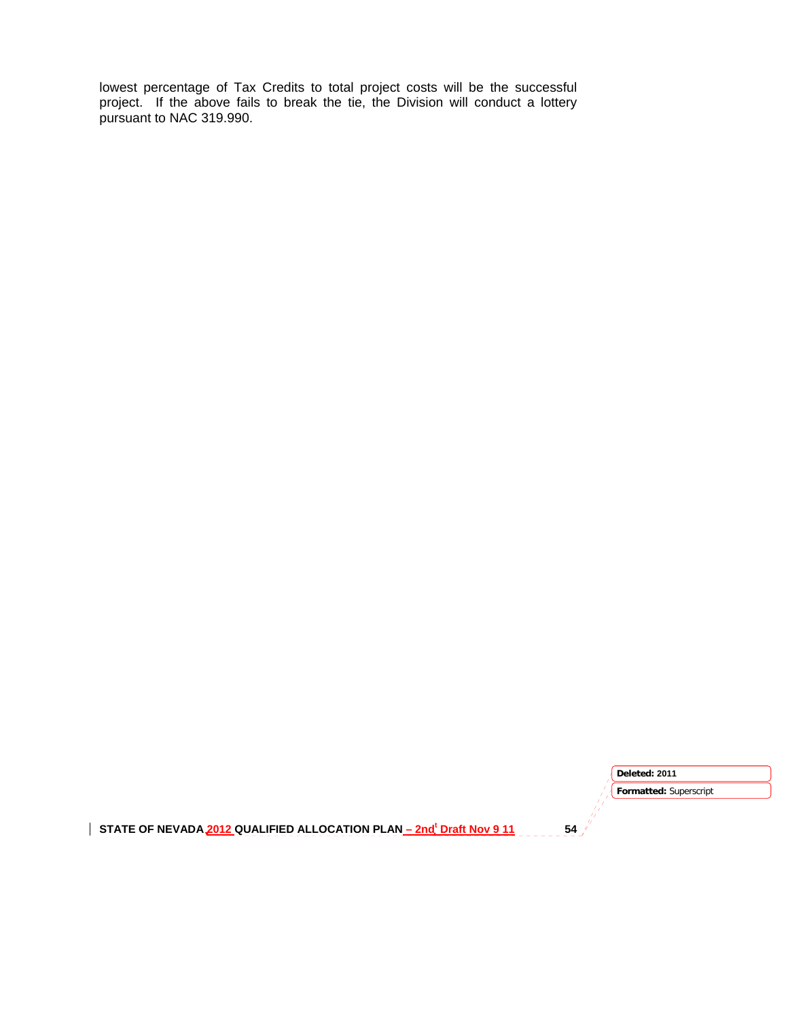lowest percentage of Tax Credits to total project costs will be the successful project. If the above fails to break the tie, the Division will conduct a lottery pursuant to NAC 319.990.

STATE OF NEVADA 2012 QUALIFIED ALLOCATION PLAN <u>– 2nd<sup>t</sup> Draft Nov 9 11</u> 54 **Formatted:** Superscript **Deleted: 2011**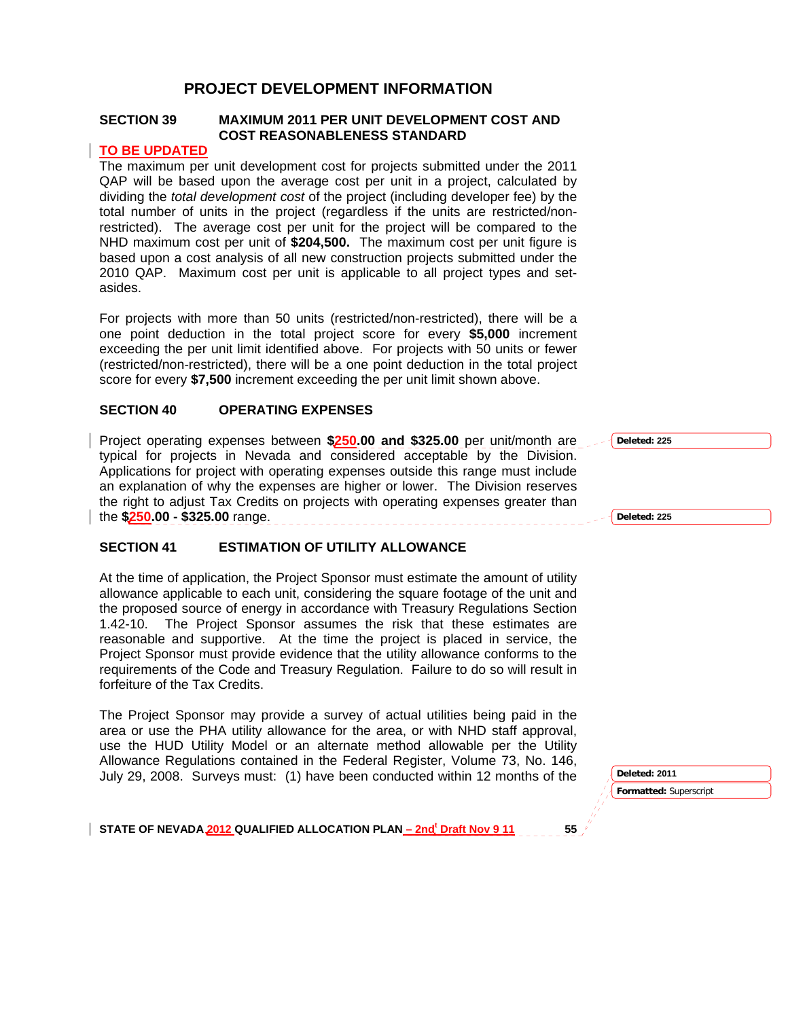# **PROJECT DEVELOPMENT INFORMATION**

### **SECTION 39 MAXIMUM 2011 PER UNIT DEVELOPMENT COST AND COST REASONABLENESS STANDARD**

#### **TO BE UPDATED**

The maximum per unit development cost for projects submitted under the 2011 QAP will be based upon the average cost per unit in a project, calculated by dividing the *total development cost* of the project (including developer fee) by the total number of units in the project (regardless if the units are restricted/nonrestricted). The average cost per unit for the project will be compared to the NHD maximum cost per unit of **\$204,500.** The maximum cost per unit figure is based upon a cost analysis of all new construction projects submitted under the 2010 QAP. Maximum cost per unit is applicable to all project types and setasides.

For projects with more than 50 units (restricted/non-restricted), there will be a one point deduction in the total project score for every **\$5,000** increment exceeding the per unit limit identified above. For projects with 50 units or fewer (restricted/non-restricted), there will be a one point deduction in the total project score for every **\$7,500** increment exceeding the per unit limit shown above.

### **SECTION 40 OPERATING EXPENSES**

Project operating expenses between **\$250.00 and \$325.00** per unit/month are typical for projects in Nevada and considered acceptable by the Division. Applications for project with operating expenses outside this range must include an explanation of why the expenses are higher or lower. The Division reserves the right to adjust Tax Credits on projects with operating expenses greater than the **\$250.00 - \$325.00** range.

## **SECTION 41 ESTIMATION OF UTILITY ALLOWANCE**

At the time of application, the Project Sponsor must estimate the amount of utility allowance applicable to each unit, considering the square footage of the unit and the proposed source of energy in accordance with Treasury Regulations Section 1.42-10. The Project Sponsor assumes the risk that these estimates are reasonable and supportive. At the time the project is placed in service, the Project Sponsor must provide evidence that the utility allowance conforms to the requirements of the Code and Treasury Regulation. Failure to do so will result in forfeiture of the Tax Credits.

The Project Sponsor may provide a survey of actual utilities being paid in the area or use the PHA utility allowance for the area, or with NHD staff approval, use the HUD Utility Model or an alternate method allowable per the Utility Allowance Regulations contained in the Federal Register, Volume 73, No. 146, July 29, 2008. Surveys must: (1) have been conducted within 12 months of the

**Deleted: 225 Deleted: 225**

**Deleted: 2011** 

**Formatted:** Superscript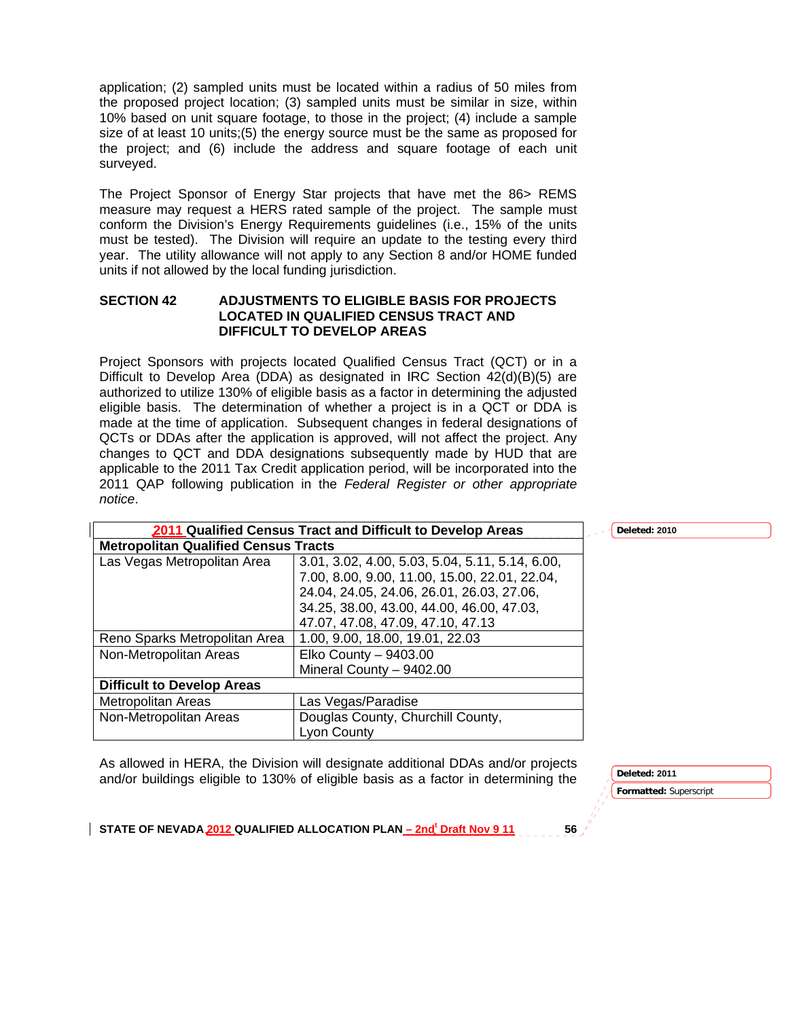application; (2) sampled units must be located within a radius of 50 miles from the proposed project location; (3) sampled units must be similar in size, within 10% based on unit square footage, to those in the project; (4) include a sample size of at least 10 units;(5) the energy source must be the same as proposed for the project; and (6) include the address and square footage of each unit surveyed.

The Project Sponsor of Energy Star projects that have met the 86> REMS measure may request a HERS rated sample of the project. The sample must conform the Division's Energy Requirements guidelines (i.e., 15% of the units must be tested). The Division will require an update to the testing every third year. The utility allowance will not apply to any Section 8 and/or HOME funded units if not allowed by the local funding jurisdiction.

#### **SECTION 42 ADJUSTMENTS TO ELIGIBLE BASIS FOR PROJECTS LOCATED IN QUALIFIED CENSUS TRACT AND DIFFICULT TO DEVELOP AREAS**

Project Sponsors with projects located Qualified Census Tract (QCT) or in a Difficult to Develop Area (DDA) as designated in IRC Section 42(d)(B)(5) are authorized to utilize 130% of eligible basis as a factor in determining the adjusted eligible basis. The determination of whether a project is in a QCT or DDA is made at the time of application. Subsequent changes in federal designations of QCTs or DDAs after the application is approved, will not affect the project. Any changes to QCT and DDA designations subsequently made by HUD that are applicable to the 2011 Tax Credit application period, will be incorporated into the 2011 QAP following publication in the *Federal Register or other appropriate notice*.

| 2011 Qualified Census Tract and Difficult to Develop Areas |                                                 | Deleted: 2010 |
|------------------------------------------------------------|-------------------------------------------------|---------------|
| <b>Metropolitan Qualified Census Tracts</b>                |                                                 |               |
| Las Vegas Metropolitan Area                                | 3.01, 3.02, 4.00, 5.03, 5.04, 5.11, 5.14, 6.00, |               |
|                                                            | 7.00, 8.00, 9.00, 11.00, 15.00, 22.01, 22.04,   |               |
|                                                            | 24.04, 24.05, 24.06, 26.01, 26.03, 27.06,       |               |
|                                                            | 34.25, 38.00, 43.00, 44.00, 46.00, 47.03,       |               |
|                                                            | 47.07, 47.08, 47.09, 47.10, 47.13               |               |
| Reno Sparks Metropolitan Area                              | 1.00, 9.00, 18.00, 19.01, 22.03                 |               |
| Non-Metropolitan Areas                                     | Elko County $-9403.00$                          |               |
|                                                            | Mineral County - 9402.00                        |               |
| <b>Difficult to Develop Areas</b>                          |                                                 |               |
| Metropolitan Areas                                         | Las Vegas/Paradise                              |               |
| Non-Metropolitan Areas                                     | Douglas County, Churchill County,               |               |
|                                                            | Lyon County                                     |               |

As allowed in HERA, the Division will designate additional DDAs and/or projects and/or buildings eligible to 130% of eligible basis as a factor in determining the

**Formatted:** Superscript **Deleted: 2011**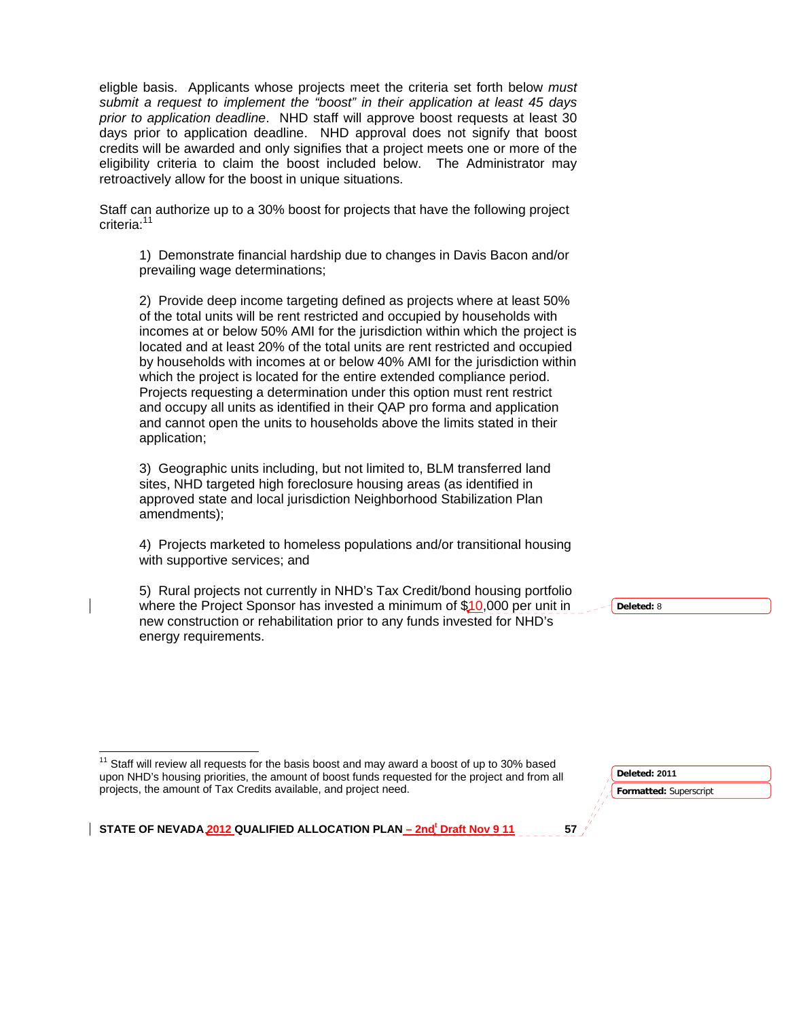eligble basis. Applicants whose projects meet the criteria set forth below *must submit a request to implement the "boost" in their application at least 45 days prior to application deadline*. NHD staff will approve boost requests at least 30 days prior to application deadline. NHD approval does not signify that boost credits will be awarded and only signifies that a project meets one or more of the eligibility criteria to claim the boost included below. The Administrator may retroactively allow for the boost in unique situations.

Staff can authorize up to a 30% boost for projects that have the following project criteria:<sup>11</sup>

1) Demonstrate financial hardship due to changes in Davis Bacon and/or prevailing wage determinations;

2) Provide deep income targeting defined as projects where at least 50% of the total units will be rent restricted and occupied by households with incomes at or below 50% AMI for the jurisdiction within which the project is located and at least 20% of the total units are rent restricted and occupied by households with incomes at or below 40% AMI for the jurisdiction within which the project is located for the entire extended compliance period. Projects requesting a determination under this option must rent restrict and occupy all units as identified in their QAP pro forma and application and cannot open the units to households above the limits stated in their application;

3) Geographic units including, but not limited to, BLM transferred land sites, NHD targeted high foreclosure housing areas (as identified in approved state and local jurisdiction Neighborhood Stabilization Plan amendments);

4) Projects marketed to homeless populations and/or transitional housing with supportive services; and

5) Rural projects not currently in NHD's Tax Credit/bond housing portfolio where the Project Sponsor has invested a minimum of  $$10,000$  per unit in new construction or rehabilitation prior to any funds invested for NHD's energy requirements.

**Deleted:** 8

 $11$  Staff will review all requests for the basis boost and may award a boost of up to 30% based upon NHD's housing priorities, the amount of boost funds requested for the project and from all projects, the amount of Tax Credits available, and project need.

<u> 1989 - Johann Stein, fransk politik (d. 1989)</u>

**Deleted: 2011** 

**Formatted:** Superscript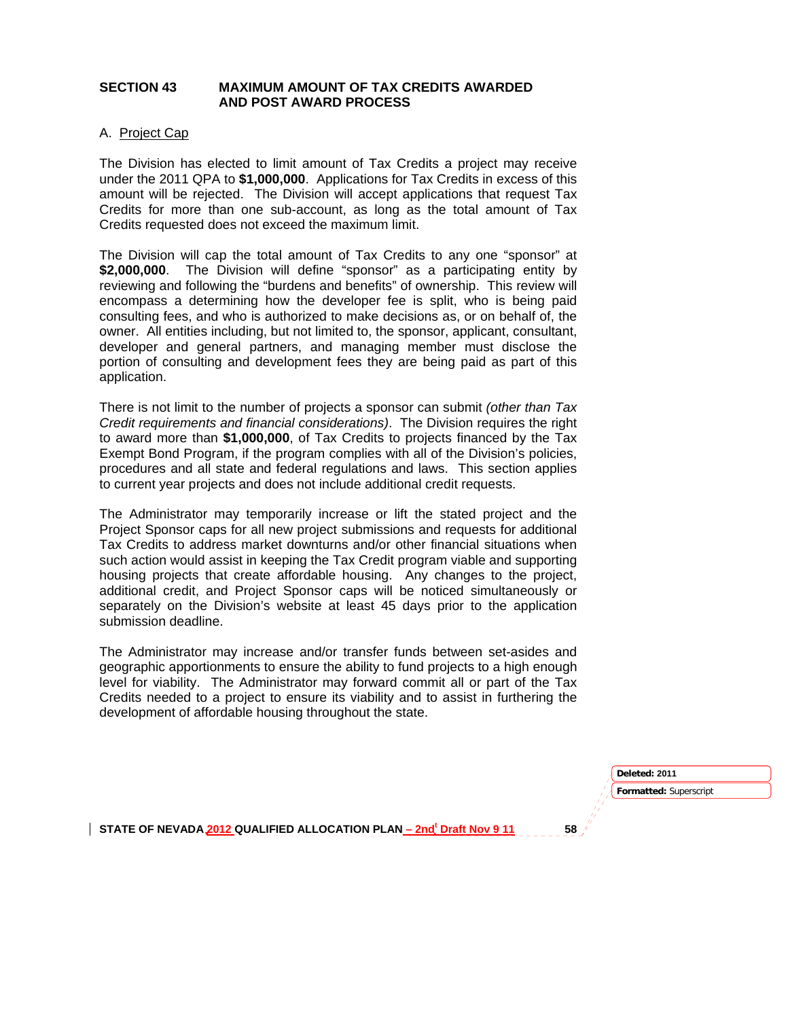### **SECTION 43 MAXIMUM AMOUNT OF TAX CREDITS AWARDED AND POST AWARD PROCESS**

#### A. Project Cap

The Division has elected to limit amount of Tax Credits a project may receive under the 2011 QPA to **\$1,000,000**. Applications for Tax Credits in excess of this amount will be rejected. The Division will accept applications that request Tax Credits for more than one sub-account, as long as the total amount of Tax Credits requested does not exceed the maximum limit.

The Division will cap the total amount of Tax Credits to any one "sponsor" at **\$2,000,000**. The Division will define "sponsor" as a participating entity by reviewing and following the "burdens and benefits" of ownership. This review will encompass a determining how the developer fee is split, who is being paid consulting fees, and who is authorized to make decisions as, or on behalf of, the owner. All entities including, but not limited to, the sponsor, applicant, consultant, developer and general partners, and managing member must disclose the portion of consulting and development fees they are being paid as part of this application.

There is not limit to the number of projects a sponsor can submit *(other than Tax Credit requirements and financial considerations)*. The Division requires the right to award more than **\$1,000,000**, of Tax Credits to projects financed by the Tax Exempt Bond Program, if the program complies with all of the Division's policies, procedures and all state and federal regulations and laws. This section applies to current year projects and does not include additional credit requests.

The Administrator may temporarily increase or lift the stated project and the Project Sponsor caps for all new project submissions and requests for additional Tax Credits to address market downturns and/or other financial situations when such action would assist in keeping the Tax Credit program viable and supporting housing projects that create affordable housing. Any changes to the project, additional credit, and Project Sponsor caps will be noticed simultaneously or separately on the Division's website at least 45 days prior to the application submission deadline.

The Administrator may increase and/or transfer funds between set-asides and geographic apportionments to ensure the ability to fund projects to a high enough level for viability. The Administrator may forward commit all or part of the Tax Credits needed to a project to ensure its viability and to assist in furthering the development of affordable housing throughout the state.

> **Formatted:** Superscript **Deleted: 2011**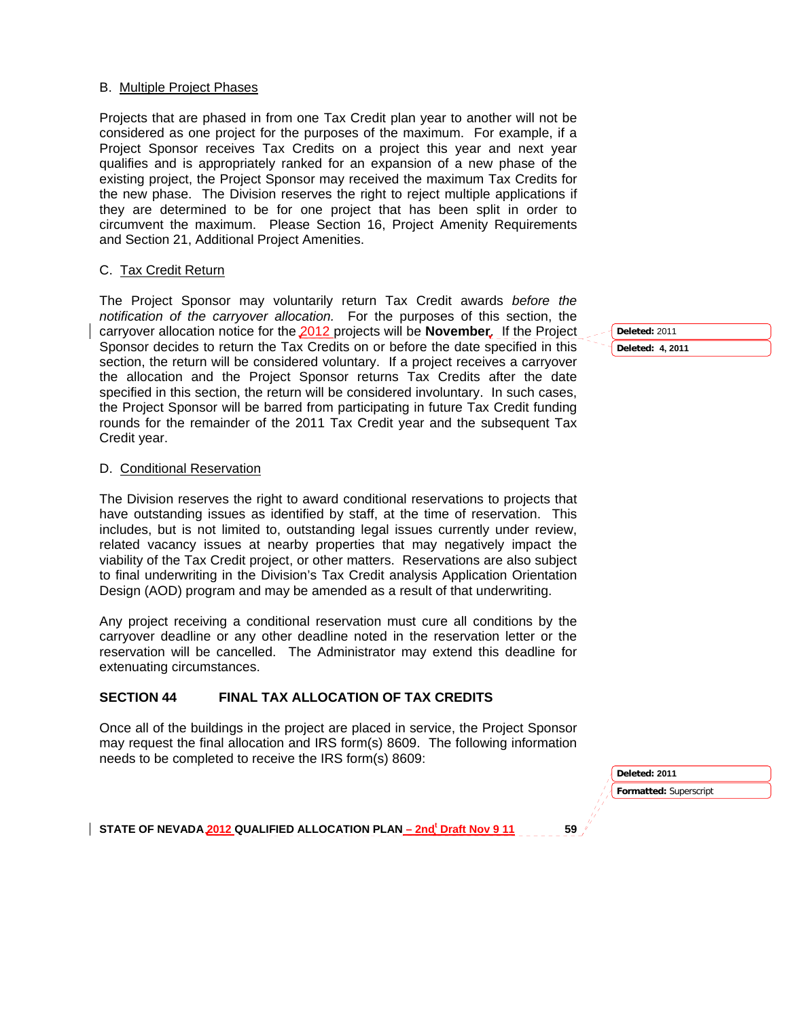#### B. Multiple Project Phases

Projects that are phased in from one Tax Credit plan year to another will not be considered as one project for the purposes of the maximum. For example, if a Project Sponsor receives Tax Credits on a project this year and next year qualifies and is appropriately ranked for an expansion of a new phase of the existing project, the Project Sponsor may received the maximum Tax Credits for the new phase. The Division reserves the right to reject multiple applications if they are determined to be for one project that has been split in order to circumvent the maximum. Please Section 16, Project Amenity Requirements and Section 21, Additional Project Amenities.

#### C. Tax Credit Return

The Project Sponsor may voluntarily return Tax Credit awards *before the notification of the carryover allocation.* For the purposes of this section, the carryover allocation notice for the 2012 projects will be **November**. If the Project Sponsor decides to return the Tax Credits on or before the date specified in this section, the return will be considered voluntary. If a project receives a carryover the allocation and the Project Sponsor returns Tax Credits after the date specified in this section, the return will be considered involuntary. In such cases, the Project Sponsor will be barred from participating in future Tax Credit funding rounds for the remainder of the 2011 Tax Credit year and the subsequent Tax Credit year.

#### D. Conditional Reservation

The Division reserves the right to award conditional reservations to projects that have outstanding issues as identified by staff, at the time of reservation. This includes, but is not limited to, outstanding legal issues currently under review, related vacancy issues at nearby properties that may negatively impact the viability of the Tax Credit project, or other matters. Reservations are also subject to final underwriting in the Division's Tax Credit analysis Application Orientation Design (AOD) program and may be amended as a result of that underwriting.

Any project receiving a conditional reservation must cure all conditions by the carryover deadline or any other deadline noted in the reservation letter or the reservation will be cancelled. The Administrator may extend this deadline for extenuating circumstances.

### **SECTION 44 FINAL TAX ALLOCATION OF TAX CREDITS**

Once all of the buildings in the project are placed in service, the Project Sponsor may request the final allocation and IRS form(s) 8609. The following information needs to be completed to receive the IRS form(s) 8609:

> **Formatted:** Superscript **Deleted: 2011**

STATE OF NEVADA 2012 QUALIFIED ALLOCATION PLAN <u>– 2nd<sup>t</sup> Draft Nov 9 11</u> 59

**Deleted:** 2011 **Deleted: 4, 2011**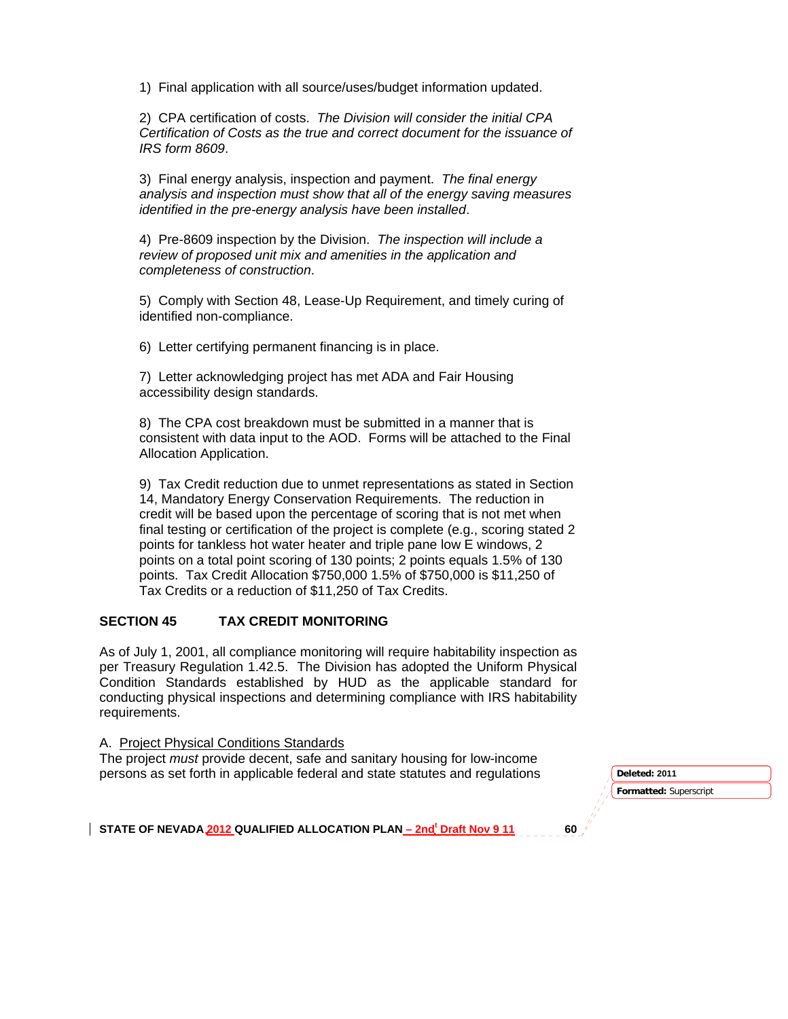1) Final application with all source/uses/budget information updated.

2) CPA certification of costs. *The Division will consider the initial CPA Certification of Costs as the true and correct document for the issuance of IRS form 8609*.

3) Final energy analysis, inspection and payment. *The final energy analysis and inspection must show that all of the energy saving measures identified in the pre-energy analysis have been installed*.

4) Pre-8609 inspection by the Division. *The inspection will include a review of proposed unit mix and amenities in the application and completeness of construction*.

5) Comply with Section 48, Lease-Up Requirement, and timely curing of identified non-compliance.

6) Letter certifying permanent financing is in place.

7) Letter acknowledging project has met ADA and Fair Housing accessibility design standards.

8) The CPA cost breakdown must be submitted in a manner that is consistent with data input to the AOD. Forms will be attached to the Final Allocation Application.

9) Tax Credit reduction due to unmet representations as stated in Section 14, Mandatory Energy Conservation Requirements. The reduction in credit will be based upon the percentage of scoring that is not met when final testing or certification of the project is complete (e.g., scoring stated 2 points for tankless hot water heater and triple pane low E windows, 2 points on a total point scoring of 130 points; 2 points equals 1.5% of 130 points. Tax Credit Allocation \$750,000 1.5% of \$750,000 is \$11,250 of Tax Credits or a reduction of \$11,250 of Tax Credits.

### **SECTION 45 TAX CREDIT MONITORING**

As of July 1, 2001, all compliance monitoring will require habitability inspection as per Treasury Regulation 1.42.5. The Division has adopted the Uniform Physical Condition Standards established by HUD as the applicable standard for conducting physical inspections and determining compliance with IRS habitability requirements.

A. Project Physical Conditions Standards

The project *must* provide decent, safe and sanitary housing for low-income **persons as set forth in applicable federal and state statutes and regulations <b>Deleted:** 2011

**Formatted:** Superscript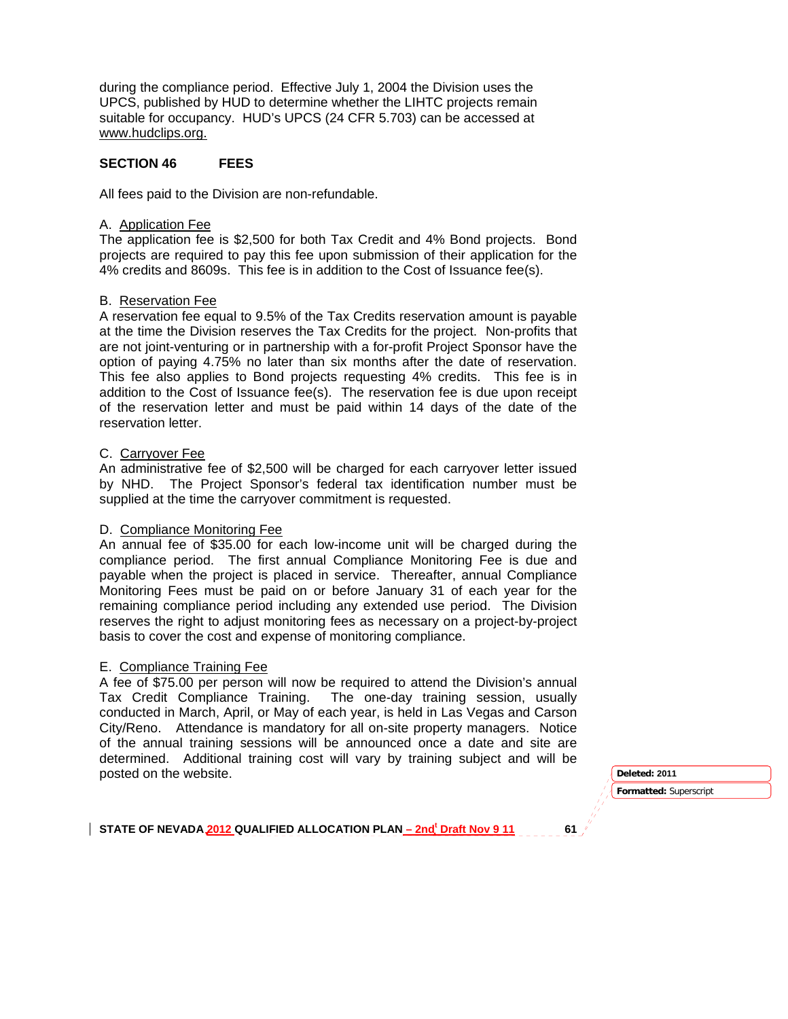during the compliance period. Effective July 1, 2004 the Division uses the UPCS, published by HUD to determine whether the LIHTC projects remain suitable for occupancy. HUD's UPCS (24 CFR 5.703) can be accessed at www.hudclips.org.

### **SECTION 46 FEES**

All fees paid to the Division are non-refundable.

#### A. Application Fee

The application fee is \$2,500 for both Tax Credit and 4% Bond projects. Bond projects are required to pay this fee upon submission of their application for the 4% credits and 8609s. This fee is in addition to the Cost of Issuance fee(s).

#### B. Reservation Fee

A reservation fee equal to 9.5% of the Tax Credits reservation amount is payable at the time the Division reserves the Tax Credits for the project. Non-profits that are not joint-venturing or in partnership with a for-profit Project Sponsor have the option of paying 4.75% no later than six months after the date of reservation. This fee also applies to Bond projects requesting 4% credits. This fee is in addition to the Cost of Issuance fee(s). The reservation fee is due upon receipt of the reservation letter and must be paid within 14 days of the date of the reservation letter.

#### C. Carryover Fee

An administrative fee of \$2,500 will be charged for each carryover letter issued by NHD. The Project Sponsor's federal tax identification number must be supplied at the time the carryover commitment is requested.

#### D. Compliance Monitoring Fee

An annual fee of \$35.00 for each low-income unit will be charged during the compliance period. The first annual Compliance Monitoring Fee is due and payable when the project is placed in service. Thereafter, annual Compliance Monitoring Fees must be paid on or before January 31 of each year for the remaining compliance period including any extended use period. The Division reserves the right to adjust monitoring fees as necessary on a project-by-project basis to cover the cost and expense of monitoring compliance.

#### E. Compliance Training Fee

A fee of \$75.00 per person will now be required to attend the Division's annual Tax Credit Compliance Training. The one-day training session, usually conducted in March, April, or May of each year, is held in Las Vegas and Carson City/Reno. Attendance is mandatory for all on-site property managers. Notice of the annual training sessions will be announced once a date and site are determined. Additional training cost will vary by training subject and will be posted on the website. **Deleted: 2011** 

**Formatted:** Superscript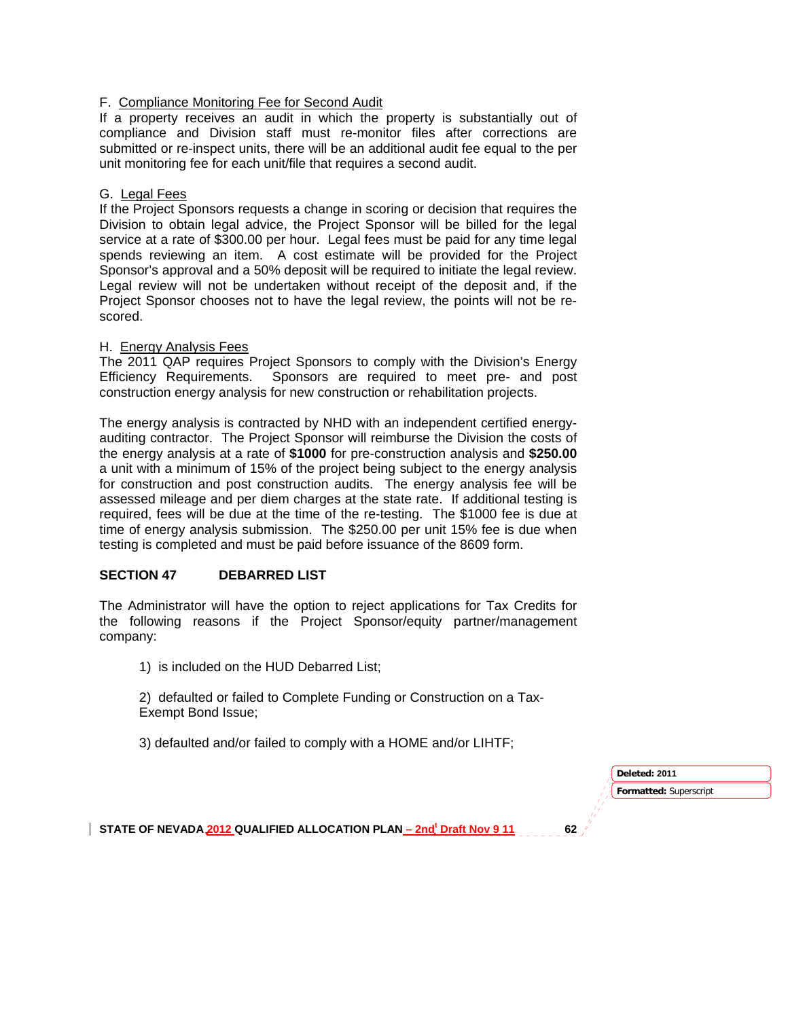### F. Compliance Monitoring Fee for Second Audit

If a property receives an audit in which the property is substantially out of compliance and Division staff must re-monitor files after corrections are submitted or re-inspect units, there will be an additional audit fee equal to the per unit monitoring fee for each unit/file that requires a second audit.

### G. Legal Fees

If the Project Sponsors requests a change in scoring or decision that requires the Division to obtain legal advice, the Project Sponsor will be billed for the legal service at a rate of \$300.00 per hour. Legal fees must be paid for any time legal spends reviewing an item. A cost estimate will be provided for the Project Sponsor's approval and a 50% deposit will be required to initiate the legal review. Legal review will not be undertaken without receipt of the deposit and, if the Project Sponsor chooses not to have the legal review, the points will not be rescored.

## H. Energy Analysis Fees

The 2011 QAP requires Project Sponsors to comply with the Division's Energy Efficiency Requirements. Sponsors are required to meet pre- and post construction energy analysis for new construction or rehabilitation projects.

The energy analysis is contracted by NHD with an independent certified energyauditing contractor. The Project Sponsor will reimburse the Division the costs of the energy analysis at a rate of **\$1000** for pre-construction analysis and **\$250.00** a unit with a minimum of 15% of the project being subject to the energy analysis for construction and post construction audits. The energy analysis fee will be assessed mileage and per diem charges at the state rate. If additional testing is required, fees will be due at the time of the re-testing. The \$1000 fee is due at time of energy analysis submission. The \$250.00 per unit 15% fee is due when testing is completed and must be paid before issuance of the 8609 form.

# **SECTION 47 DEBARRED LIST**

The Administrator will have the option to reject applications for Tax Credits for the following reasons if the Project Sponsor/equity partner/management company:

1) is included on the HUD Debarred List;

2) defaulted or failed to Complete Funding or Construction on a Tax-Exempt Bond Issue;

3) defaulted and/or failed to comply with a HOME and/or LIHTF;

**Formatted:** Superscript **Deleted: 2011**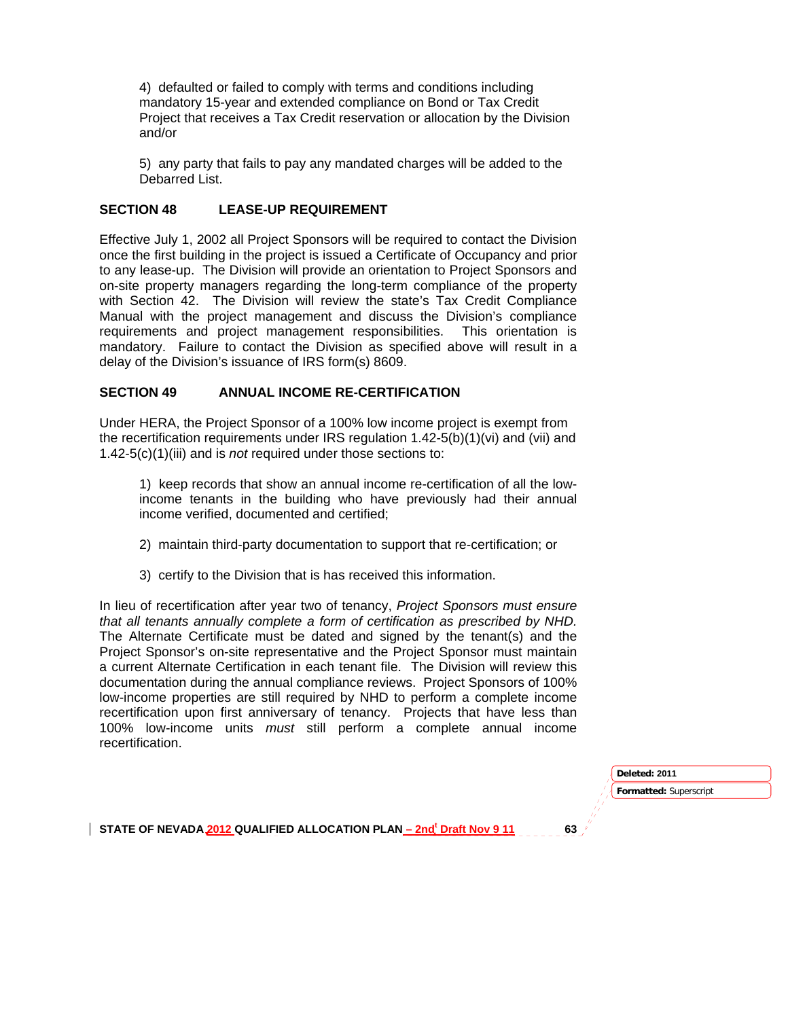4) defaulted or failed to comply with terms and conditions including mandatory 15-year and extended compliance on Bond or Tax Credit Project that receives a Tax Credit reservation or allocation by the Division and/or

5) any party that fails to pay any mandated charges will be added to the Debarred List.

### **SECTION 48 LEASE-UP REQUIREMENT**

Effective July 1, 2002 all Project Sponsors will be required to contact the Division once the first building in the project is issued a Certificate of Occupancy and prior to any lease-up. The Division will provide an orientation to Project Sponsors and on-site property managers regarding the long-term compliance of the property with Section 42. The Division will review the state's Tax Credit Compliance Manual with the project management and discuss the Division's compliance requirements and project management responsibilities. This orientation is mandatory. Failure to contact the Division as specified above will result in a delay of the Division's issuance of IRS form(s) 8609.

### **SECTION 49 ANNUAL INCOME RE-CERTIFICATION**

Under HERA, the Project Sponsor of a 100% low income project is exempt from the recertification requirements under IRS regulation 1.42-5(b)(1)(vi) and (vii) and 1.42-5(c)(1)(iii) and is *not* required under those sections to:

1) keep records that show an annual income re-certification of all the lowincome tenants in the building who have previously had their annual income verified, documented and certified;

- 2) maintain third-party documentation to support that re-certification; or
- 3) certify to the Division that is has received this information.

In lieu of recertification after year two of tenancy, *Project Sponsors must ensure that all tenants annually complete a form of certification as prescribed by NHD.* The Alternate Certificate must be dated and signed by the tenant(s) and the Project Sponsor's on-site representative and the Project Sponsor must maintain a current Alternate Certification in each tenant file. The Division will review this documentation during the annual compliance reviews. Project Sponsors of 100% low-income properties are still required by NHD to perform a complete income recertification upon first anniversary of tenancy. Projects that have less than 100% low-income units *must* still perform a complete annual income recertification.

| Deleted: 2011          |  |
|------------------------|--|
| Formatted: Superscript |  |
|                        |  |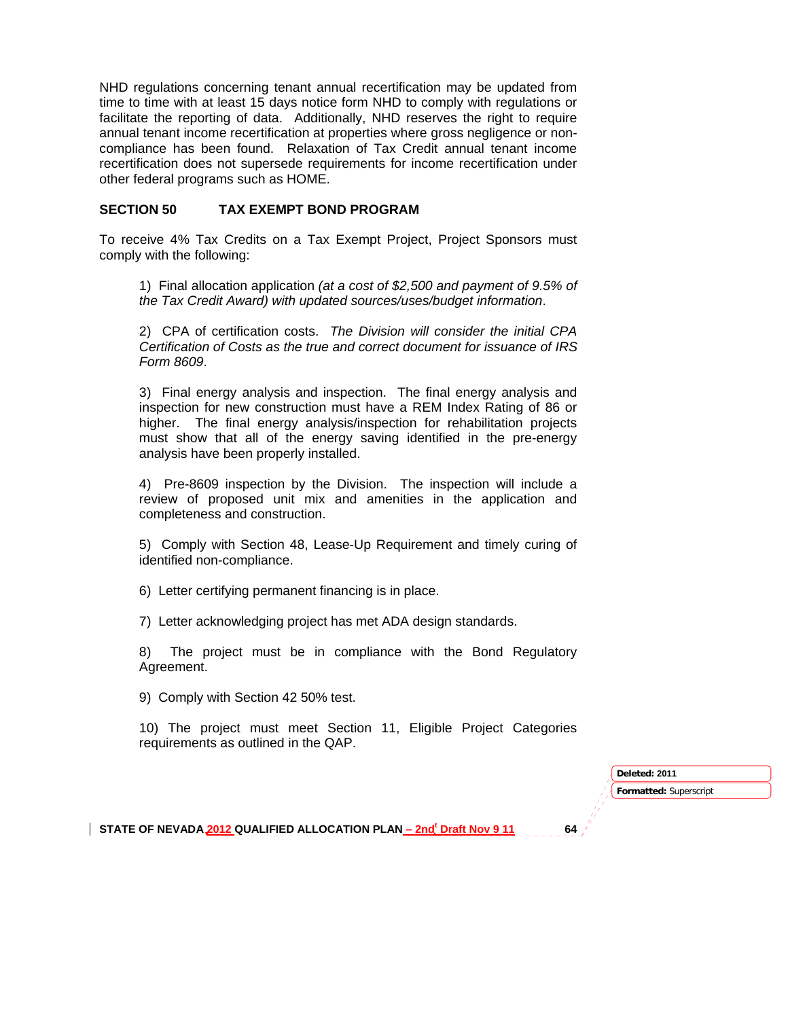NHD regulations concerning tenant annual recertification may be updated from time to time with at least 15 days notice form NHD to comply with regulations or facilitate the reporting of data. Additionally, NHD reserves the right to require annual tenant income recertification at properties where gross negligence or noncompliance has been found. Relaxation of Tax Credit annual tenant income recertification does not supersede requirements for income recertification under other federal programs such as HOME.

### **SECTION 50 TAX EXEMPT BOND PROGRAM**

To receive 4% Tax Credits on a Tax Exempt Project, Project Sponsors must comply with the following:

1) Final allocation application *(at a cost of \$2,500 and payment of 9.5% of the Tax Credit Award) with updated sources/uses/budget information*.

2) CPA of certification costs. *The Division will consider the initial CPA Certification of Costs as the true and correct document for issuance of IRS Form 8609*.

3) Final energy analysis and inspection. The final energy analysis and inspection for new construction must have a REM Index Rating of 86 or higher. The final energy analysis/inspection for rehabilitation projects must show that all of the energy saving identified in the pre-energy analysis have been properly installed.

4) Pre-8609 inspection by the Division. The inspection will include a review of proposed unit mix and amenities in the application and completeness and construction.

5) Comply with Section 48, Lease-Up Requirement and timely curing of identified non-compliance.

6) Letter certifying permanent financing is in place.

7) Letter acknowledging project has met ADA design standards.

8) The project must be in compliance with the Bond Regulatory Agreement.

9) Comply with Section 42 50% test.

10) The project must meet Section 11, Eligible Project Categories requirements as outlined in the QAP.

> **Formatted:** Superscript **Deleted: 2011**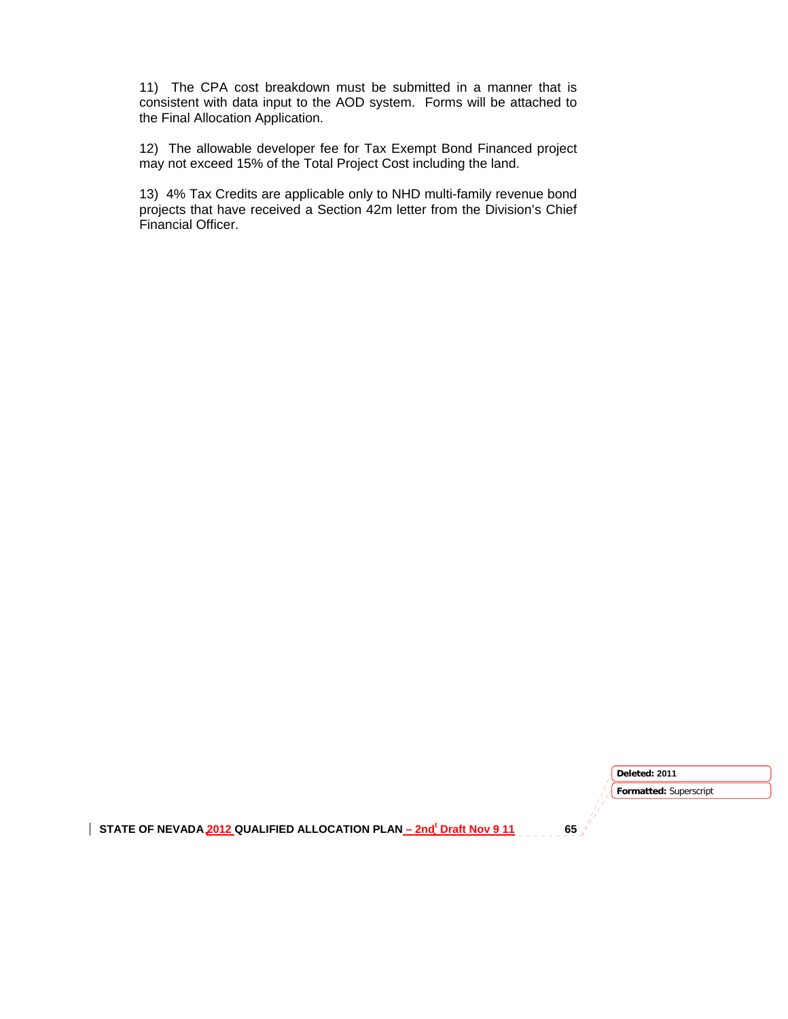11) The CPA cost breakdown must be submitted in a manner that is consistent with data input to the AOD system. Forms will be attached to the Final Allocation Application.

12) The allowable developer fee for Tax Exempt Bond Financed project may not exceed 15% of the Total Project Cost including the land.

13) 4% Tax Credits are applicable only to NHD multi-family revenue bond projects that have received a Section 42m letter from the Division's Chief Financial Officer.

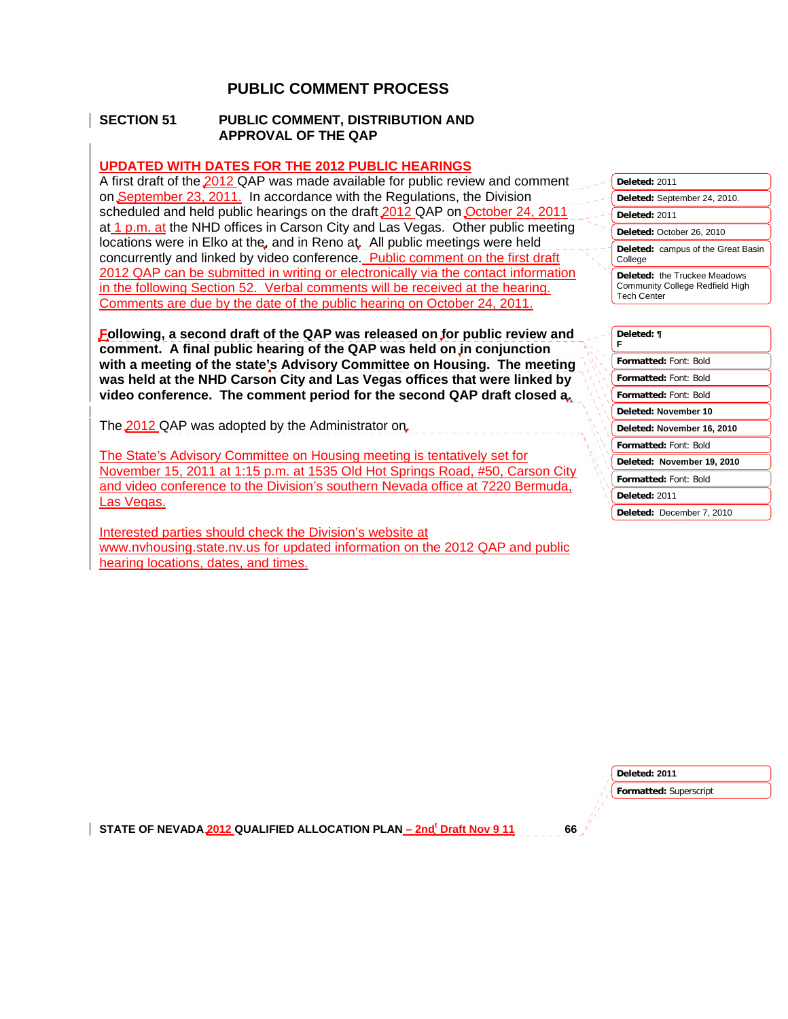# **PUBLIC COMMENT PROCESS**

### **SECTION 51 PUBLIC COMMENT, DISTRIBUTION AND APPROVAL OF THE QAP**

### **UPDATED WITH DATES FOR THE 2012 PUBLIC HEARINGS**

A first draft of the 2012 QAP was made available for public review and comment on September 23, 2011. In accordance with the Regulations, the Division scheduled and held public hearings on the draft 2012 QAP on October 24, 2011 at 1 p.m. at the NHD offices in Carson City and Las Vegas. Other public meeting locations were in Elko at the, and in Reno at. All public meetings were held concurrently and linked by video conference. Public comment on the first draft 2012 QAP can be submitted in writing or electronically via the contact information in the following Section 52. Verbal comments will be received at the hearing. Comments are due by the date of the public hearing on October 24, 2011.

**Following, a second draft of the QAP was released on for public review and comment. A final public hearing of the QAP was held on in conjunction with a meeting of the state's Advisory Committee on Housing. The meeting was held at the NHD Carson City and Las Vegas offices that were linked by video conference. The comment period for the second QAP draft closed a.** 

The 2012 QAP was adopted by the Administrator on.

The State's Advisory Committee on Housing meeting is tentatively set for November 15, 2011 at 1:15 p.m. at 1535 Old Hot Springs Road, #50, Carson City and video conference to the Division's southern Nevada office at 7220 Bermuda, Las Vegas.

Interested parties should check the Division's website at www.nvhousing.state.nv.us for updated information on the 2012 QAP and public hearing locations, dates, and times.

| Deleted: 2011                                                                                |  |  |
|----------------------------------------------------------------------------------------------|--|--|
| Deleted: September 24, 2010.                                                                 |  |  |
| Deleted: 2011                                                                                |  |  |
| Deleted: October 26, 2010                                                                    |  |  |
| <b>Deleted:</b> campus of the Great Basin<br>College                                         |  |  |
| Deleted: the Truckee Meadows<br><b>Community College Redfield High</b><br><b>Tech Center</b> |  |  |
|                                                                                              |  |  |

#### **Deleted: ¶**

| F                            |  |
|------------------------------|--|
| <b>Formatted: Font: Bold</b> |  |
| <b>Formatted: Font: Bold</b> |  |
| <b>Formatted: Font: Bold</b> |  |
| Deleted: November 10         |  |
| Deleted: November 16, 2010   |  |
| <b>Formatted: Font: Bold</b> |  |
| Deleted: November 19, 2010   |  |
| <b>Formatted: Font: Bold</b> |  |
| Deleted: 2011                |  |
| Deleted: December 7, 2010    |  |

**Deleted: 2011** 

**Formatted:** Superscript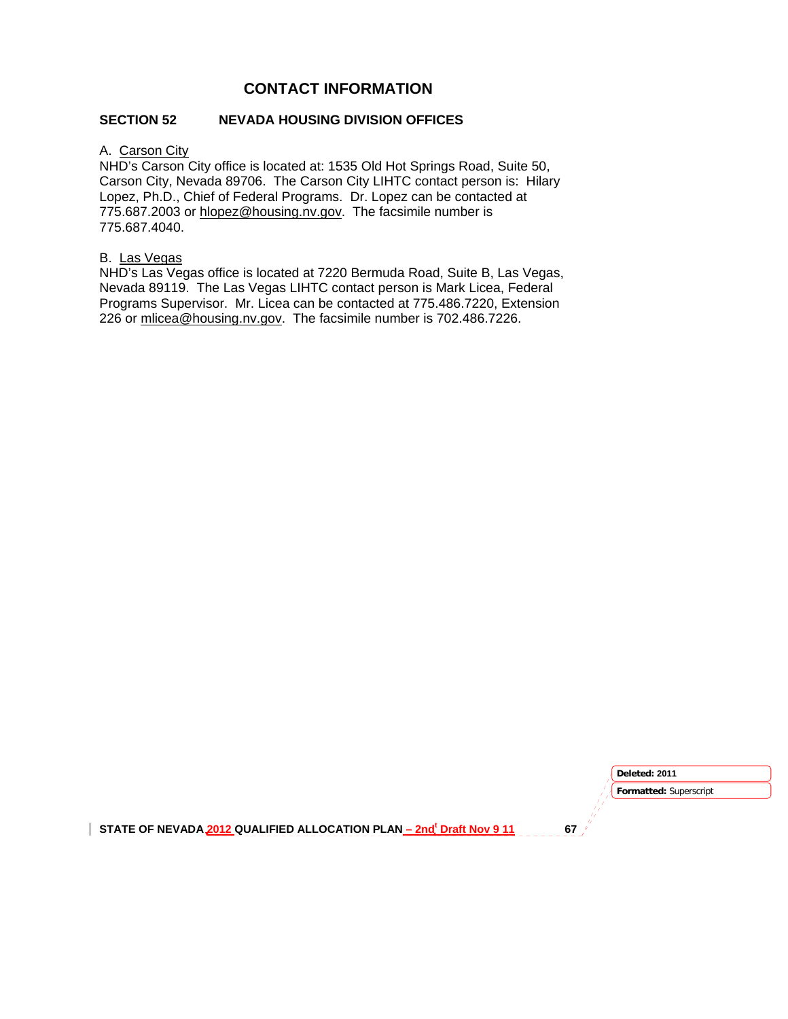# **CONTACT INFORMATION**

## **SECTION 52 NEVADA HOUSING DIVISION OFFICES**

## A. Carson City

NHD's Carson City office is located at: 1535 Old Hot Springs Road, Suite 50, Carson City, Nevada 89706. The Carson City LIHTC contact person is: Hilary Lopez, Ph.D., Chief of Federal Programs. Dr. Lopez can be contacted at 775.687.2003 or hlopez@housing.nv.gov. The facsimile number is 775.687.4040.

### B. Las Vegas

NHD's Las Vegas office is located at 7220 Bermuda Road, Suite B, Las Vegas, Nevada 89119. The Las Vegas LIHTC contact person is Mark Licea, Federal Programs Supervisor. Mr. Licea can be contacted at 775.486.7220, Extension 226 or mlicea@housing.nv.gov. The facsimile number is 702.486.7226.

> **Formatted:** Superscript **Deleted: 2011**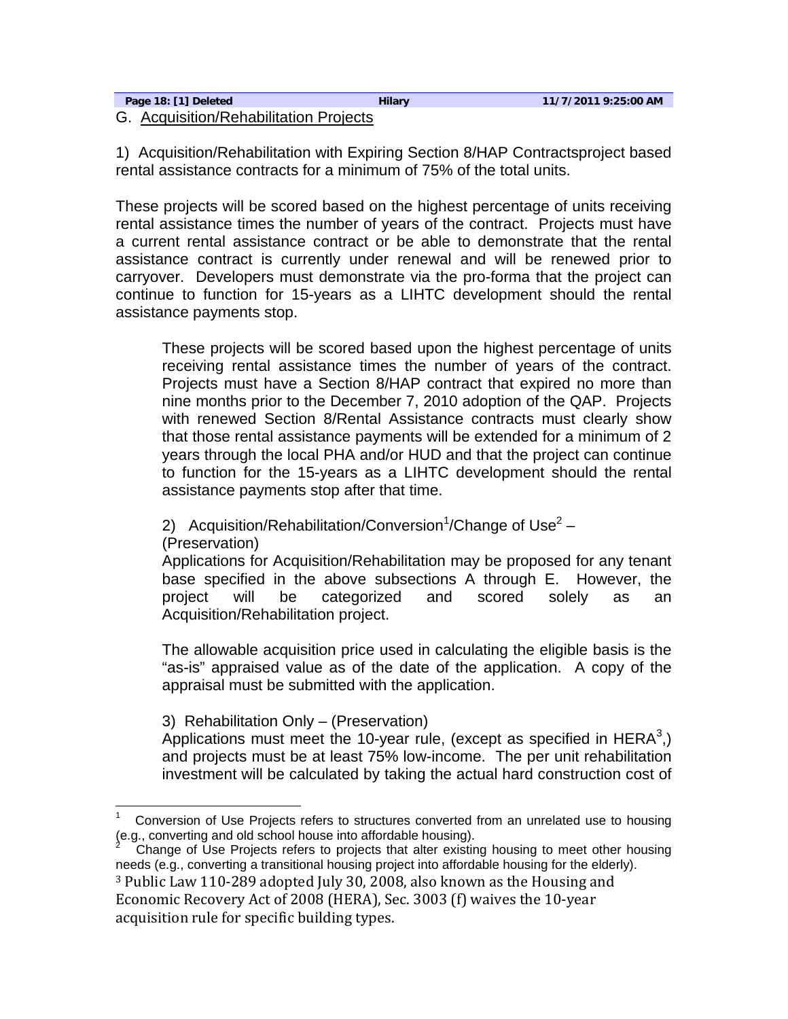| Page 18: [1] Deleted                   | <b>Hilary</b> | 11/7/2011 9:25:00 AM |
|----------------------------------------|---------------|----------------------|
| G. Acquisition/Rehabilitation Projects |               |                      |

1) Acquisition/Rehabilitation with Expiring Section 8/HAP Contractsproject based rental assistance contracts for a minimum of 75% of the total units.

These projects will be scored based on the highest percentage of units receiving rental assistance times the number of years of the contract. Projects must have a current rental assistance contract or be able to demonstrate that the rental assistance contract is currently under renewal and will be renewed prior to carryover. Developers must demonstrate via the pro-forma that the project can continue to function for 15-years as a LIHTC development should the rental assistance payments stop.

These projects will be scored based upon the highest percentage of units receiving rental assistance times the number of years of the contract. Projects must have a Section 8/HAP contract that expired no more than nine months prior to the December 7, 2010 adoption of the QAP. Projects with renewed Section 8/Rental Assistance contracts must clearly show that those rental assistance payments will be extended for a minimum of 2 years through the local PHA and/or HUD and that the project can continue to function for the 15-years as a LIHTC development should the rental assistance payments stop after that time.

2) Acquisition/Rehabilitation/Conversion<sup>1</sup>/Change of Use<sup>2</sup> -(Preservation)

Applications for Acquisition/Rehabilitation may be proposed for any tenant base specified in the above subsections A through E. However, the project will be categorized and scored solely as an Acquisition/Rehabilitation project.

The allowable acquisition price used in calculating the eligible basis is the "as-is" appraised value as of the date of the application. A copy of the appraisal must be submitted with the application.

3) Rehabilitation Only – (Preservation)

Applications must meet the 10-year rule, (except as specified in HERA<sup>3</sup>,) and projects must be at least 75% low-income. The per unit rehabilitation investment will be calculated by taking the actual hard construction cost of

Economic Recovery Act of 2008 (HERA), Sec. 3003 (f) waives the 10‐year acquisition rule for specific building types.

<sup>1</sup> Conversion of Use Projects refers to structures converted from an unrelated use to housing (e.g., converting and old school house into affordable housing).

<sup>2</sup> Change of Use Projects refers to projects that alter existing housing to meet other housing needs (e.g., converting a transitional housing project into affordable housing for the elderly). 3 Public Law 110‐289 adopted July 30, 2008, also known as the Housing and